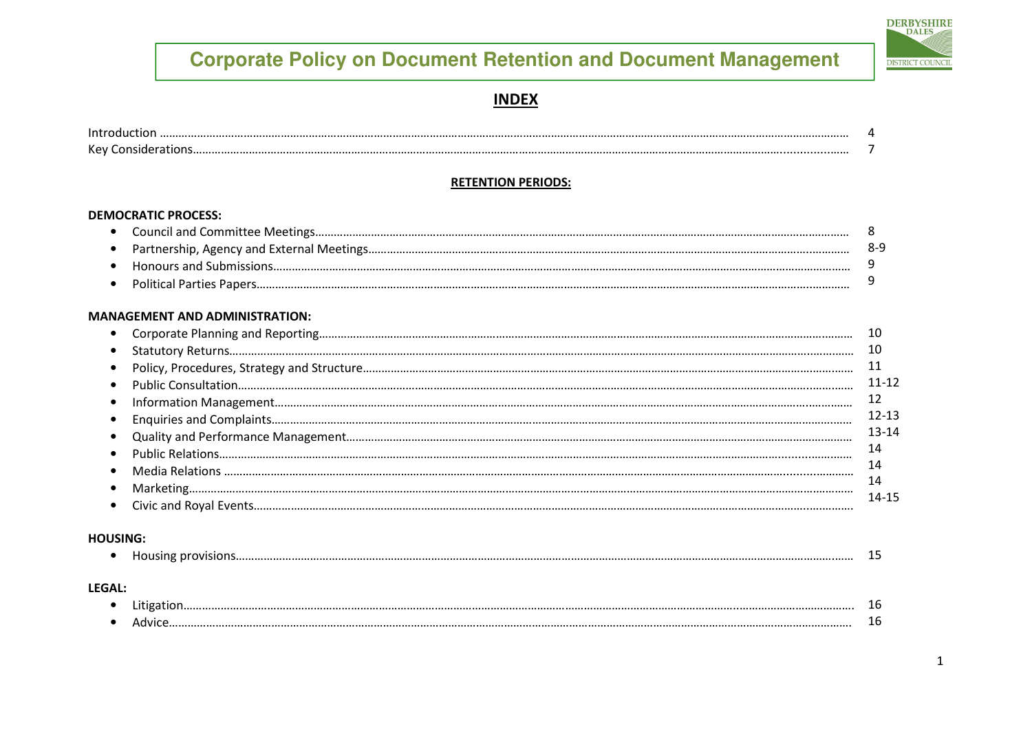

#### **INDEX**

| $\cdot$<br>N |  |
|--------------|--|

#### **RETENTION PERIODS:**

#### **DEMOCRATIC PROCESS:**

#### **MANAGEMENT AND ADMINISTRATION:**

|           | 10        |
|-----------|-----------|
| $\bullet$ | 10        |
| $\bullet$ | 11        |
|           | $11 - 12$ |
| $\bullet$ | 12        |
|           | $12 - 13$ |
|           | $13 - 14$ |
|           | 14        |
|           | 14        |
|           | 14        |
|           | 14-15     |
|           |           |

#### **HOUSING:**

|--|--|--|--|

#### LEGAL:

| . . |  |
|-----|--|
|     |  |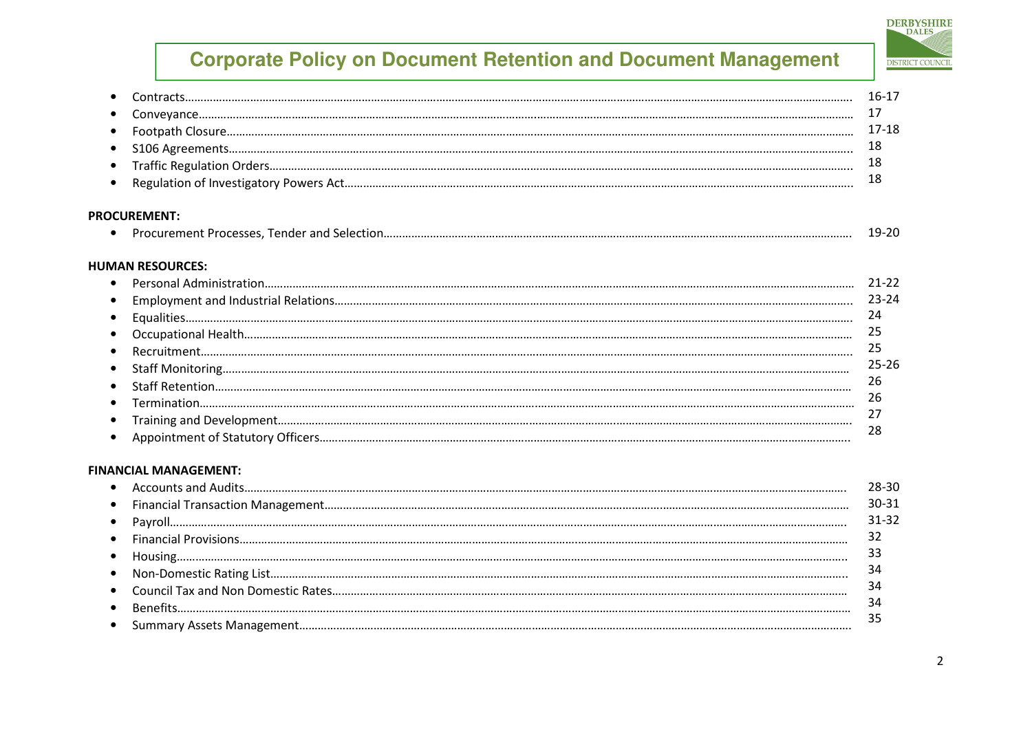# **DERBYSHIRE DISTRICT COUNCIL**

| $\bullet$ |                              | $16-17$   |
|-----------|------------------------------|-----------|
|           |                              | 17        |
|           |                              | $17 - 18$ |
| ٠         |                              | 18        |
| $\bullet$ |                              | 18        |
| ٠         |                              | 18        |
|           | <b>PROCUREMENT:</b>          |           |
| $\bullet$ |                              | 19-20     |
|           | <b>HUMAN RESOURCES:</b>      |           |
| ٠         |                              | $21 - 22$ |
|           |                              | 23-24     |
| $\bullet$ |                              | 24        |
| $\bullet$ |                              | 25        |
| $\bullet$ |                              | 25        |
| $\bullet$ |                              | 25-26     |
| $\bullet$ |                              | 26        |
|           |                              | 26        |
|           |                              | 27        |
| $\bullet$ |                              | 28        |
|           | <b>FINANCIAL MANAGEMENT:</b> |           |
|           |                              | 28-30     |
| C         |                              | 30-31     |
| $\bullet$ |                              | 31-32     |
| ٠         |                              | 32        |
| $\bullet$ |                              | 33        |
| ٠         |                              | 34        |
| $\bullet$ |                              | 34        |
|           |                              | 34        |
|           |                              | 35        |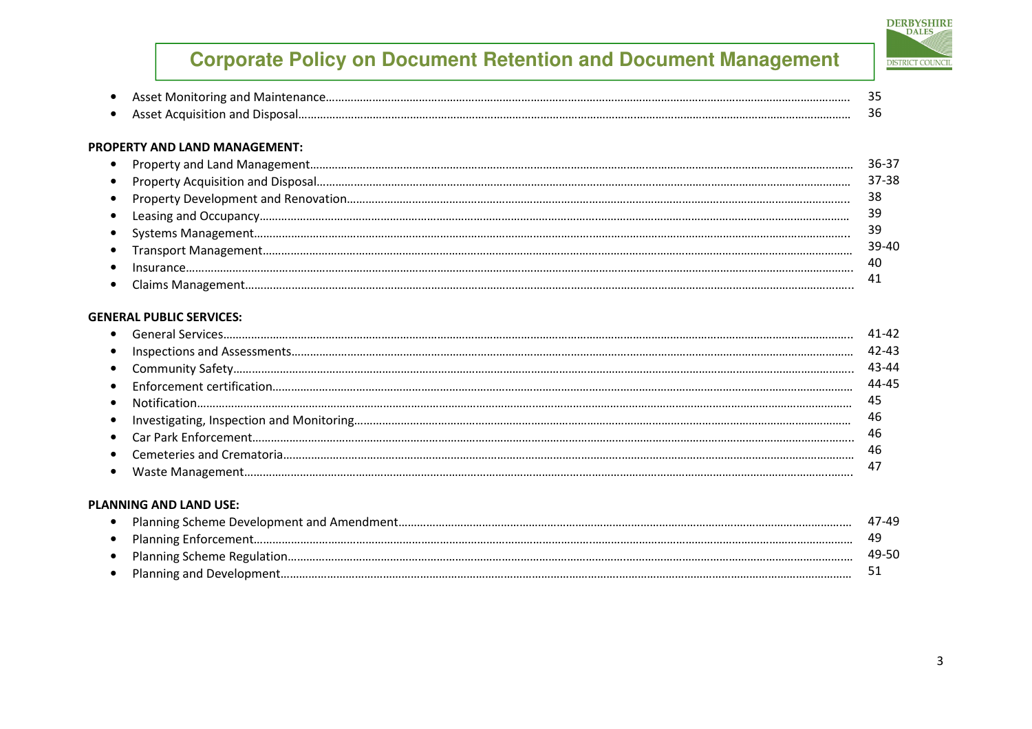#### PROPERTY AND LAND MANAGEMENT:

|  | 37-38 |
|--|-------|
|  | 38    |
|  |       |
|  |       |
|  | 39-40 |
|  | 40    |
|  |       |
|  |       |

#### GENERAL PUBLIC SERVICES:

|           | 11-42 |
|-----------|-------|
|           | 42-43 |
|           | 43-44 |
|           | 44-45 |
| $\bullet$ | 45    |
| $\bullet$ | 46    |
|           | 46    |
|           | 46    |
|           |       |
|           |       |

#### PLANNING AND LAND USE:

|  | 47-49 |
|--|-------|
|  |       |
|  | 49-50 |
|  |       |

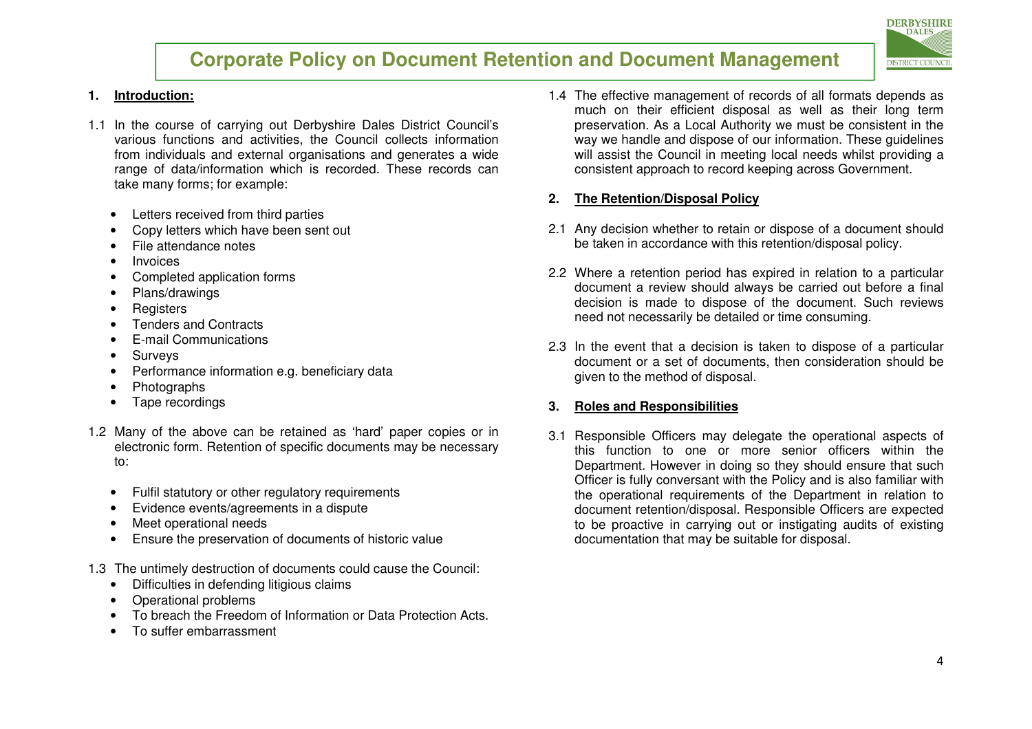

#### **1. Introduction:**

- 1.1 In the course of carrying out Derbyshire Dales District Council's various functions and activities, the Council collects information from individuals and external organisations and generates a wide range of data/information which is recorded. These records can take many forms; for example:
	- Letters received from third parties
	- Copy letters which have been sent out
	- File attendance notes
	- Invoices
	- Completed application forms
	- Plans/drawings
	- Registers
	- Tenders and Contracts
	- E-mail Communications
	- Surveys
	- Performance information e.g. beneficiary data
	- Photographs
	- Tape recordings
- 1.2 Many of the above can be retained as 'hard' paper copies or in electronic form. Retention of specific documents may be necessary to:
	- Fulfil statutory or other regulatory requirements
	- Evidence events/agreements in a dispute
	- Meet operational needs
	- Ensure the preservation of documents of historic value
- 1.3 The untimely destruction of documents could cause the Council:
	- Difficulties in defending litigious claims
	- Operational problems
	- To breach the Freedom of Information or Data Protection Acts.
	- To suffer embarrassment

1.4 The effective management of records of all formats depends as much on their efficient disposal as well as their long term preservation. As a Local Authority we must be consistent in the way we handle and dispose of our information. These guidelines will assist the Council in meeting local needs whilst providing a consistent approach to record keeping across Government.

#### **2. The Retention/Disposal Policy**

- 2.1 Any decision whether to retain or dispose of a document should be taken in accordance with this retention/disposal policy.
- 2.2 Where a retention period has expired in relation to a particular document a review should always be carried out before a final decision is made to dispose of the document. Such reviews need not necessarily be detailed or time consuming.
- 2.3 In the event that a decision is taken to dispose of a particular document or a set of documents, then consideration should be given to the method of disposal.

#### **3. Roles and Responsibilities**

3.1 Responsible Officers may delegate the operational aspects of this function to one or more senior officers within the Department. However in doing so they should ensure that such Officer is fully conversant with the Policy and is also familiar with the operational requirements of the Department in relation to document retention/disposal. Responsible Officers are expected to be proactive in carrying out or instigating audits of existing documentation that may be suitable for disposal.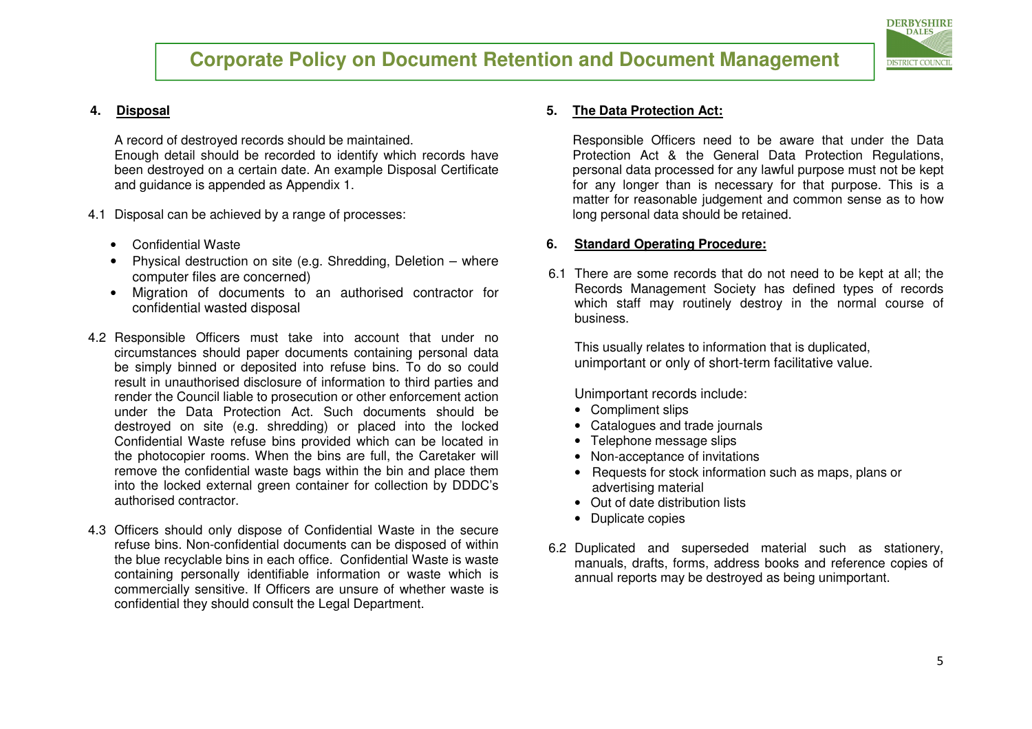

#### **4. Disposal**

A record of destroyed records should be maintained. Enough detail should be recorded to identify which records have been destroyed on a certain date. An example Disposal Certificate and guidance is appended as Appendix 1.

- 4.1 Disposal can be achieved by a range of processes:
	- Confidential Waste
	- • Physical destruction on site (e.g. Shredding, Deletion – where computer files are concerned)
	- Migration of documents to an authorised contractor for •confidential wasted disposal
- 4.2 Responsible Officers must take into account that under no circumstances should paper documents containing personal data be simply binned or deposited into refuse bins. To do so could result in unauthorised disclosure of information to third parties and render the Council liable to prosecution or other enforcement action under the Data Protection Act. Such documents should be destroyed on site (e.g. shredding) or placed into the locked Confidential Waste refuse bins provided which can be located in the photocopier rooms. When the bins are full, the Caretaker will remove the confidential waste bags within the bin and place them into the locked external green container for collection by DDDC's authorised contractor.
- 4.3 Officers should only dispose of Confidential Waste in the secure refuse bins. Non-confidential documents can be disposed of within the blue recyclable bins in each office. Confidential Waste is waste containing personally identifiable information or waste which is commercially sensitive. If Officers are unsure of whether waste is confidential they should consult the Legal Department.

#### **5.The Data Protection Act:**

Responsible Officers need to be aware that under the Data Protection Act & the General Data Protection Regulations, personal data processed for any lawful purpose must not be kept for any longer than is necessary for that purpose. This is a matter for reasonable judgement and common sense as to how long personal data should be retained.

#### **6. Standard Operating Procedure:**

6.1 There are some records that do not need to be kept at all; the Records Management Society has defined types of records which staff may routinely destroy in the normal course of business.

This usually relates to information that is duplicated, unimportant or only of short-term facilitative value.

Unimportant records include:

- Compliment slips
- Catalogues and trade journals
- Telephone message slips
- Non-acceptance of invitations
- Requests for stock information such as maps, plans or advertising material
- Out of date distribution lists
- Duplicate copies
- 6.2 Duplicated and superseded material such as stationery, manuals, drafts, forms, address books and reference copies of annual reports may be destroyed as being unimportant.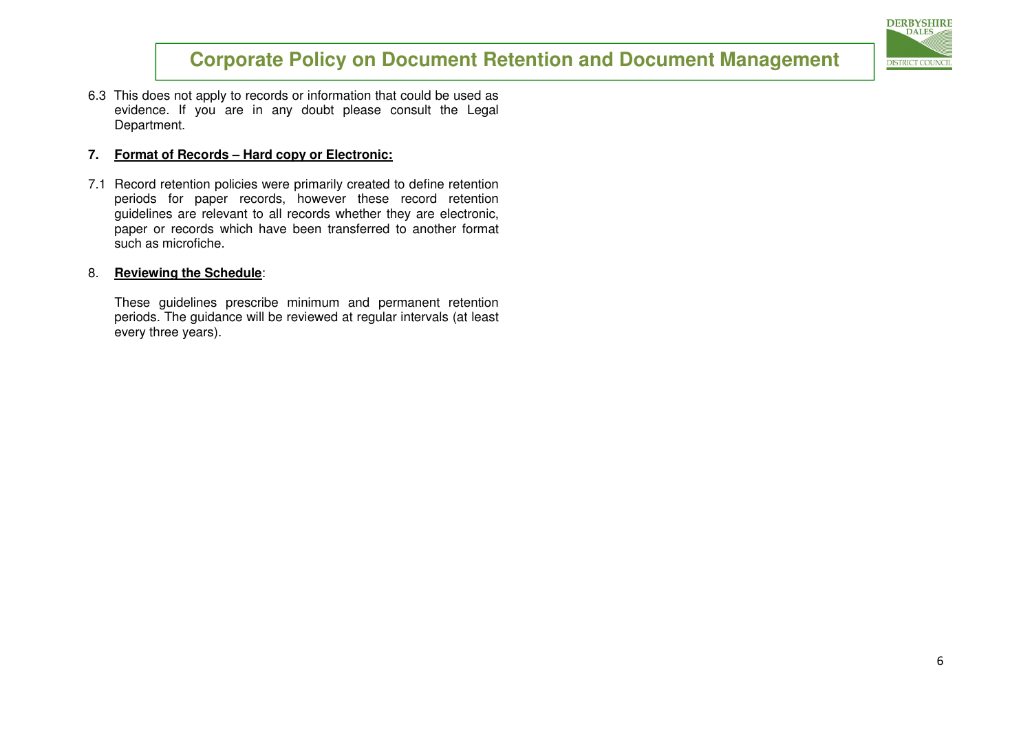

6.3 This does not apply to records or information that could be used as evidence. If you are in any doubt please consult the Legal Department.

#### **7. Format of Records – Hard copy or Electronic:**

7.1 Record retention policies were primarily created to define retention periods for paper records, however these record retention guidelines are relevant to all records whether they are electronic, paper or records which have been transferred to another format such as microfiche.

#### 8. **Reviewing the Schedule**:

These guidelines prescribe minimum and permanent retention periods. The guidance will be reviewed at regular intervals (at least every three years).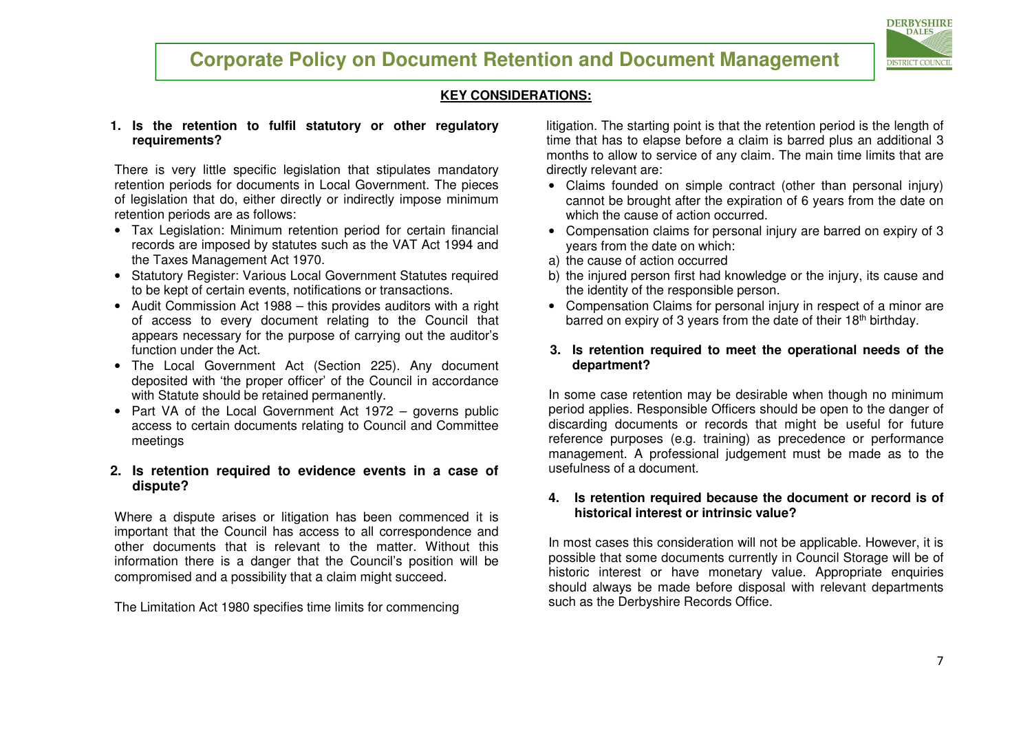#### **KEY CONSIDERATIONS:**

#### **1. Is the retention to fulfil statutory or other regulatory requirements?**

There is very little specific legislation that stipulates mandatory retention periods for documents in Local Government. The pieces of legislation that do, either directly or indirectly impose minimum retention periods are as follows:

- Tax Legislation: Minimum retention period for certain financial records are imposed by statutes such as the VAT Act 1994 and the Taxes Management Act 1970.
- Statutory Register: Various Local Government Statutes required to be kept of certain events, notifications or transactions.
- Audit Commission Act 1988 this provides auditors with a right of access to every document relating to the Council that appears necessary for the purpose of carrying out the auditor's function under the Act.
- The Local Government Act (Section 225). Any document deposited with 'the proper officer' of the Council in accordance with Statute should be retained permanently.
- Part VA of the Local Government Act 1972 governs public access to certain documents relating to Council and Committee meetings

#### **2. Is retention required to evidence events in a case of dispute?**

Where a dispute arises or litigation has been commenced it is important that the Council has access to all correspondence and other documents that is relevant to the matter. Without this information there is a danger that the Council's position will be compromised and a possibility that a claim might succeed.

The Limitation Act 1980 specifies time limits for commencing

litigation. The starting point is that the retention period is the length of time that has to elapse before a claim is barred plus an additional 3 months to allow to service of any claim. The main time limits that are directly relevant are:

- Claims founded on simple contract (other than personal injury) cannot be brought after the expiration of 6 years from the date on which the cause of action occurred.
- Compensation claims for personal injury are barred on expiry of 3 years from the date on which:
- a) the cause of action occurred
- b) the injured person first had knowledge or the injury, its cause and the identity of the responsible person.
- Compensation Claims for personal injury in respect of a minor are barred on expiry of 3 years from the date of their 18<sup>th</sup> birthday.
- **3. Is retention required to meet the operational needs of the department?**

In some case retention may be desirable when though no minimum period applies. Responsible Officers should be open to the danger of discarding documents or records that might be useful for future reference purposes (e.g. training) as precedence or performance management. A professional judgement must be made as to the usefulness of a document.

#### **4. Is retention required because the document or record is of historical interest or intrinsic value?**

In most cases this consideration will not be applicable. However, it is possible that some documents currently in Council Storage will be of historic interest or have monetary value. Appropriate enquiries should always be made before disposal with relevant departments such as the Derbyshire Records Office.

**DERBYSHIRE DALES** 

**DISTRICT COUNCIL**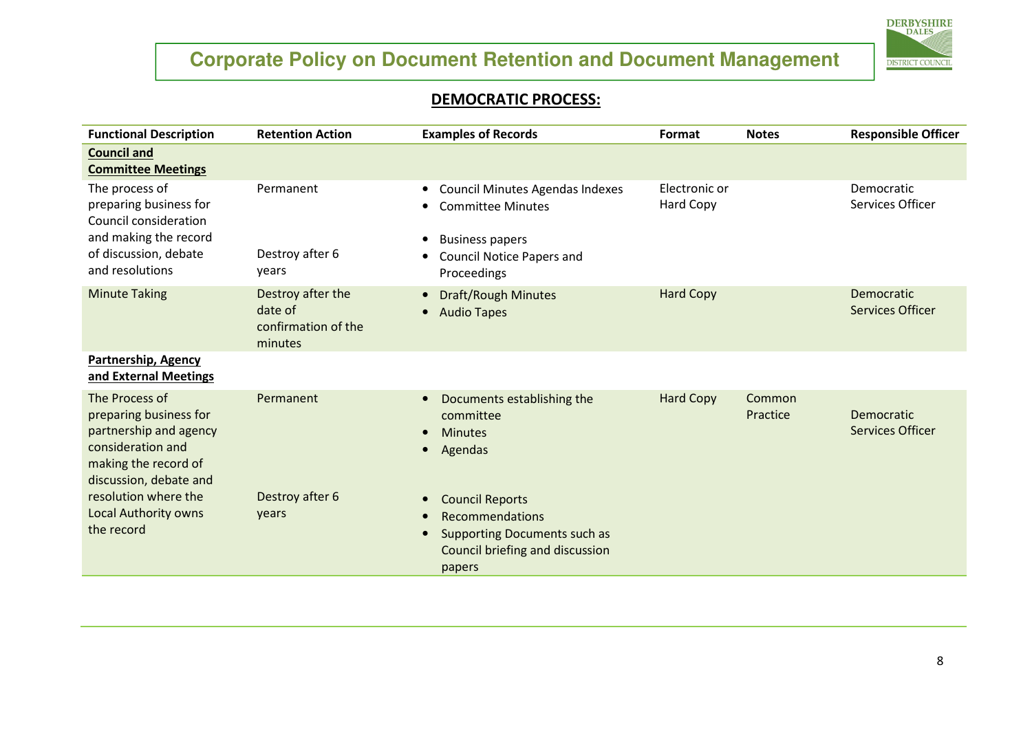

#### DEMOCRATIC PROCESS:

| <b>Functional Description</b>                                                                                                             | <b>Retention Action</b>                                        | <b>Examples of Records</b>                                                                                                                                                | Format                            | <b>Notes</b>       | <b>Responsible Officer</b>            |
|-------------------------------------------------------------------------------------------------------------------------------------------|----------------------------------------------------------------|---------------------------------------------------------------------------------------------------------------------------------------------------------------------------|-----------------------------------|--------------------|---------------------------------------|
| <b>Council and</b><br><b>Committee Meetings</b>                                                                                           |                                                                |                                                                                                                                                                           |                                   |                    |                                       |
| The process of<br>preparing business for<br>Council consideration<br>and making the record<br>of discussion, debate<br>and resolutions    | Permanent<br>Destroy after 6<br>years                          | <b>Council Minutes Agendas Indexes</b><br>$\bullet$<br><b>Committee Minutes</b><br><b>Business papers</b><br>$\bullet$<br><b>Council Notice Papers and</b><br>Proceedings | Electronic or<br><b>Hard Copy</b> |                    | Democratic<br>Services Officer        |
| <b>Minute Taking</b>                                                                                                                      | Destroy after the<br>date of<br>confirmation of the<br>minutes | <b>Draft/Rough Minutes</b><br>$\bullet$<br>• Audio Tapes                                                                                                                  | <b>Hard Copy</b>                  |                    | Democratic<br><b>Services Officer</b> |
| Partnership, Agency<br>and External Meetings                                                                                              |                                                                |                                                                                                                                                                           |                                   |                    |                                       |
| The Process of<br>preparing business for<br>partnership and agency<br>consideration and<br>making the record of<br>discussion, debate and | Permanent                                                      | Documents establishing the<br>committee<br><b>Minutes</b><br>$\bullet$<br>Agendas<br>$\bullet$                                                                            | <b>Hard Copy</b>                  | Common<br>Practice | Democratic<br><b>Services Officer</b> |
| resolution where the<br><b>Local Authority owns</b><br>the record                                                                         | Destroy after 6<br>years                                       | <b>Council Reports</b><br>$\bullet$<br>Recommendations<br>$\bullet$<br><b>Supporting Documents such as</b><br>Council briefing and discussion<br>papers                   |                                   |                    |                                       |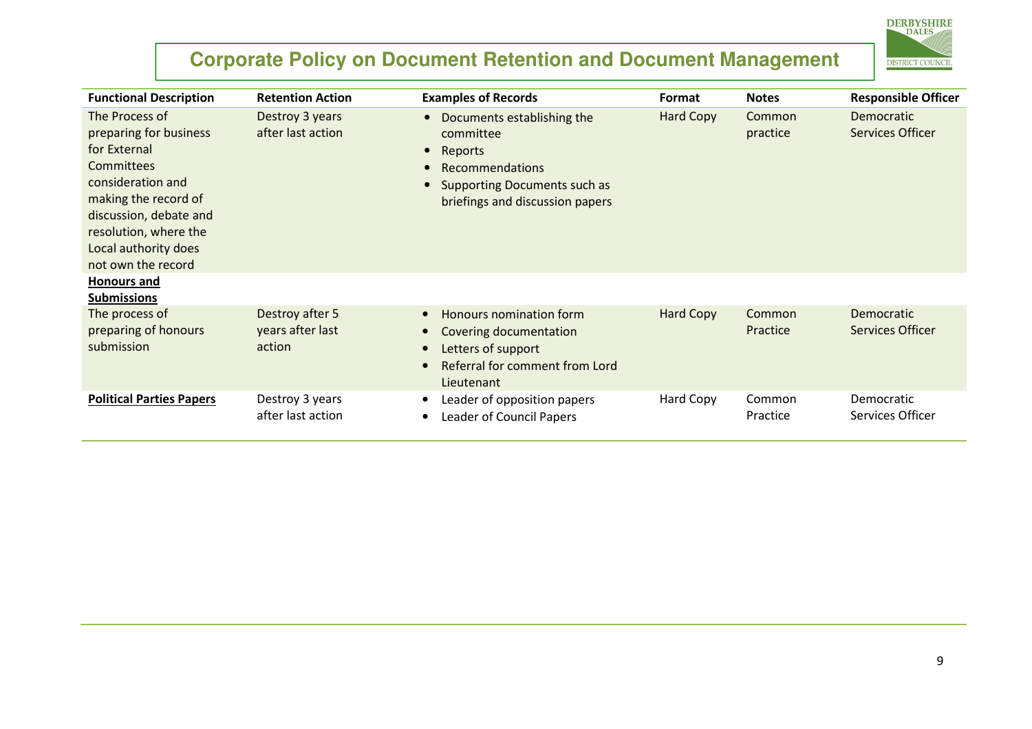

| <b>Functional Description</b>                                                                                                                                                                                                              | <b>Retention Action</b>                       | <b>Examples of Records</b>                                                                                                                                                                    | Format    | <b>Notes</b>       | <b>Responsible Officer</b>            |
|--------------------------------------------------------------------------------------------------------------------------------------------------------------------------------------------------------------------------------------------|-----------------------------------------------|-----------------------------------------------------------------------------------------------------------------------------------------------------------------------------------------------|-----------|--------------------|---------------------------------------|
| The Process of<br>preparing for business<br>for External<br><b>Committees</b><br>consideration and<br>making the record of<br>discussion, debate and<br>resolution, where the<br>Local authority does<br>not own the record<br>Honours and | Destroy 3 years<br>after last action          | Documents establishing the<br>$\bullet$<br>committee<br>Reports<br>$\bullet$<br><b>Recommendations</b><br>$\bullet$<br><b>Supporting Documents such as</b><br>briefings and discussion papers | Hard Copy | Common<br>practice | <b>Democratic</b><br>Services Officer |
| <b>Submissions</b>                                                                                                                                                                                                                         |                                               |                                                                                                                                                                                               |           |                    |                                       |
| The process of<br>preparing of honours<br>submission                                                                                                                                                                                       | Destroy after 5<br>years after last<br>action | Honours nomination form<br>$\bullet$<br>Covering documentation<br>Letters of support<br><b>Referral for comment from Lord</b><br>Lieutenant                                                   | Hard Copy | Common<br>Practice | <b>Democratic</b><br>Services Officer |
| <b>Political Parties Papers</b>                                                                                                                                                                                                            | Destroy 3 years<br>after last action          | Leader of opposition papers<br>$\bullet$<br><b>Leader of Council Papers</b>                                                                                                                   | Hard Copy | Common<br>Practice | Democratic<br>Services Officer        |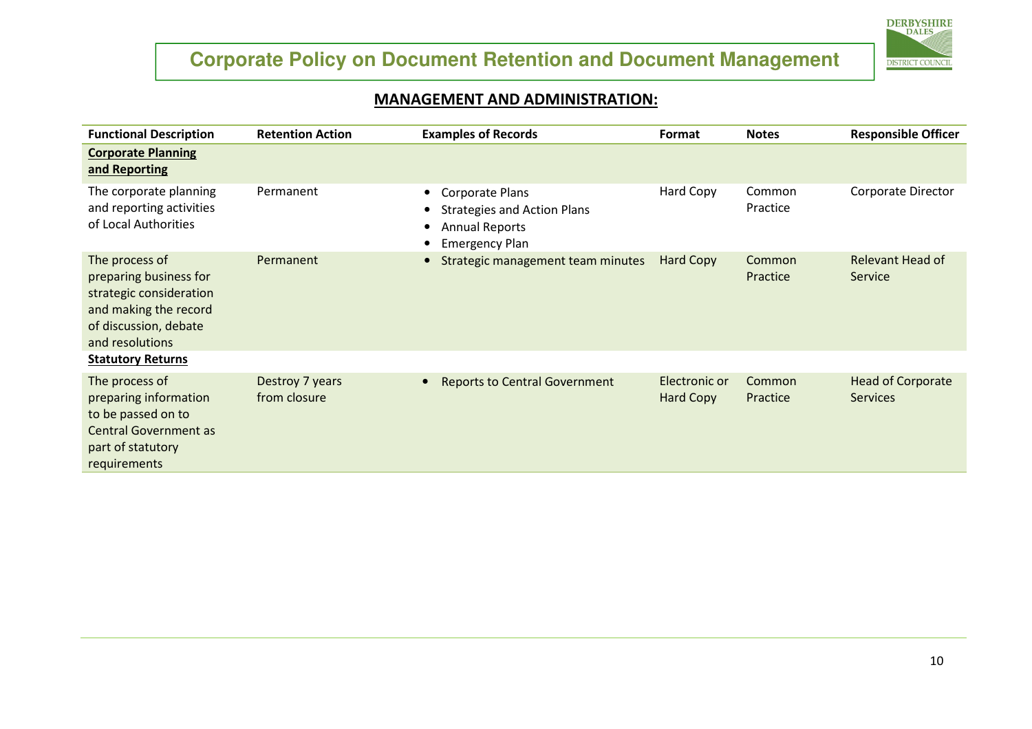

#### MANAGEMENT AND ADMINISTRATION:

| <b>Functional Description</b>                                                                                                            | <b>Retention Action</b>         | <b>Examples of Records</b>                                                                                                  | Format                            | <b>Notes</b>       | <b>Responsible Officer</b>                  |
|------------------------------------------------------------------------------------------------------------------------------------------|---------------------------------|-----------------------------------------------------------------------------------------------------------------------------|-----------------------------------|--------------------|---------------------------------------------|
| <b>Corporate Planning</b><br>and Reporting                                                                                               |                                 |                                                                                                                             |                                   |                    |                                             |
| The corporate planning<br>and reporting activities<br>of Local Authorities                                                               | Permanent                       | <b>Corporate Plans</b><br>$\bullet$<br><b>Strategies and Action Plans</b><br><b>Annual Reports</b><br><b>Emergency Plan</b> | Hard Copy                         | Common<br>Practice | Corporate Director                          |
| The process of<br>preparing business for<br>strategic consideration<br>and making the record<br>of discussion, debate<br>and resolutions | Permanent                       | Strategic management team minutes                                                                                           | <b>Hard Copy</b>                  | Common<br>Practice | Relevant Head of<br><b>Service</b>          |
| <b>Statutory Returns</b>                                                                                                                 |                                 |                                                                                                                             |                                   |                    |                                             |
| The process of<br>preparing information<br>to be passed on to<br><b>Central Government as</b><br>part of statutory<br>requirements       | Destroy 7 years<br>from closure | <b>Reports to Central Government</b>                                                                                        | Electronic or<br><b>Hard Copy</b> | Common<br>Practice | <b>Head of Corporate</b><br><b>Services</b> |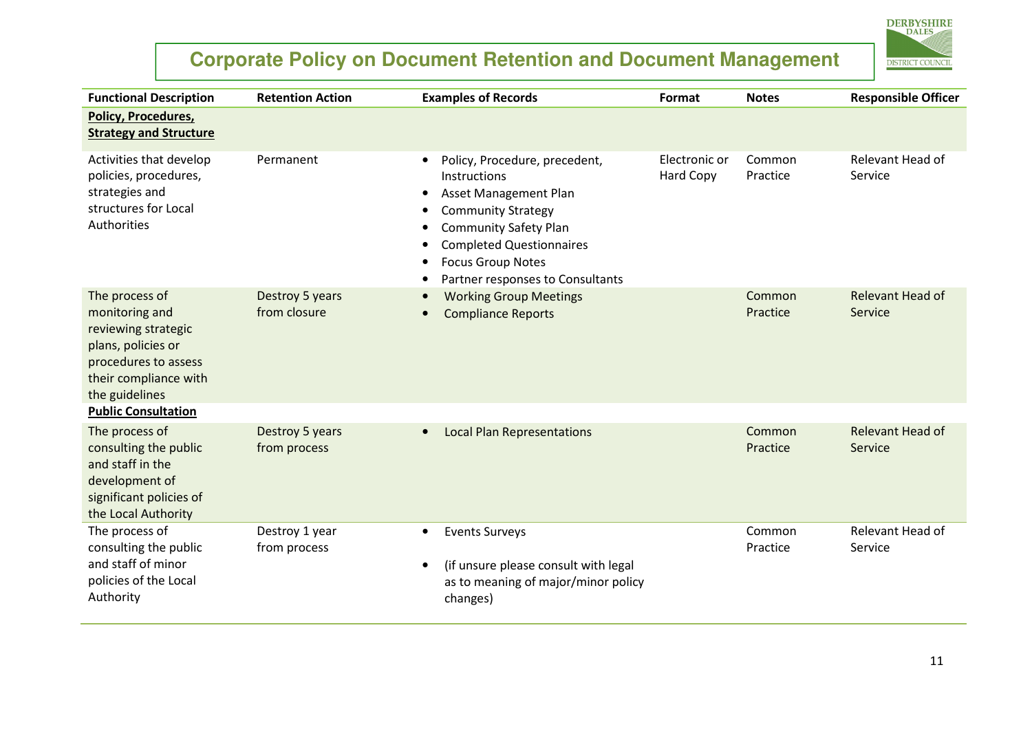

| <b>Functional Description</b>                                                                                                                    | <b>Retention Action</b>         | <b>Examples of Records</b>                                                                                                                                                                                                                                       | Format                     | <b>Notes</b>       | <b>Responsible Officer</b>  |
|--------------------------------------------------------------------------------------------------------------------------------------------------|---------------------------------|------------------------------------------------------------------------------------------------------------------------------------------------------------------------------------------------------------------------------------------------------------------|----------------------------|--------------------|-----------------------------|
| <b>Policy, Procedures,</b><br><b>Strategy and Structure</b>                                                                                      |                                 |                                                                                                                                                                                                                                                                  |                            |                    |                             |
| Activities that develop<br>policies, procedures,<br>strategies and<br>structures for Local<br>Authorities                                        | Permanent                       | Policy, Procedure, precedent,<br>$\bullet$<br>Instructions<br>Asset Management Plan<br><b>Community Strategy</b><br><b>Community Safety Plan</b><br><b>Completed Questionnaires</b><br>$\bullet$<br><b>Focus Group Notes</b><br>Partner responses to Consultants | Electronic or<br>Hard Copy | Common<br>Practice | Relevant Head of<br>Service |
| The process of<br>monitoring and<br>reviewing strategic<br>plans, policies or<br>procedures to assess<br>their compliance with<br>the guidelines | Destroy 5 years<br>from closure | <b>Working Group Meetings</b><br><b>Compliance Reports</b>                                                                                                                                                                                                       |                            | Common<br>Practice | Relevant Head of<br>Service |
| <b>Public Consultation</b>                                                                                                                       |                                 |                                                                                                                                                                                                                                                                  |                            |                    |                             |
| The process of<br>consulting the public<br>and staff in the<br>development of<br>significant policies of<br>the Local Authority                  | Destroy 5 years<br>from process | <b>Local Plan Representations</b><br>$\bullet$                                                                                                                                                                                                                   |                            | Common<br>Practice | Relevant Head of<br>Service |
| The process of<br>consulting the public<br>and staff of minor<br>policies of the Local<br>Authority                                              | Destroy 1 year<br>from process  | <b>Events Surveys</b><br>$\bullet$<br>(if unsure please consult with legal<br>$\bullet$<br>as to meaning of major/minor policy<br>changes)                                                                                                                       |                            | Common<br>Practice | Relevant Head of<br>Service |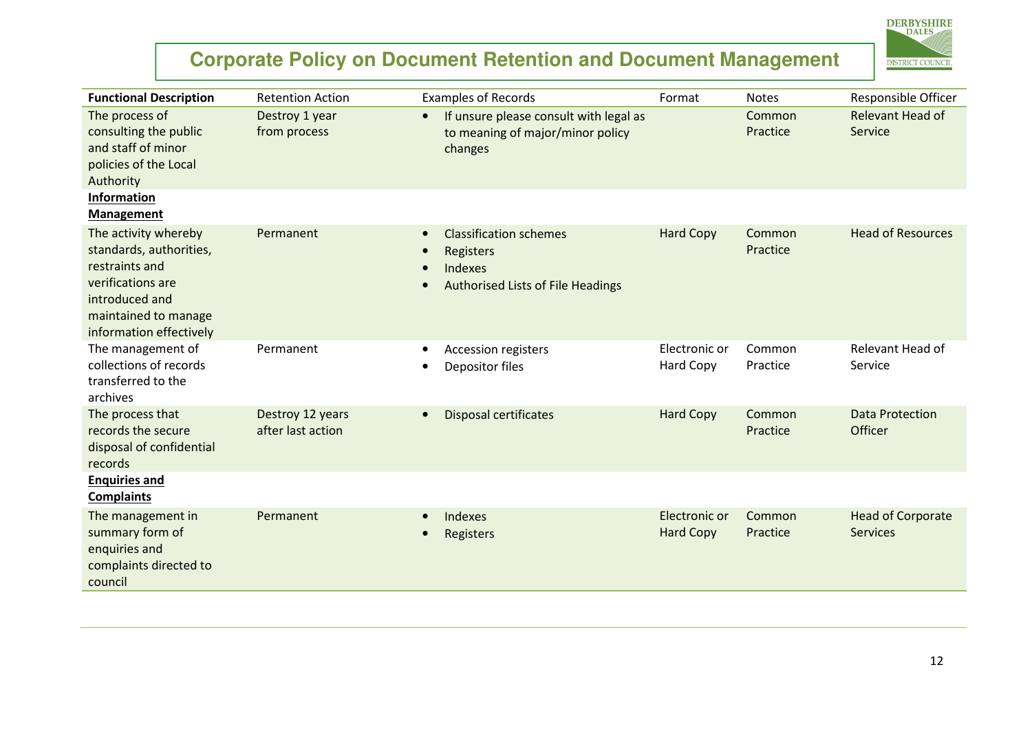# **DERBYSHIRE DISTRICT COUNCIL**

| <b>Functional Description</b>                                                                                                                               | <b>Retention Action</b>               | <b>Examples of Records</b>                                                                                                  | Format                            | <b>Notes</b>       | Responsible Officer                         |
|-------------------------------------------------------------------------------------------------------------------------------------------------------------|---------------------------------------|-----------------------------------------------------------------------------------------------------------------------------|-----------------------------------|--------------------|---------------------------------------------|
| The process of<br>consulting the public<br>and staff of minor<br>policies of the Local<br>Authority                                                         | Destroy 1 year<br>from process        | If unsure please consult with legal as<br>$\bullet$<br>to meaning of major/minor policy<br>changes                          |                                   | Common<br>Practice | Relevant Head of<br>Service                 |
| Information<br><b>Management</b>                                                                                                                            |                                       |                                                                                                                             |                                   |                    |                                             |
| The activity whereby<br>standards, authorities,<br>restraints and<br>verifications are<br>introduced and<br>maintained to manage<br>information effectively | Permanent                             | <b>Classification schemes</b><br>$\bullet$<br>Registers<br>Indexes<br>$\bullet$<br><b>Authorised Lists of File Headings</b> | <b>Hard Copy</b>                  | Common<br>Practice | <b>Head of Resources</b>                    |
| The management of<br>collections of records<br>transferred to the<br>archives                                                                               | Permanent                             | Accession registers<br>$\bullet$<br>Depositor files                                                                         | Electronic or<br>Hard Copy        | Common<br>Practice | Relevant Head of<br>Service                 |
| The process that<br>records the secure<br>disposal of confidential<br>records                                                                               | Destroy 12 years<br>after last action | <b>Disposal certificates</b><br>$\bullet$                                                                                   | <b>Hard Copy</b>                  | Common<br>Practice | <b>Data Protection</b><br>Officer           |
| <b>Enquiries and</b><br><b>Complaints</b>                                                                                                                   |                                       |                                                                                                                             |                                   |                    |                                             |
| The management in<br>summary form of<br>enquiries and<br>complaints directed to<br>council                                                                  | Permanent                             | <b>Indexes</b><br>Registers                                                                                                 | Electronic or<br><b>Hard Copy</b> | Common<br>Practice | <b>Head of Corporate</b><br><b>Services</b> |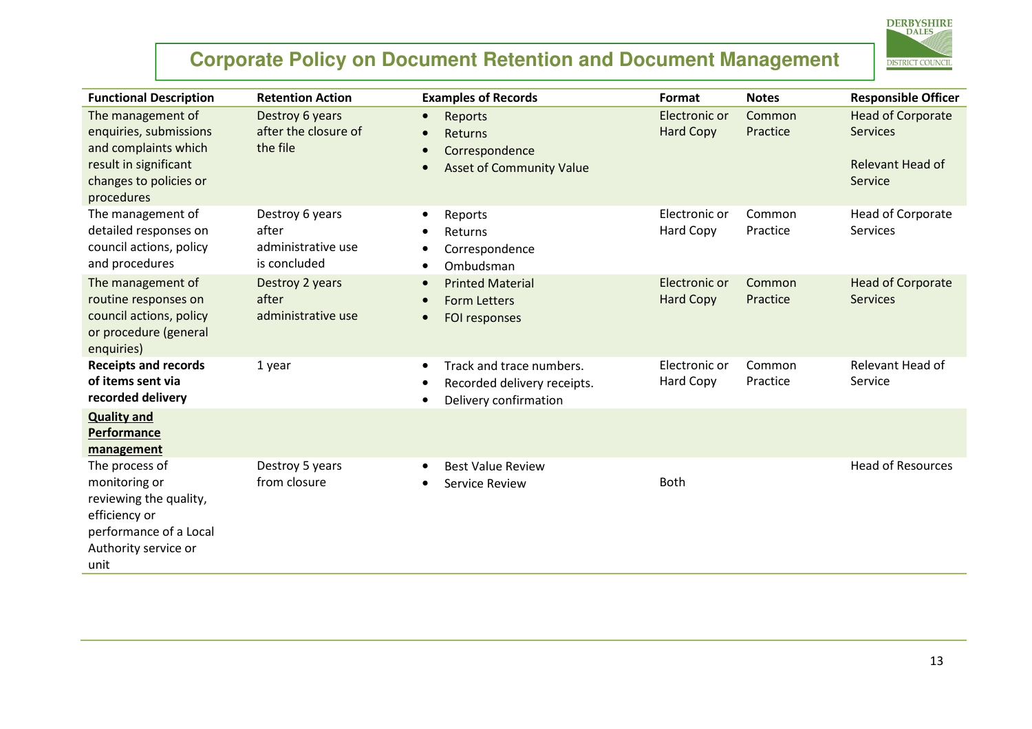

| <b>Functional Description</b>                                                                                                        | <b>Retention Action</b>                                        | <b>Examples of Records</b>                                                                        | Format                            | <b>Notes</b>       | <b>Responsible Officer</b>                                                 |
|--------------------------------------------------------------------------------------------------------------------------------------|----------------------------------------------------------------|---------------------------------------------------------------------------------------------------|-----------------------------------|--------------------|----------------------------------------------------------------------------|
| The management of<br>enquiries, submissions<br>and complaints which<br>result in significant<br>changes to policies or<br>procedures | Destroy 6 years<br>after the closure of<br>the file            | Reports<br>$\bullet$<br>Returns<br>Correspondence<br><b>Asset of Community Value</b><br>$\bullet$ | Electronic or<br><b>Hard Copy</b> | Common<br>Practice | <b>Head of Corporate</b><br><b>Services</b><br>Relevant Head of<br>Service |
| The management of<br>detailed responses on<br>council actions, policy<br>and procedures                                              | Destroy 6 years<br>after<br>administrative use<br>is concluded | Reports<br>$\bullet$<br>Returns<br>Correspondence<br>Ombudsman<br>$\bullet$                       | Electronic or<br>Hard Copy        | Common<br>Practice | Head of Corporate<br><b>Services</b>                                       |
| The management of<br>routine responses on<br>council actions, policy<br>or procedure (general<br>enquiries)                          | Destroy 2 years<br>after<br>administrative use                 | <b>Printed Material</b><br><b>Form Letters</b><br>FOI responses<br>$\bullet$                      | Electronic or<br><b>Hard Copy</b> | Common<br>Practice | <b>Head of Corporate</b><br><b>Services</b>                                |
| <b>Receipts and records</b><br>of items sent via<br>recorded delivery                                                                | 1 year                                                         | Track and trace numbers.<br>$\bullet$<br>Recorded delivery receipts.<br>Delivery confirmation     | Electronic or<br><b>Hard Copy</b> | Common<br>Practice | Relevant Head of<br>Service                                                |
| <b>Quality and</b><br>Performance<br>management                                                                                      |                                                                |                                                                                                   |                                   |                    |                                                                            |
| The process of<br>monitoring or<br>reviewing the quality,<br>efficiency or<br>performance of a Local<br>Authority service or<br>unit | Destroy 5 years<br>from closure                                | <b>Best Value Review</b><br>$\bullet$<br><b>Service Review</b>                                    | <b>Both</b>                       |                    | <b>Head of Resources</b>                                                   |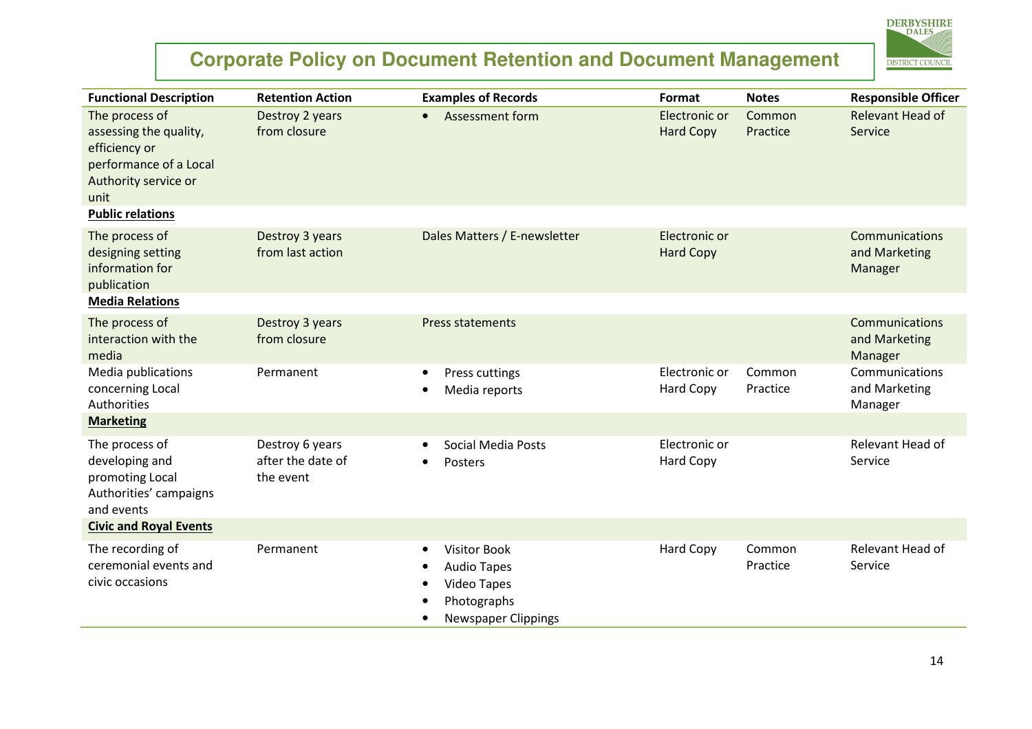

| <b>Functional Description</b>                                                                                       | <b>Retention Action</b>                           | <b>Examples of Records</b>                                                                                                            | <b>Format</b>                     | <b>Notes</b>       | <b>Responsible Officer</b>                        |
|---------------------------------------------------------------------------------------------------------------------|---------------------------------------------------|---------------------------------------------------------------------------------------------------------------------------------------|-----------------------------------|--------------------|---------------------------------------------------|
| The process of<br>assessing the quality,<br>efficiency or<br>performance of a Local<br>Authority service or<br>unit | Destroy 2 years<br>from closure                   | Assessment form<br>$\bullet$                                                                                                          | Electronic or<br><b>Hard Copy</b> | Common<br>Practice | <b>Relevant Head of</b><br>Service                |
| <b>Public relations</b>                                                                                             |                                                   |                                                                                                                                       |                                   |                    |                                                   |
| The process of<br>designing setting<br>information for<br>publication                                               | Destroy 3 years<br>from last action               | Dales Matters / E-newsletter                                                                                                          | Electronic or<br><b>Hard Copy</b> |                    | Communications<br>and Marketing<br>Manager        |
| <b>Media Relations</b>                                                                                              |                                                   |                                                                                                                                       |                                   |                    |                                                   |
| The process of<br>interaction with the<br>media                                                                     | Destroy 3 years<br>from closure                   | <b>Press statements</b>                                                                                                               |                                   |                    | <b>Communications</b><br>and Marketing<br>Manager |
| Media publications<br>concerning Local<br>Authorities                                                               | Permanent                                         | Press cuttings<br>$\bullet$<br>Media reports<br>$\bullet$                                                                             | Electronic or<br>Hard Copy        | Common<br>Practice | Communications<br>and Marketing<br>Manager        |
| <b>Marketing</b>                                                                                                    |                                                   |                                                                                                                                       |                                   |                    |                                                   |
| The process of<br>developing and<br>promoting Local<br>Authorities' campaigns<br>and events                         | Destroy 6 years<br>after the date of<br>the event | Social Media Posts<br>Posters<br>$\bullet$                                                                                            | Electronic or<br><b>Hard Copy</b> |                    | Relevant Head of<br>Service                       |
| <b>Civic and Royal Events</b>                                                                                       |                                                   |                                                                                                                                       |                                   |                    |                                                   |
| The recording of<br>ceremonial events and<br>civic occasions                                                        | Permanent                                         | <b>Visitor Book</b><br>$\bullet$<br><b>Audio Tapes</b><br>$\bullet$<br>Video Tapes<br>$\bullet$<br>Photographs<br>Newspaper Clippings | Hard Copy                         | Common<br>Practice | Relevant Head of<br>Service                       |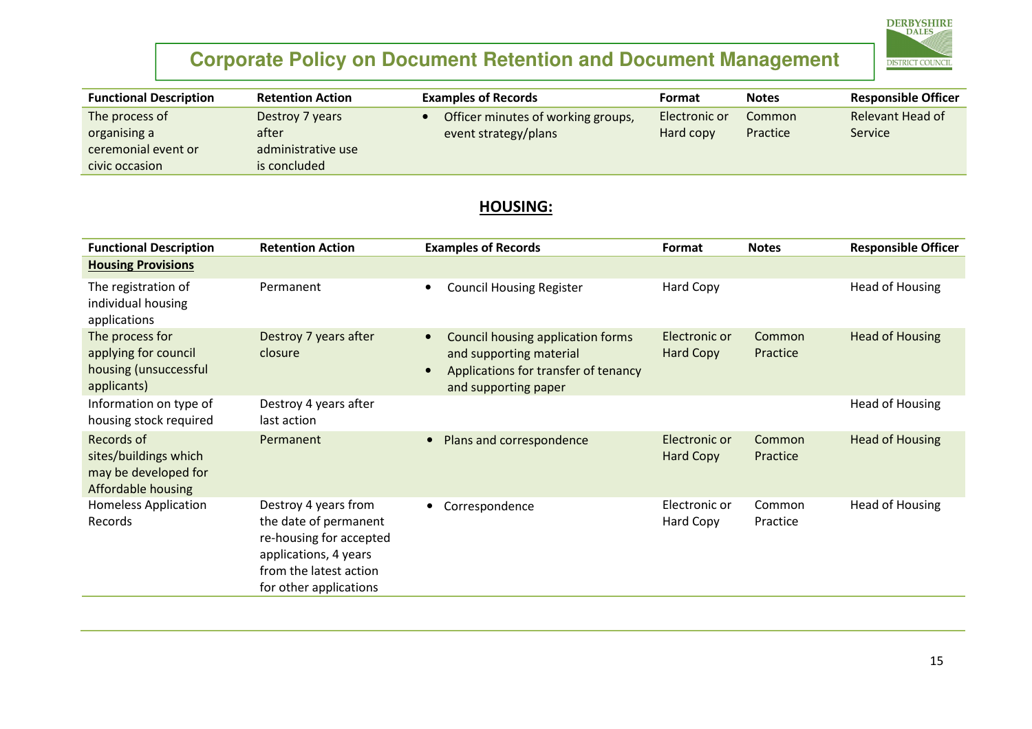

| <b>Functional Description</b> | <b>Retention Action</b> | <b>Examples of Records</b>         | Format        | <b>Notes</b> | <b>Responsible Officer</b> |
|-------------------------------|-------------------------|------------------------------------|---------------|--------------|----------------------------|
| The process of                | Destroy 7 years         | Officer minutes of working groups, | Electronic or | Common       | Relevant Head of           |
| organising a                  | after                   | event strategy/plans               | Hard copy     | Practice     | <b>Service</b>             |
| ceremonial event or           | administrative use      |                                    |               |              |                            |
| civic occasion                | is concluded            |                                    |               |              |                            |

#### HOUSING:

| <b>Functional Description</b>                                                            | <b>Retention Action</b>                                                                                                                               | <b>Examples of Records</b>                                                                                                                | Format                            | <b>Notes</b>       | <b>Responsible Officer</b> |
|------------------------------------------------------------------------------------------|-------------------------------------------------------------------------------------------------------------------------------------------------------|-------------------------------------------------------------------------------------------------------------------------------------------|-----------------------------------|--------------------|----------------------------|
| <b>Housing Provisions</b>                                                                |                                                                                                                                                       |                                                                                                                                           |                                   |                    |                            |
| The registration of<br>individual housing<br>applications                                | Permanent                                                                                                                                             | <b>Council Housing Register</b><br>$\bullet$                                                                                              | Hard Copy                         |                    | <b>Head of Housing</b>     |
| The process for<br>applying for council<br>housing (unsuccessful<br>applicants)          | Destroy 7 years after<br>closure                                                                                                                      | Council housing application forms<br>$\bullet$<br>and supporting material<br>Applications for transfer of tenancy<br>and supporting paper | Electronic or<br><b>Hard Copy</b> | Common<br>Practice | <b>Head of Housing</b>     |
| Information on type of<br>housing stock required                                         | Destroy 4 years after<br>last action                                                                                                                  |                                                                                                                                           |                                   |                    | <b>Head of Housing</b>     |
| Records of<br>sites/buildings which<br>may be developed for<br><b>Affordable housing</b> | Permanent                                                                                                                                             | Plans and correspondence<br>$\bullet$                                                                                                     | Electronic or<br><b>Hard Copy</b> | Common<br>Practice | <b>Head of Housing</b>     |
| <b>Homeless Application</b><br>Records                                                   | Destroy 4 years from<br>the date of permanent<br>re-housing for accepted<br>applications, 4 years<br>from the latest action<br>for other applications | Correspondence<br>$\bullet$                                                                                                               | Electronic or<br>Hard Copy        | Common<br>Practice | <b>Head of Housing</b>     |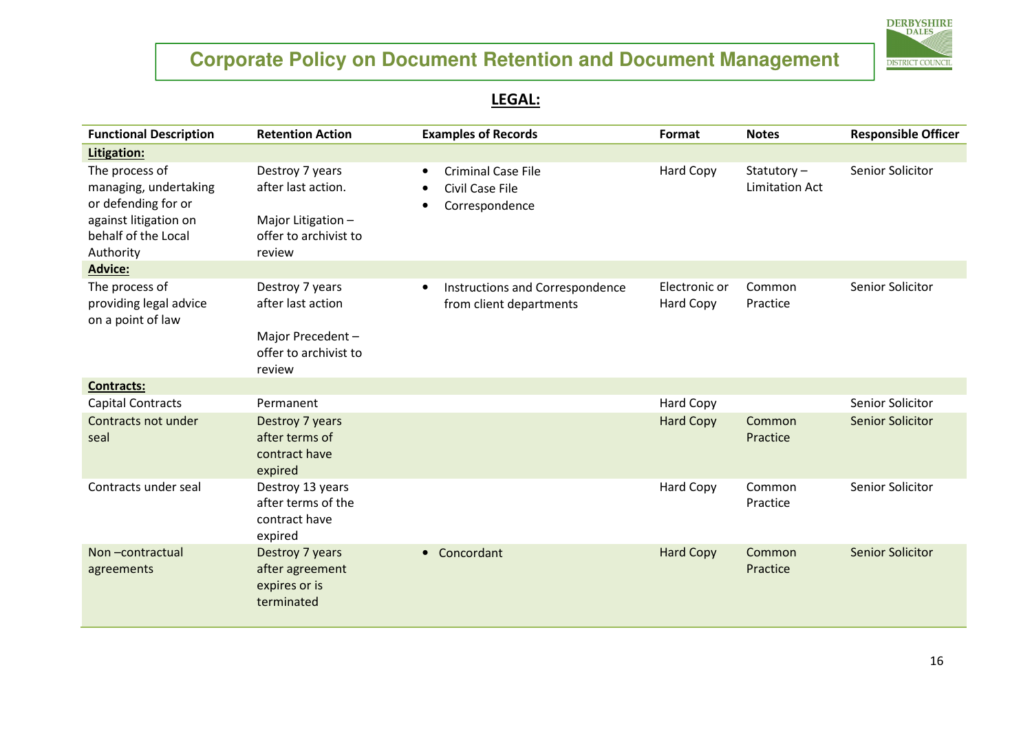

#### <u>LEGAL:</u>

| <b>Functional Description</b>                                                                                               | <b>Retention Action</b>                                                                        | <b>Examples of Records</b>                                                  | Format                     | <b>Notes</b>                        | <b>Responsible Officer</b> |
|-----------------------------------------------------------------------------------------------------------------------------|------------------------------------------------------------------------------------------------|-----------------------------------------------------------------------------|----------------------------|-------------------------------------|----------------------------|
| Litigation:                                                                                                                 |                                                                                                |                                                                             |                            |                                     |                            |
| The process of<br>managing, undertaking<br>or defending for or<br>against litigation on<br>behalf of the Local<br>Authority | Destroy 7 years<br>after last action.<br>Major Litigation -<br>offer to archivist to<br>review | <b>Criminal Case File</b><br>$\bullet$<br>Civil Case File<br>Correspondence | Hard Copy                  | Statutory-<br><b>Limitation Act</b> | Senior Solicitor           |
| <b>Advice:</b>                                                                                                              |                                                                                                |                                                                             |                            |                                     |                            |
| The process of<br>providing legal advice<br>on a point of law                                                               | Destroy 7 years<br>after last action<br>Major Precedent-<br>offer to archivist to<br>review    | Instructions and Correspondence<br>$\bullet$<br>from client departments     | Electronic or<br>Hard Copy | Common<br>Practice                  | Senior Solicitor           |
| <b>Contracts:</b>                                                                                                           |                                                                                                |                                                                             |                            |                                     |                            |
| <b>Capital Contracts</b>                                                                                                    | Permanent                                                                                      |                                                                             | Hard Copy                  |                                     | Senior Solicitor           |
| Contracts not under<br>seal                                                                                                 | Destroy 7 years<br>after terms of<br>contract have<br>expired                                  |                                                                             | <b>Hard Copy</b>           | Common<br>Practice                  | <b>Senior Solicitor</b>    |
| Contracts under seal                                                                                                        | Destroy 13 years<br>after terms of the<br>contract have<br>expired                             |                                                                             | Hard Copy                  | Common<br>Practice                  | Senior Solicitor           |
| Non-contractual<br>agreements                                                                                               | Destroy 7 years<br>after agreement<br>expires or is<br>terminated                              | Concordant<br>$\bullet$                                                     | <b>Hard Copy</b>           | Common<br>Practice                  | <b>Senior Solicitor</b>    |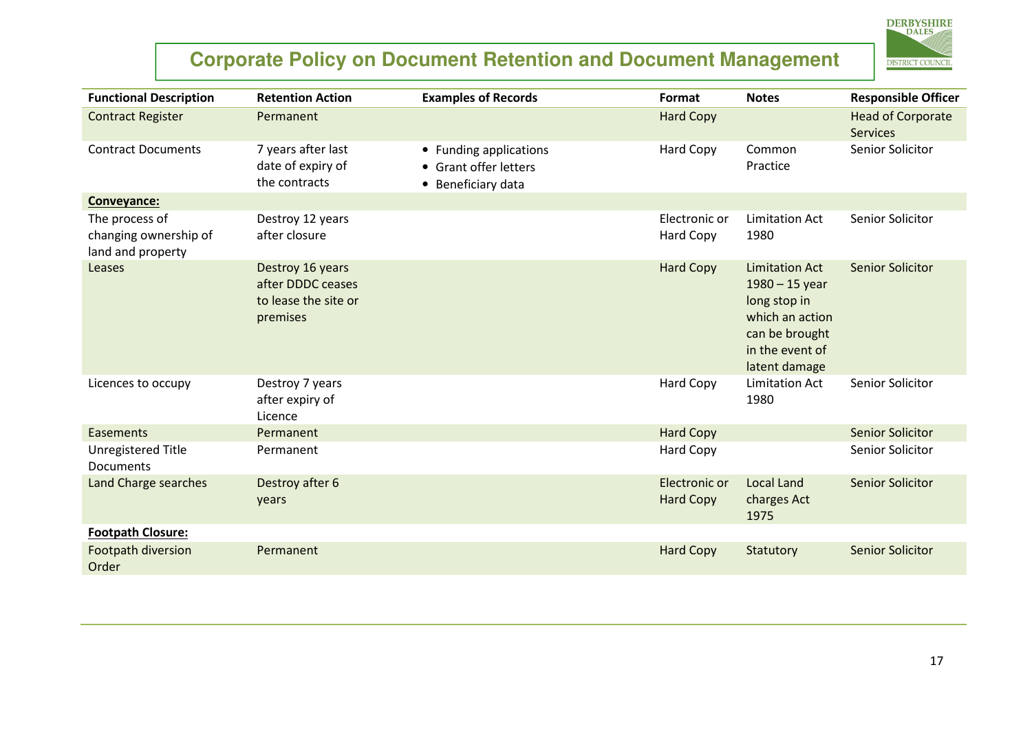

| <b>Functional Description</b>                                | <b>Retention Action</b>                                                   | <b>Examples of Records</b>                                            | Format                            | <b>Notes</b>                                                                                                                       | <b>Responsible Officer</b>                  |
|--------------------------------------------------------------|---------------------------------------------------------------------------|-----------------------------------------------------------------------|-----------------------------------|------------------------------------------------------------------------------------------------------------------------------------|---------------------------------------------|
| <b>Contract Register</b>                                     | Permanent                                                                 |                                                                       | <b>Hard Copy</b>                  |                                                                                                                                    | <b>Head of Corporate</b><br><b>Services</b> |
| <b>Contract Documents</b>                                    | 7 years after last<br>date of expiry of<br>the contracts                  | • Funding applications<br>• Grant offer letters<br>• Beneficiary data | Hard Copy                         | Common<br>Practice                                                                                                                 | Senior Solicitor                            |
| Conveyance:                                                  |                                                                           |                                                                       |                                   |                                                                                                                                    |                                             |
| The process of<br>changing ownership of<br>land and property | Destroy 12 years<br>after closure                                         |                                                                       | Electronic or<br>Hard Copy        | Limitation Act<br>1980                                                                                                             | Senior Solicitor                            |
| Leases                                                       | Destroy 16 years<br>after DDDC ceases<br>to lease the site or<br>premises |                                                                       | <b>Hard Copy</b>                  | <b>Limitation Act</b><br>$1980 - 15$ year<br>long stop in<br>which an action<br>can be brought<br>in the event of<br>latent damage | <b>Senior Solicitor</b>                     |
| Licences to occupy                                           | Destroy 7 years<br>after expiry of<br>Licence                             |                                                                       | Hard Copy                         | <b>Limitation Act</b><br>1980                                                                                                      | Senior Solicitor                            |
| Easements                                                    | Permanent                                                                 |                                                                       | <b>Hard Copy</b>                  |                                                                                                                                    | <b>Senior Solicitor</b>                     |
| Unregistered Title<br><b>Documents</b>                       | Permanent                                                                 |                                                                       | Hard Copy                         |                                                                                                                                    | Senior Solicitor                            |
| Land Charge searches                                         | Destroy after 6<br>years                                                  |                                                                       | Electronic or<br><b>Hard Copy</b> | <b>Local Land</b><br>charges Act<br>1975                                                                                           | <b>Senior Solicitor</b>                     |
| <b>Footpath Closure:</b>                                     |                                                                           |                                                                       |                                   |                                                                                                                                    |                                             |
| Footpath diversion<br>Order                                  | Permanent                                                                 |                                                                       | <b>Hard Copy</b>                  | Statutory                                                                                                                          | <b>Senior Solicitor</b>                     |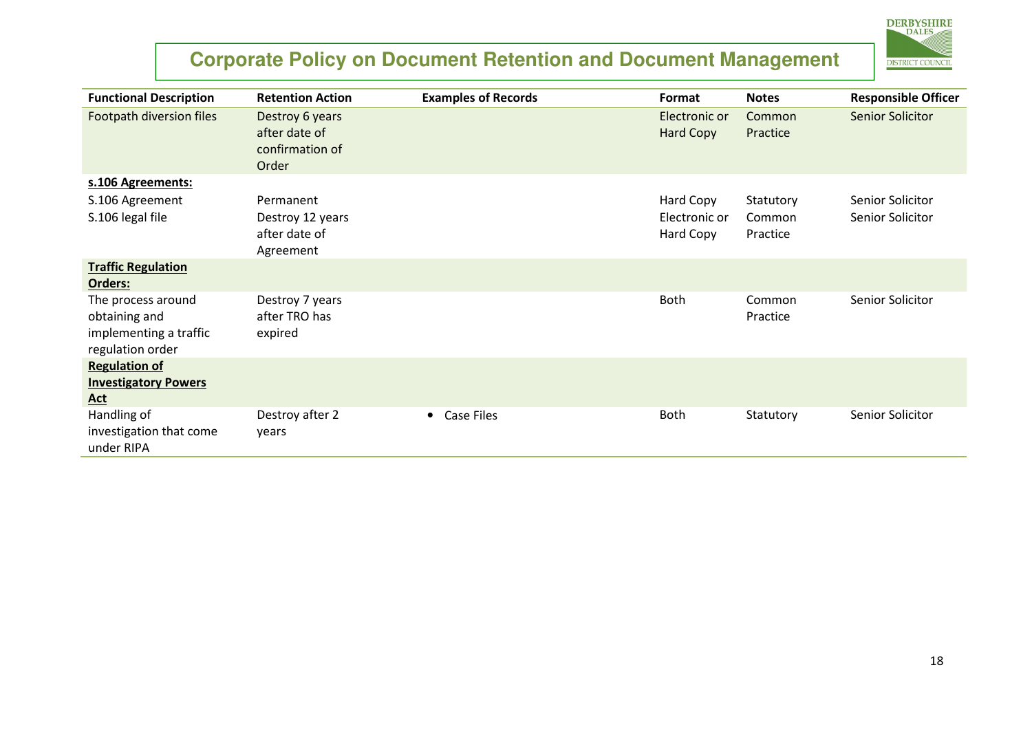

| <b>Functional Description</b>                                                     | <b>Retention Action</b>                                      | <b>Examples of Records</b> | Format                     | <b>Notes</b>       | <b>Responsible Officer</b> |
|-----------------------------------------------------------------------------------|--------------------------------------------------------------|----------------------------|----------------------------|--------------------|----------------------------|
| Footpath diversion files                                                          | Destroy 6 years<br>after date of<br>confirmation of<br>Order |                            | Electronic or<br>Hard Copy | Common<br>Practice | Senior Solicitor           |
| s.106 Agreements:                                                                 |                                                              |                            |                            |                    |                            |
| S.106 Agreement                                                                   | Permanent                                                    |                            | Hard Copy                  | Statutory          | Senior Solicitor           |
| S.106 legal file                                                                  | Destroy 12 years<br>after date of<br>Agreement               |                            | Electronic or<br>Hard Copy | Common<br>Practice | Senior Solicitor           |
| <b>Traffic Regulation</b><br>Orders:                                              |                                                              |                            |                            |                    |                            |
| The process around<br>obtaining and<br>implementing a traffic<br>regulation order | Destroy 7 years<br>after TRO has<br>expired                  |                            | <b>Both</b>                | Common<br>Practice | Senior Solicitor           |
| <b>Regulation of</b><br><b>Investigatory Powers</b><br><b>Act</b>                 |                                                              |                            |                            |                    |                            |
| Handling of<br>investigation that come<br>under RIPA                              | Destroy after 2<br>years                                     | Case Files<br>$\bullet$    | <b>Both</b>                | Statutory          | Senior Solicitor           |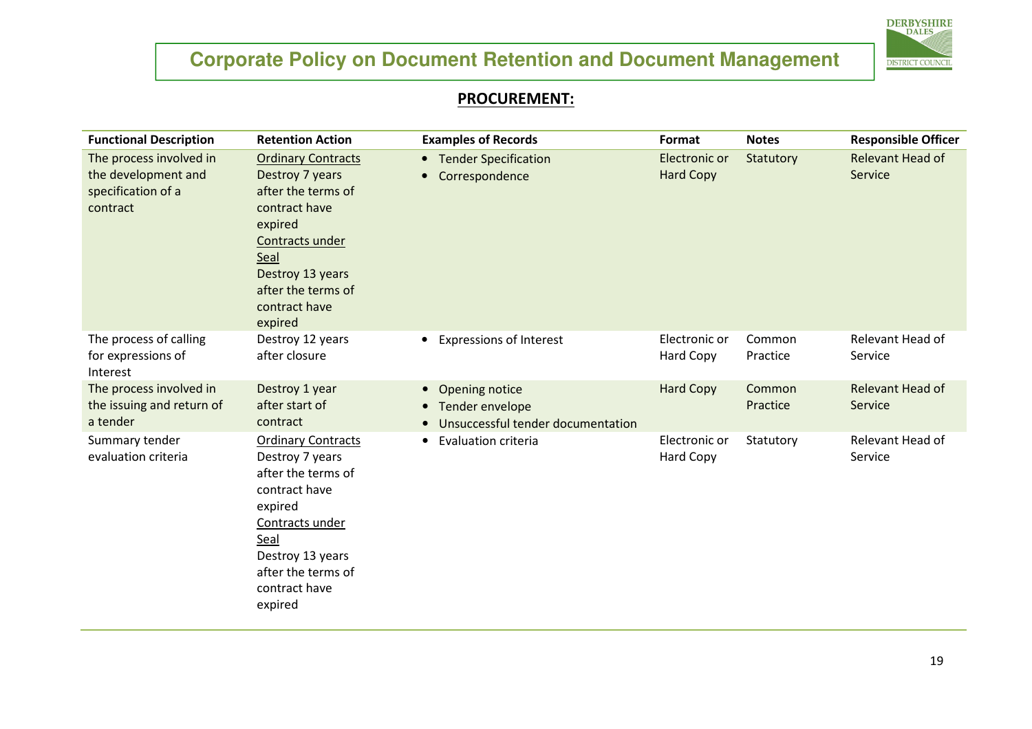

#### PROCUREMENT:

| <b>Functional Description</b>                                                    | <b>Retention Action</b>                                                                                                                                                                         | <b>Examples of Records</b>                                                                                    | Format                            | <b>Notes</b>       | <b>Responsible Officer</b>  |
|----------------------------------------------------------------------------------|-------------------------------------------------------------------------------------------------------------------------------------------------------------------------------------------------|---------------------------------------------------------------------------------------------------------------|-----------------------------------|--------------------|-----------------------------|
| The process involved in<br>the development and<br>specification of a<br>contract | <b>Ordinary Contracts</b><br>Destroy 7 years<br>after the terms of<br>contract have<br>expired<br>Contracts under<br>Seal<br>Destroy 13 years<br>after the terms of<br>contract have<br>expired | • Tender Specification<br>Correspondence                                                                      | Electronic or<br><b>Hard Copy</b> | Statutory          | Relevant Head of<br>Service |
| The process of calling<br>for expressions of<br>Interest                         | Destroy 12 years<br>after closure                                                                                                                                                               | <b>Expressions of Interest</b><br>$\bullet$                                                                   | Electronic or<br><b>Hard Copy</b> | Common<br>Practice | Relevant Head of<br>Service |
| The process involved in<br>the issuing and return of<br>a tender                 | Destroy 1 year<br>after start of<br>contract                                                                                                                                                    | Opening notice<br>$\bullet$<br>Tender envelope<br>$\bullet$<br>Unsuccessful tender documentation<br>$\bullet$ | <b>Hard Copy</b>                  | Common<br>Practice | Relevant Head of<br>Service |
| Summary tender<br>evaluation criteria                                            | <b>Ordinary Contracts</b><br>Destroy 7 years<br>after the terms of<br>contract have<br>expired<br>Contracts under<br>Seal<br>Destroy 13 years<br>after the terms of<br>contract have<br>expired | <b>Evaluation criteria</b><br>$\bullet$                                                                       | Electronic or<br><b>Hard Copy</b> | Statutory          | Relevant Head of<br>Service |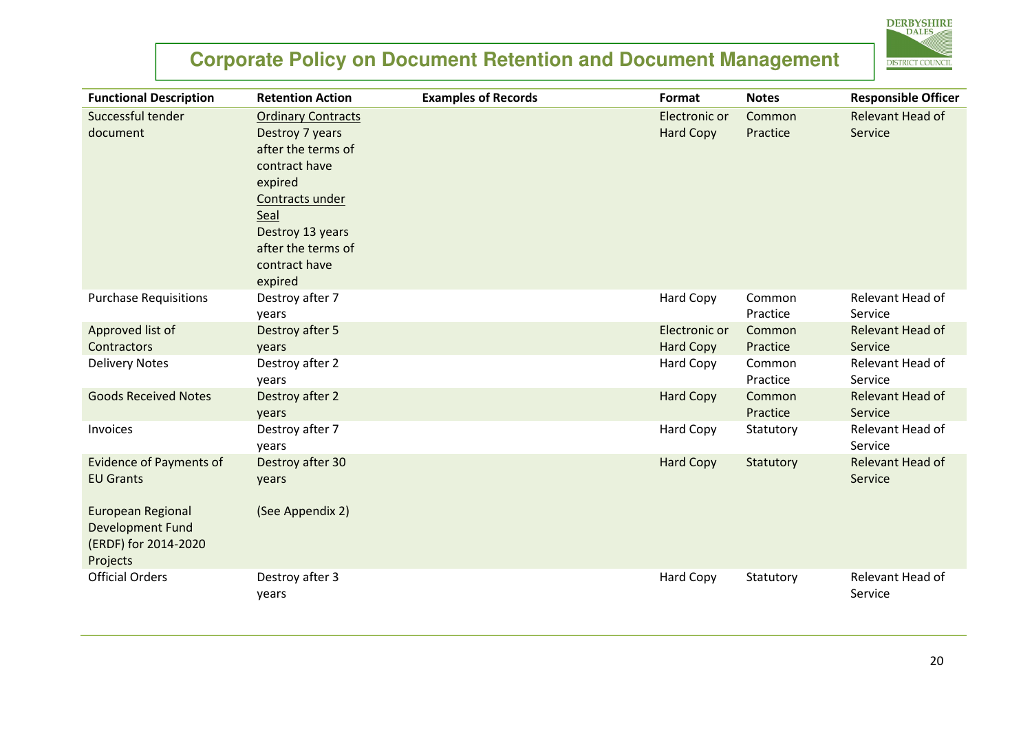

| <b>Functional Description</b>  | <b>Retention Action</b>   | <b>Examples of Records</b> | Format           | <b>Notes</b>       | <b>Responsible Officer</b>  |
|--------------------------------|---------------------------|----------------------------|------------------|--------------------|-----------------------------|
| Successful tender              | <b>Ordinary Contracts</b> |                            | Electronic or    | Common             | <b>Relevant Head of</b>     |
| document                       | Destroy 7 years           |                            | <b>Hard Copy</b> | Practice           | Service                     |
|                                | after the terms of        |                            |                  |                    |                             |
|                                | contract have             |                            |                  |                    |                             |
|                                | expired                   |                            |                  |                    |                             |
|                                | Contracts under           |                            |                  |                    |                             |
|                                | Seal                      |                            |                  |                    |                             |
|                                | Destroy 13 years          |                            |                  |                    |                             |
|                                | after the terms of        |                            |                  |                    |                             |
|                                | contract have             |                            |                  |                    |                             |
|                                | expired                   |                            |                  |                    |                             |
| <b>Purchase Requisitions</b>   | Destroy after 7           |                            | Hard Copy        | Common             | Relevant Head of            |
|                                | years                     |                            |                  | Practice           | Service                     |
| Approved list of               | Destroy after 5           |                            | Electronic or    | Common             | Relevant Head of            |
| <b>Contractors</b>             | years                     |                            | <b>Hard Copy</b> | Practice           | Service                     |
| <b>Delivery Notes</b>          | Destroy after 2           |                            | Hard Copy        | Common             | Relevant Head of            |
|                                | years                     |                            |                  | Practice           | Service                     |
| <b>Goods Received Notes</b>    | Destroy after 2           |                            | <b>Hard Copy</b> | Common<br>Practice | Relevant Head of            |
|                                | years                     |                            |                  |                    | Service<br>Relevant Head of |
| Invoices                       | Destroy after 7           |                            | Hard Copy        | Statutory          | Service                     |
| <b>Evidence of Payments of</b> | years<br>Destroy after 30 |                            | <b>Hard Copy</b> | Statutory          | Relevant Head of            |
| <b>EU Grants</b>               | years                     |                            |                  |                    | Service                     |
|                                |                           |                            |                  |                    |                             |
| European Regional              | (See Appendix 2)          |                            |                  |                    |                             |
| <b>Development Fund</b>        |                           |                            |                  |                    |                             |
| (ERDF) for 2014-2020           |                           |                            |                  |                    |                             |
| Projects                       |                           |                            |                  |                    |                             |
| <b>Official Orders</b>         | Destroy after 3           |                            | Hard Copy        | Statutory          | Relevant Head of            |
|                                | years                     |                            |                  |                    | Service                     |
|                                |                           |                            |                  |                    |                             |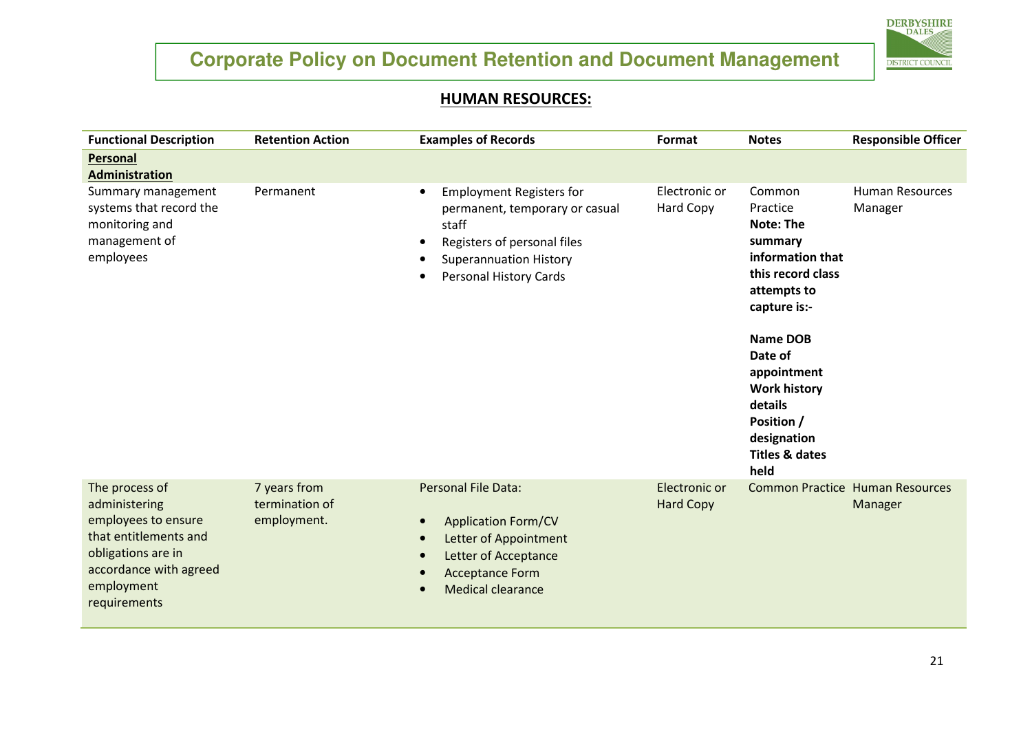

#### <u>HUMAN RESOURCES:</u>

| <b>Functional Description</b>                                                                                                                                 | <b>Retention Action</b>                       | <b>Examples of Records</b>                                                                                                                                                                             | Format                            | <b>Notes</b>                                                                                                                                                                                                                                                 | <b>Responsible Officer</b>                        |
|---------------------------------------------------------------------------------------------------------------------------------------------------------------|-----------------------------------------------|--------------------------------------------------------------------------------------------------------------------------------------------------------------------------------------------------------|-----------------------------------|--------------------------------------------------------------------------------------------------------------------------------------------------------------------------------------------------------------------------------------------------------------|---------------------------------------------------|
| Personal<br><b>Administration</b>                                                                                                                             |                                               |                                                                                                                                                                                                        |                                   |                                                                                                                                                                                                                                                              |                                                   |
| Summary management<br>systems that record the<br>monitoring and<br>management of<br>employees                                                                 | Permanent                                     | <b>Employment Registers for</b><br>$\bullet$<br>permanent, temporary or casual<br>staff<br>Registers of personal files<br>$\bullet$<br><b>Superannuation History</b><br>Personal History Cards         | Electronic or<br><b>Hard Copy</b> | Common<br>Practice<br>Note: The<br>summary<br>information that<br>this record class<br>attempts to<br>capture is:-<br>Name DOB<br>Date of<br>appointment<br><b>Work history</b><br>details<br>Position /<br>designation<br><b>Titles &amp; dates</b><br>held | <b>Human Resources</b><br>Manager                 |
| The process of<br>administering<br>employees to ensure<br>that entitlements and<br>obligations are in<br>accordance with agreed<br>employment<br>requirements | 7 years from<br>termination of<br>employment. | <b>Personal File Data:</b><br><b>Application Form/CV</b><br>$\bullet$<br>Letter of Appointment<br>$\bullet$<br>Letter of Acceptance<br>$\bullet$<br><b>Acceptance Form</b><br><b>Medical clearance</b> | Electronic or<br><b>Hard Copy</b> |                                                                                                                                                                                                                                                              | <b>Common Practice Human Resources</b><br>Manager |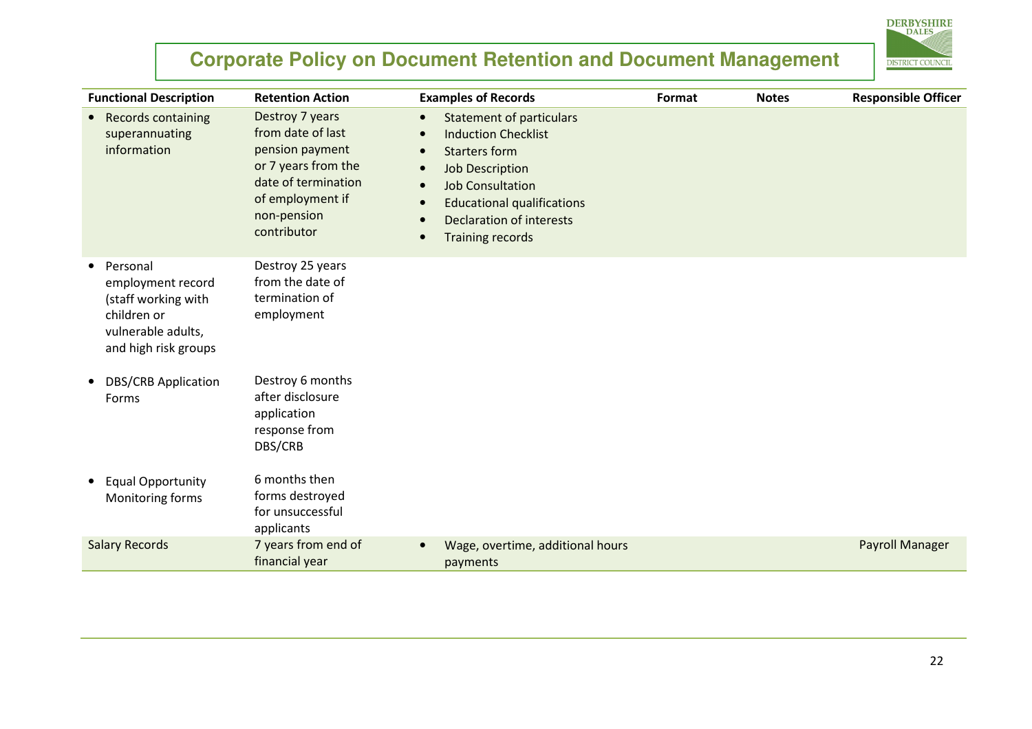

| <b>Functional Description</b>                                                                                                  | <b>Retention Action</b>                                                                                                                                 | <b>Examples of Records</b>                                                                                                                                                                                                                                              | Format | <b>Notes</b> | <b>Responsible Officer</b> |
|--------------------------------------------------------------------------------------------------------------------------------|---------------------------------------------------------------------------------------------------------------------------------------------------------|-------------------------------------------------------------------------------------------------------------------------------------------------------------------------------------------------------------------------------------------------------------------------|--------|--------------|----------------------------|
| Records containing<br>$\bullet$<br>superannuating<br>information                                                               | Destroy 7 years<br>from date of last<br>pension payment<br>or 7 years from the<br>date of termination<br>of employment if<br>non-pension<br>contributor | <b>Statement of particulars</b><br>$\bullet$<br><b>Induction Checklist</b><br><b>Starters form</b><br><b>Job Description</b><br><b>Job Consultation</b><br><b>Educational qualifications</b><br><b>Declaration of interests</b><br><b>Training records</b><br>$\bullet$ |        |              |                            |
| Personal<br>$\bullet$<br>employment record<br>(staff working with<br>children or<br>vulnerable adults,<br>and high risk groups | Destroy 25 years<br>from the date of<br>termination of<br>employment                                                                                    |                                                                                                                                                                                                                                                                         |        |              |                            |
| <b>DBS/CRB Application</b><br>$\bullet$<br>Forms                                                                               | Destroy 6 months<br>after disclosure<br>application<br>response from<br>DBS/CRB                                                                         |                                                                                                                                                                                                                                                                         |        |              |                            |
| <b>Equal Opportunity</b><br>$\bullet$<br>Monitoring forms                                                                      | 6 months then<br>forms destroyed<br>for unsuccessful<br>applicants                                                                                      |                                                                                                                                                                                                                                                                         |        |              |                            |
| <b>Salary Records</b>                                                                                                          | 7 years from end of<br>financial year                                                                                                                   | Wage, overtime, additional hours<br>payments                                                                                                                                                                                                                            |        |              | <b>Payroll Manager</b>     |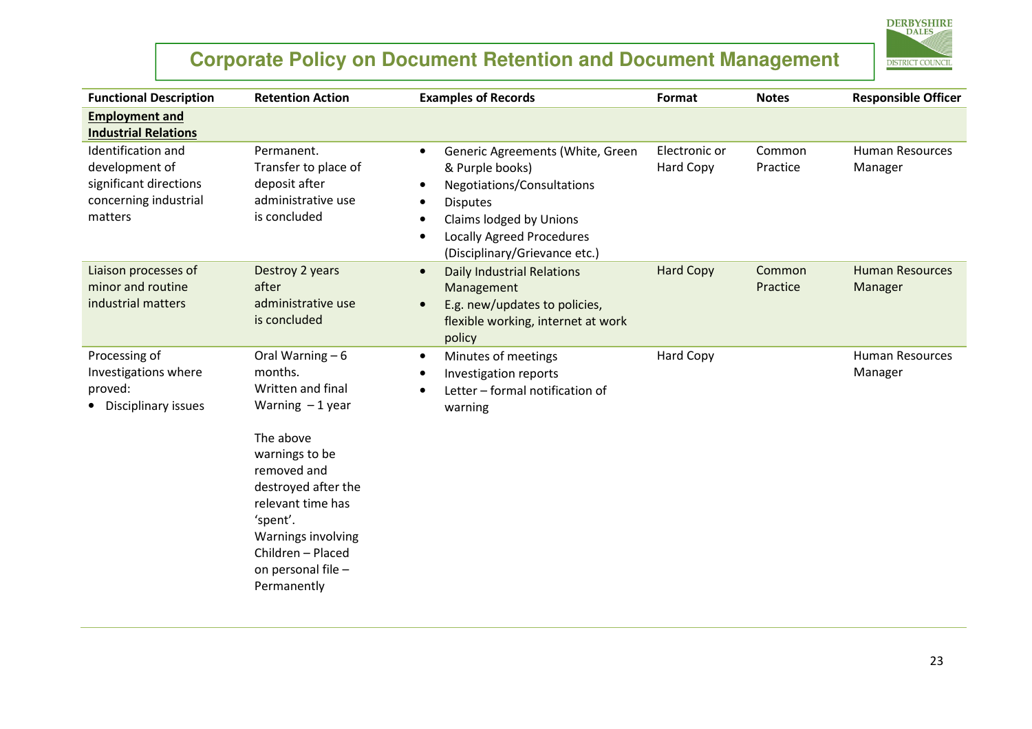

| <b>Functional Description</b>                                                                      | <b>Retention Action</b>                                                                                                                                                                                                                                      | <b>Examples of Records</b>                                                                                                                                                                                        | Format                     | <b>Notes</b>       | <b>Responsible Officer</b>        |
|----------------------------------------------------------------------------------------------------|--------------------------------------------------------------------------------------------------------------------------------------------------------------------------------------------------------------------------------------------------------------|-------------------------------------------------------------------------------------------------------------------------------------------------------------------------------------------------------------------|----------------------------|--------------------|-----------------------------------|
| <b>Employment and</b><br><b>Industrial Relations</b>                                               |                                                                                                                                                                                                                                                              |                                                                                                                                                                                                                   |                            |                    |                                   |
| Identification and<br>development of<br>significant directions<br>concerning industrial<br>matters | Permanent.<br>Transfer to place of<br>deposit after<br>administrative use<br>is concluded                                                                                                                                                                    | Generic Agreements (White, Green<br>$\bullet$<br>& Purple books)<br>Negotiations/Consultations<br><b>Disputes</b><br>Claims lodged by Unions<br><b>Locally Agreed Procedures</b><br>(Disciplinary/Grievance etc.) | Electronic or<br>Hard Copy | Common<br>Practice | <b>Human Resources</b><br>Manager |
| Liaison processes of<br>minor and routine<br>industrial matters                                    | Destroy 2 years<br>after<br>administrative use<br>is concluded                                                                                                                                                                                               | <b>Daily Industrial Relations</b><br>$\bullet$<br>Management<br>E.g. new/updates to policies,<br>$\bullet$<br>flexible working, internet at work<br>policy                                                        | <b>Hard Copy</b>           | Common<br>Practice | <b>Human Resources</b><br>Manager |
| Processing of<br>Investigations where<br>proved:<br>Disciplinary issues                            | Oral Warning $-6$<br>months.<br>Written and final<br>Warning $-1$ year<br>The above<br>warnings to be<br>removed and<br>destroyed after the<br>relevant time has<br>'spent'.<br>Warnings involving<br>Children - Placed<br>on personal file -<br>Permanently | Minutes of meetings<br>$\bullet$<br>Investigation reports<br>Letter - formal notification of<br>warning                                                                                                           | Hard Copy                  |                    | <b>Human Resources</b><br>Manager |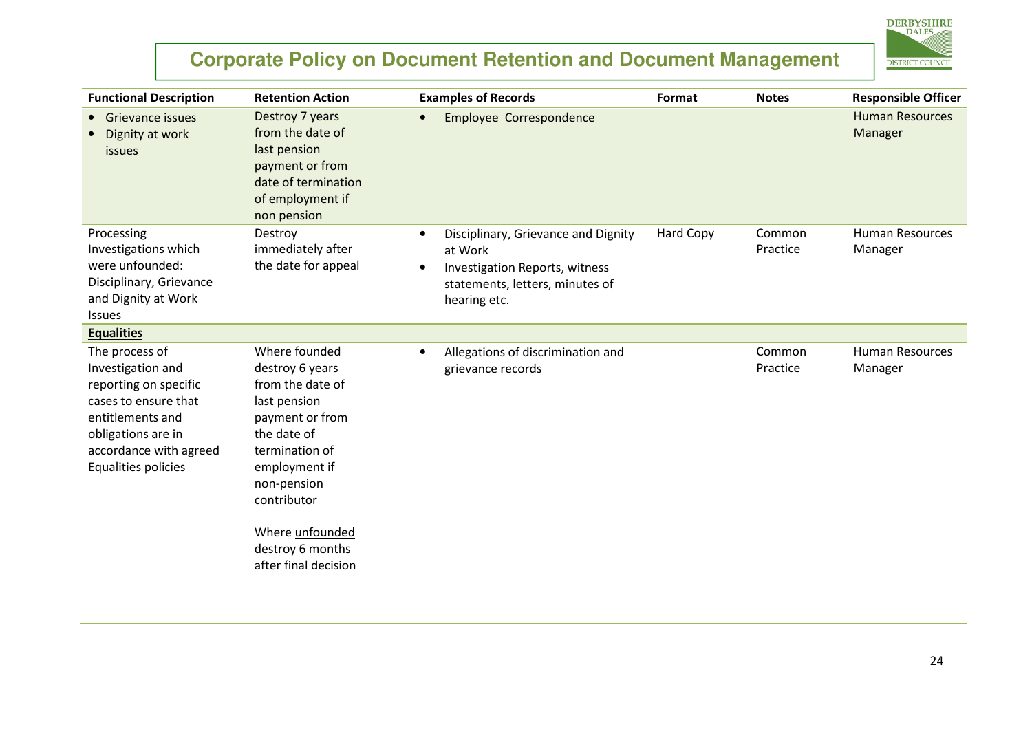

| <b>Functional Description</b>                                                                                                                                                   | <b>Retention Action</b>                                                                                                                                                 | <b>Examples of Records</b>                                                                                                                                    | Format    | <b>Notes</b>       | <b>Responsible Officer</b>        |
|---------------------------------------------------------------------------------------------------------------------------------------------------------------------------------|-------------------------------------------------------------------------------------------------------------------------------------------------------------------------|---------------------------------------------------------------------------------------------------------------------------------------------------------------|-----------|--------------------|-----------------------------------|
| <b>Grievance issues</b><br>$\bullet$<br>Dignity at work<br><i>issues</i>                                                                                                        | Destroy 7 years<br>from the date of<br>last pension<br>payment or from<br>date of termination<br>of employment if<br>non pension                                        | <b>Employee Correspondence</b>                                                                                                                                |           |                    | <b>Human Resources</b><br>Manager |
| Processing<br>Investigations which<br>were unfounded:<br>Disciplinary, Grievance<br>and Dignity at Work<br><b>Issues</b>                                                        | Destroy<br>immediately after<br>the date for appeal                                                                                                                     | Disciplinary, Grievance and Dignity<br>$\bullet$<br>at Work<br>Investigation Reports, witness<br>$\bullet$<br>statements, letters, minutes of<br>hearing etc. | Hard Copy | Common<br>Practice | <b>Human Resources</b><br>Manager |
| <b>Equalities</b>                                                                                                                                                               |                                                                                                                                                                         |                                                                                                                                                               |           |                    |                                   |
| The process of<br>Investigation and<br>reporting on specific<br>cases to ensure that<br>entitlements and<br>obligations are in<br>accordance with agreed<br>Equalities policies | Where founded<br>destroy 6 years<br>from the date of<br>last pension<br>payment or from<br>the date of<br>termination of<br>employment if<br>non-pension<br>contributor | Allegations of discrimination and<br>$\bullet$<br>grievance records                                                                                           |           | Common<br>Practice | <b>Human Resources</b><br>Manager |
|                                                                                                                                                                                 | Where unfounded<br>destroy 6 months<br>after final decision                                                                                                             |                                                                                                                                                               |           |                    |                                   |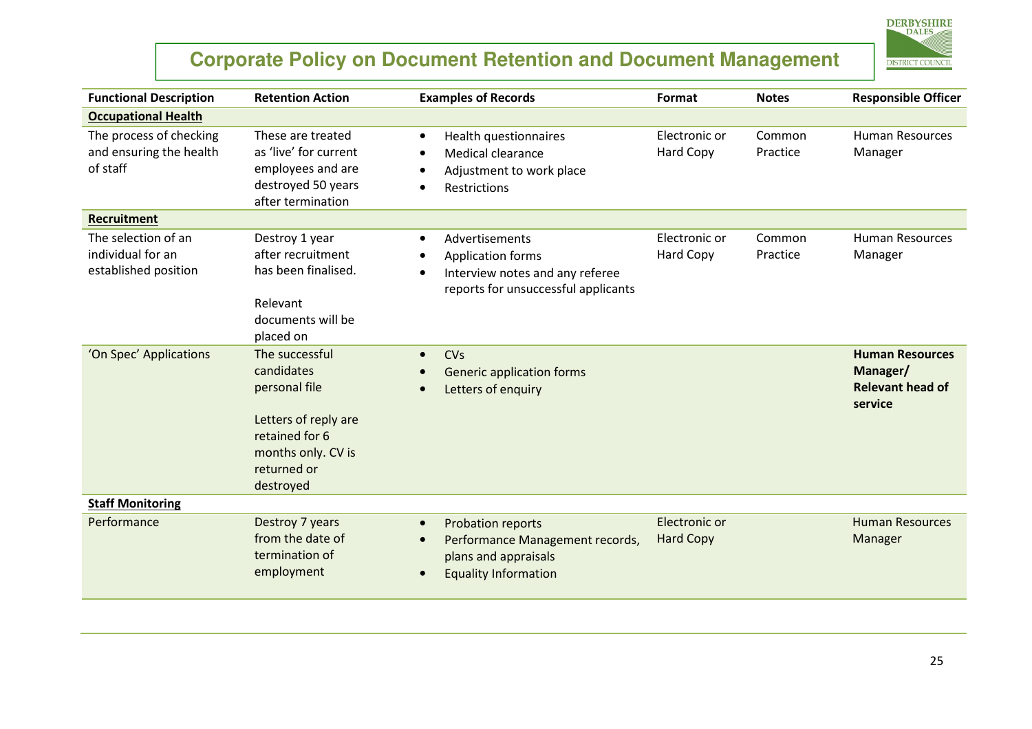

| <b>Functional Description</b>                                    | <b>Retention Action</b>                                                                                                                   | <b>Examples of Records</b>                                                                                                                     | Format                            | <b>Notes</b>       | <b>Responsible Officer</b>                                               |
|------------------------------------------------------------------|-------------------------------------------------------------------------------------------------------------------------------------------|------------------------------------------------------------------------------------------------------------------------------------------------|-----------------------------------|--------------------|--------------------------------------------------------------------------|
| <b>Occupational Health</b>                                       |                                                                                                                                           |                                                                                                                                                |                                   |                    |                                                                          |
| The process of checking<br>and ensuring the health<br>of staff   | These are treated<br>as 'live' for current<br>employees and are<br>destroyed 50 years<br>after termination                                | Health questionnaires<br>$\bullet$<br><b>Medical clearance</b><br>Adjustment to work place<br><b>Restrictions</b>                              | Electronic or<br><b>Hard Copy</b> | Common<br>Practice | Human Resources<br>Manager                                               |
| <b>Recruitment</b>                                               |                                                                                                                                           |                                                                                                                                                |                                   |                    |                                                                          |
| The selection of an<br>individual for an<br>established position | Destroy 1 year<br>after recruitment<br>has been finalised.<br>Relevant<br>documents will be<br>placed on                                  | Advertisements<br>$\bullet$<br><b>Application forms</b><br>Interview notes and any referee<br>$\bullet$<br>reports for unsuccessful applicants | Electronic or<br><b>Hard Copy</b> | Common<br>Practice | <b>Human Resources</b><br>Manager                                        |
| 'On Spec' Applications                                           | The successful<br>candidates<br>personal file<br>Letters of reply are<br>retained for 6<br>months only. CV is<br>returned or<br>destroyed | <b>CV<sub>s</sub></b><br>$\bullet$<br><b>Generic application forms</b><br>Letters of enquiry                                                   |                                   |                    | <b>Human Resources</b><br>Manager/<br><b>Relevant head of</b><br>service |
| <b>Staff Monitoring</b>                                          |                                                                                                                                           |                                                                                                                                                |                                   |                    |                                                                          |
| Performance                                                      | Destroy 7 years<br>from the date of<br>termination of<br>employment                                                                       | <b>Probation reports</b><br>$\bullet$<br>Performance Management records,<br>plans and appraisals<br><b>Equality Information</b><br>$\bullet$   | Electronic or<br><b>Hard Copy</b> |                    | <b>Human Resources</b><br>Manager                                        |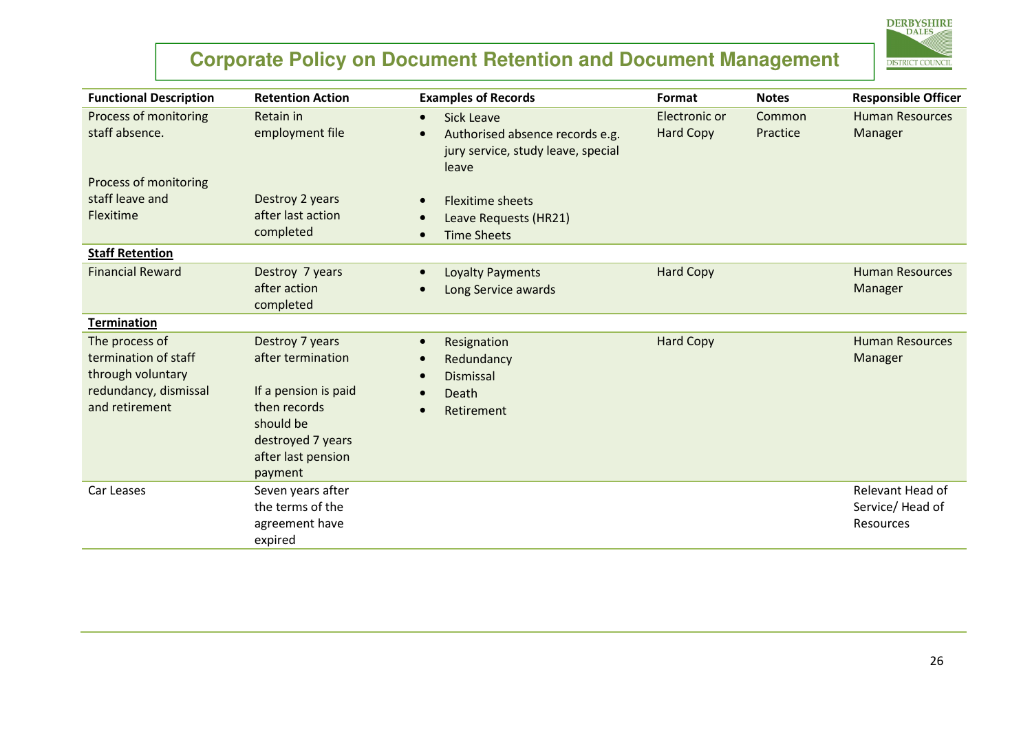

| <b>Functional Description</b>                                                                          | <b>Retention Action</b>                                                                                                                         | <b>Examples of Records</b>                                                                                       | Format                            | <b>Notes</b>       | <b>Responsible Officer</b>                        |
|--------------------------------------------------------------------------------------------------------|-------------------------------------------------------------------------------------------------------------------------------------------------|------------------------------------------------------------------------------------------------------------------|-----------------------------------|--------------------|---------------------------------------------------|
| Process of monitoring<br>staff absence.                                                                | Retain in<br>employment file                                                                                                                    | <b>Sick Leave</b><br>$\bullet$<br>Authorised absence records e.g.<br>jury service, study leave, special<br>leave | Electronic or<br><b>Hard Copy</b> | Common<br>Practice | <b>Human Resources</b><br>Manager                 |
| Process of monitoring<br>staff leave and<br>Flexitime                                                  | Destroy 2 years<br>after last action<br>completed                                                                                               | <b>Flexitime sheets</b><br>Leave Requests (HR21)<br><b>Time Sheets</b>                                           |                                   |                    |                                                   |
| <b>Staff Retention</b><br><b>Financial Reward</b>                                                      | Destroy 7 years<br>after action<br>completed                                                                                                    | Loyalty Payments<br>Long Service awards                                                                          | <b>Hard Copy</b>                  |                    | <b>Human Resources</b><br>Manager                 |
| <b>Termination</b>                                                                                     |                                                                                                                                                 |                                                                                                                  |                                   |                    |                                                   |
| The process of<br>termination of staff<br>through voluntary<br>redundancy, dismissal<br>and retirement | Destroy 7 years<br>after termination<br>If a pension is paid<br>then records<br>should be<br>destroyed 7 years<br>after last pension<br>payment | Resignation<br>Redundancy<br><b>Dismissal</b><br>Death<br>Retirement                                             | <b>Hard Copy</b>                  |                    | <b>Human Resources</b><br>Manager                 |
| Car Leases                                                                                             | Seven years after<br>the terms of the<br>agreement have<br>expired                                                                              |                                                                                                                  |                                   |                    | Relevant Head of<br>Service/ Head of<br>Resources |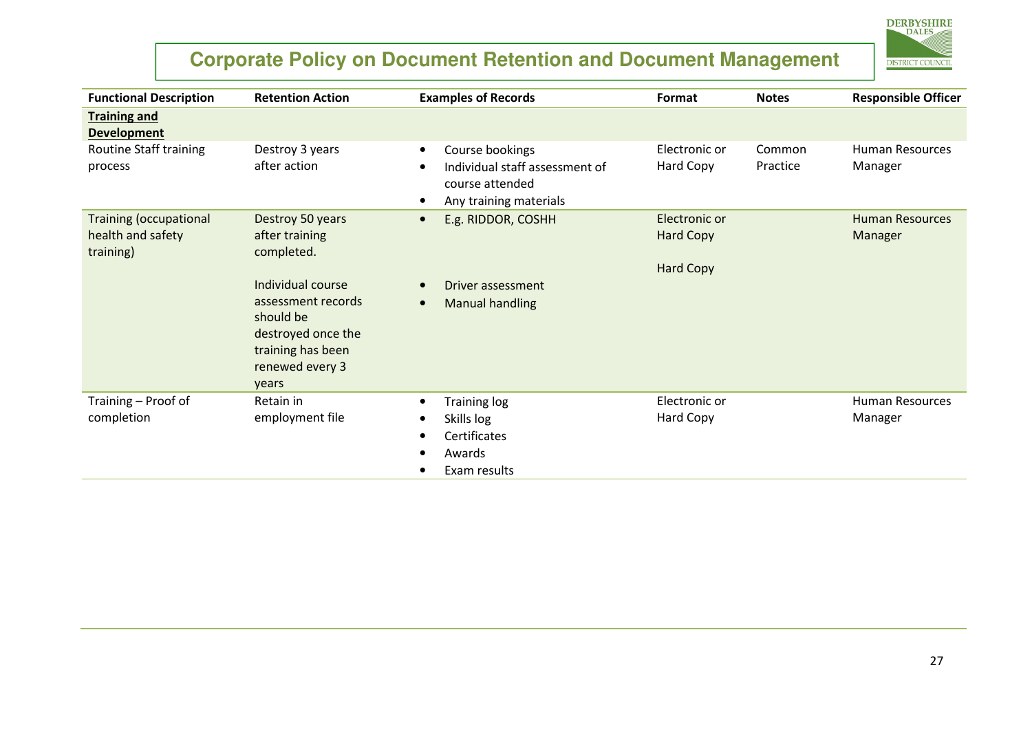

| <b>Functional Description</b>                                   | <b>Retention Action</b>                                                                                                     | <b>Examples of Records</b>                                                                                  | Format                                                | <b>Notes</b>       | <b>Responsible Officer</b>        |
|-----------------------------------------------------------------|-----------------------------------------------------------------------------------------------------------------------------|-------------------------------------------------------------------------------------------------------------|-------------------------------------------------------|--------------------|-----------------------------------|
| <b>Training and</b><br><b>Development</b>                       |                                                                                                                             |                                                                                                             |                                                       |                    |                                   |
| Routine Staff training<br>process                               | Destroy 3 years<br>after action                                                                                             | Course bookings<br>$\bullet$<br>Individual staff assessment of<br>course attended<br>Any training materials | Electronic or<br>Hard Copy                            | Common<br>Practice | <b>Human Resources</b><br>Manager |
| <b>Training (occupational</b><br>health and safety<br>training) | Destroy 50 years<br>after training<br>completed.                                                                            | E.g. RIDDOR, COSHH                                                                                          | Electronic or<br><b>Hard Copy</b><br><b>Hard Copy</b> |                    | <b>Human Resources</b><br>Manager |
|                                                                 | Individual course<br>assessment records<br>should be<br>destroyed once the<br>training has been<br>renewed every 3<br>years | Driver assessment<br><b>Manual handling</b>                                                                 |                                                       |                    |                                   |
| Training - Proof of<br>completion                               | Retain in<br>employment file                                                                                                | <b>Training log</b><br>Skills log<br>Certificates<br>Awards<br>Exam results                                 | Electronic or<br>Hard Copy                            |                    | <b>Human Resources</b><br>Manager |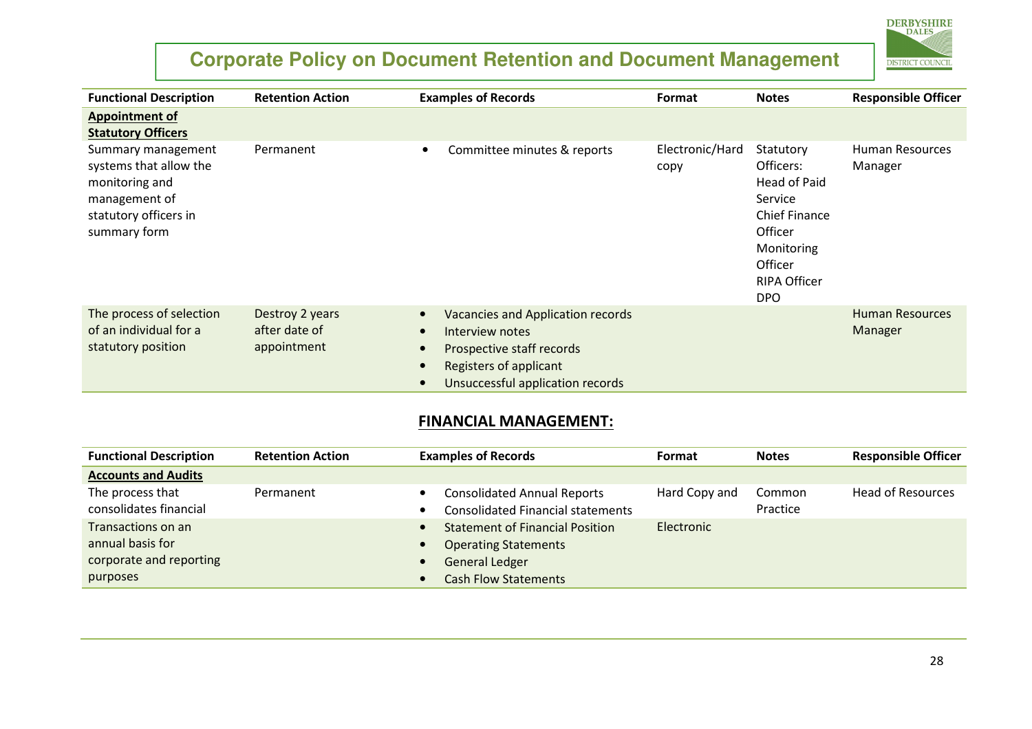

| <b>Functional Description</b>                                                                                            | <b>Retention Action</b>                         | <b>Examples of Records</b>                                                                                                                             | Format                  | <b>Notes</b>                                                                                                                                       | <b>Responsible Officer</b>        |
|--------------------------------------------------------------------------------------------------------------------------|-------------------------------------------------|--------------------------------------------------------------------------------------------------------------------------------------------------------|-------------------------|----------------------------------------------------------------------------------------------------------------------------------------------------|-----------------------------------|
| <b>Appointment of</b><br><b>Statutory Officers</b>                                                                       |                                                 |                                                                                                                                                        |                         |                                                                                                                                                    |                                   |
| Summary management<br>systems that allow the<br>monitoring and<br>management of<br>statutory officers in<br>summary form | Permanent                                       | Committee minutes & reports<br>$\bullet$                                                                                                               | Electronic/Hard<br>copy | Statutory<br>Officers:<br>Head of Paid<br>Service<br><b>Chief Finance</b><br>Officer<br>Monitoring<br>Officer<br><b>RIPA Officer</b><br><b>DPO</b> | Human Resources<br>Manager        |
| The process of selection<br>of an individual for a<br>statutory position                                                 | Destroy 2 years<br>after date of<br>appointment | <b>Vacancies and Application records</b><br>Interview notes<br>Prospective staff records<br>Registers of applicant<br>Unsuccessful application records |                         |                                                                                                                                                    | <b>Human Resources</b><br>Manager |

#### FINANCIAL MANAGEMENT:

| <b>Functional Description</b>                                                 | <b>Retention Action</b> | <b>Examples of Records</b>                                                                                                    | Format        | <b>Notes</b>       | <b>Responsible Officer</b> |
|-------------------------------------------------------------------------------|-------------------------|-------------------------------------------------------------------------------------------------------------------------------|---------------|--------------------|----------------------------|
| <b>Accounts and Audits</b>                                                    |                         |                                                                                                                               |               |                    |                            |
| The process that<br>consolidates financial                                    | Permanent               | <b>Consolidated Annual Reports</b><br><b>Consolidated Financial statements</b>                                                | Hard Copy and | Common<br>Practice | <b>Head of Resources</b>   |
| Transactions on an<br>annual basis for<br>corporate and reporting<br>purposes |                         | <b>Statement of Financial Position</b><br><b>Operating Statements</b><br><b>General Ledger</b><br><b>Cash Flow Statements</b> | Electronic    |                    |                            |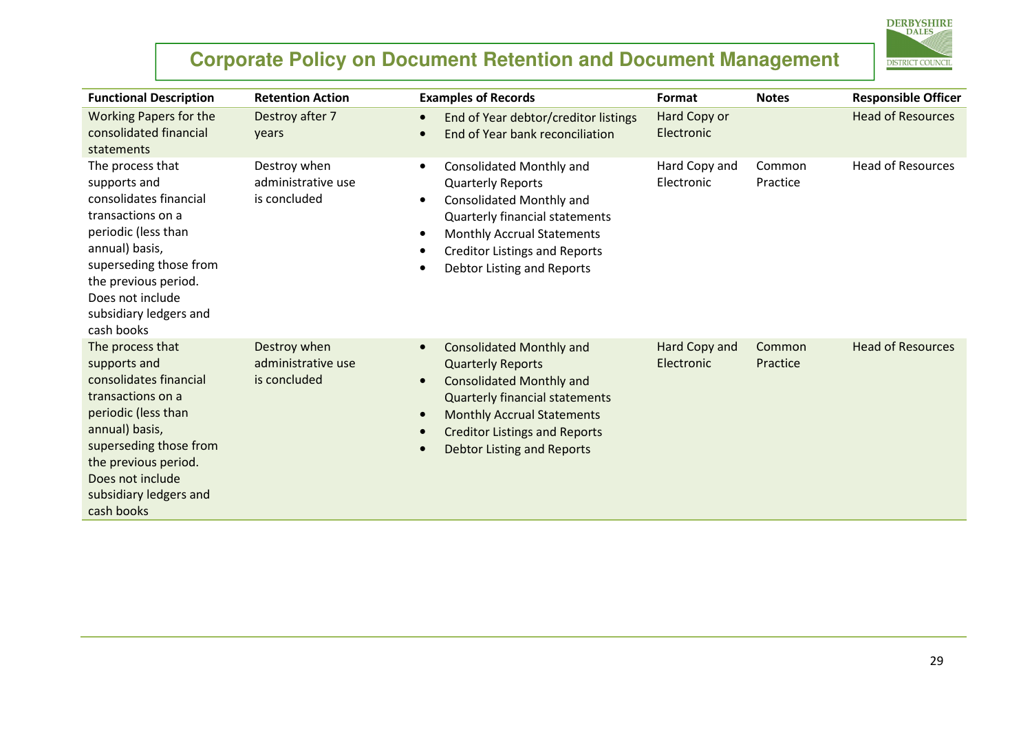

| <b>Functional Description</b>                                                                                                                                                                                                          | <b>Retention Action</b>                            | <b>Examples of Records</b>                                                                                                                                                                                                                                                          | Format                      | <b>Notes</b>       | <b>Responsible Officer</b> |
|----------------------------------------------------------------------------------------------------------------------------------------------------------------------------------------------------------------------------------------|----------------------------------------------------|-------------------------------------------------------------------------------------------------------------------------------------------------------------------------------------------------------------------------------------------------------------------------------------|-----------------------------|--------------------|----------------------------|
| <b>Working Papers for the</b><br>consolidated financial<br>statements                                                                                                                                                                  | Destroy after 7<br>years                           | End of Year debtor/creditor listings<br>End of Year bank reconciliation                                                                                                                                                                                                             | Hard Copy or<br>Electronic  |                    | <b>Head of Resources</b>   |
| The process that<br>supports and<br>consolidates financial<br>transactions on a<br>periodic (less than<br>annual) basis,<br>superseding those from<br>the previous period.<br>Does not include<br>subsidiary ledgers and<br>cash books | Destroy when<br>administrative use<br>is concluded | <b>Consolidated Monthly and</b><br>$\bullet$<br><b>Quarterly Reports</b><br><b>Consolidated Monthly and</b><br>Quarterly financial statements<br><b>Monthly Accrual Statements</b><br><b>Creditor Listings and Reports</b><br>Debtor Listing and Reports                            | Hard Copy and<br>Electronic | Common<br>Practice | <b>Head of Resources</b>   |
| The process that<br>supports and<br>consolidates financial<br>transactions on a<br>periodic (less than<br>annual) basis,<br>superseding those from<br>the previous period.<br>Does not include<br>subsidiary ledgers and<br>cash books | Destroy when<br>administrative use<br>is concluded | <b>Consolidated Monthly and</b><br>$\bullet$<br><b>Quarterly Reports</b><br><b>Consolidated Monthly and</b><br>$\bullet$<br><b>Quarterly financial statements</b><br><b>Monthly Accrual Statements</b><br><b>Creditor Listings and Reports</b><br><b>Debtor Listing and Reports</b> | Hard Copy and<br>Electronic | Common<br>Practice | <b>Head of Resources</b>   |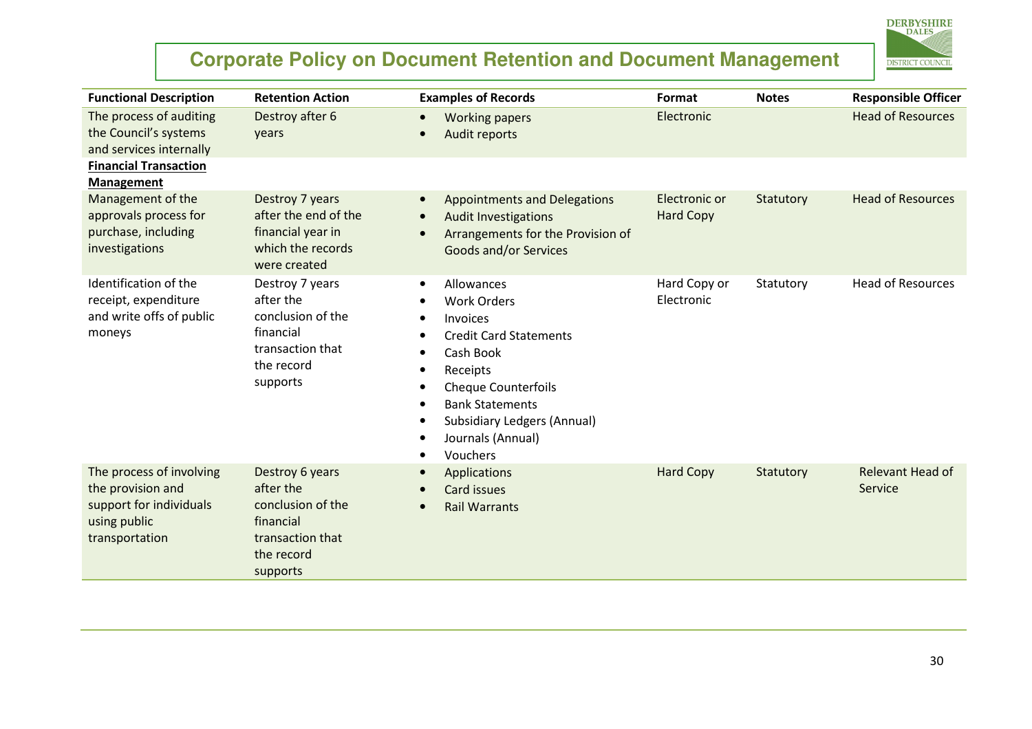

| <b>Functional Description</b>                                                                              | <b>Retention Action</b>                                                                                      | <b>Examples of Records</b>                                                                                                                                                                                                                                                                             | Format                            | <b>Notes</b> | <b>Responsible Officer</b>  |
|------------------------------------------------------------------------------------------------------------|--------------------------------------------------------------------------------------------------------------|--------------------------------------------------------------------------------------------------------------------------------------------------------------------------------------------------------------------------------------------------------------------------------------------------------|-----------------------------------|--------------|-----------------------------|
| The process of auditing<br>the Council's systems<br>and services internally                                | Destroy after 6<br>years                                                                                     | <b>Working papers</b><br>$\bullet$<br>Audit reports                                                                                                                                                                                                                                                    | Electronic                        |              | <b>Head of Resources</b>    |
| <b>Financial Transaction</b><br><b>Management</b>                                                          |                                                                                                              |                                                                                                                                                                                                                                                                                                        |                                   |              |                             |
| Management of the<br>approvals process for<br>purchase, including<br>investigations                        | Destroy 7 years<br>after the end of the<br>financial year in<br>which the records<br>were created            | <b>Appointments and Delegations</b><br>$\bullet$<br><b>Audit Investigations</b><br>Arrangements for the Provision of<br><b>Goods and/or Services</b>                                                                                                                                                   | Electronic or<br><b>Hard Copy</b> | Statutory    | <b>Head of Resources</b>    |
| Identification of the<br>receipt, expenditure<br>and write offs of public<br>moneys                        | Destroy 7 years<br>after the<br>conclusion of the<br>financial<br>transaction that<br>the record<br>supports | Allowances<br>$\bullet$<br><b>Work Orders</b><br>Invoices<br>$\bullet$<br><b>Credit Card Statements</b><br>Cash Book<br>$\bullet$<br>Receipts<br>$\bullet$<br><b>Cheque Counterfoils</b><br><b>Bank Statements</b><br><b>Subsidiary Ledgers (Annual)</b><br>Journals (Annual)<br>Vouchers<br>$\bullet$ | Hard Copy or<br>Electronic        | Statutory    | <b>Head of Resources</b>    |
| The process of involving<br>the provision and<br>support for individuals<br>using public<br>transportation | Destroy 6 years<br>after the<br>conclusion of the<br>financial<br>transaction that<br>the record<br>supports | Applications<br><b>Card issues</b><br><b>Rail Warrants</b><br>$\bullet$                                                                                                                                                                                                                                | <b>Hard Copy</b>                  | Statutory    | Relevant Head of<br>Service |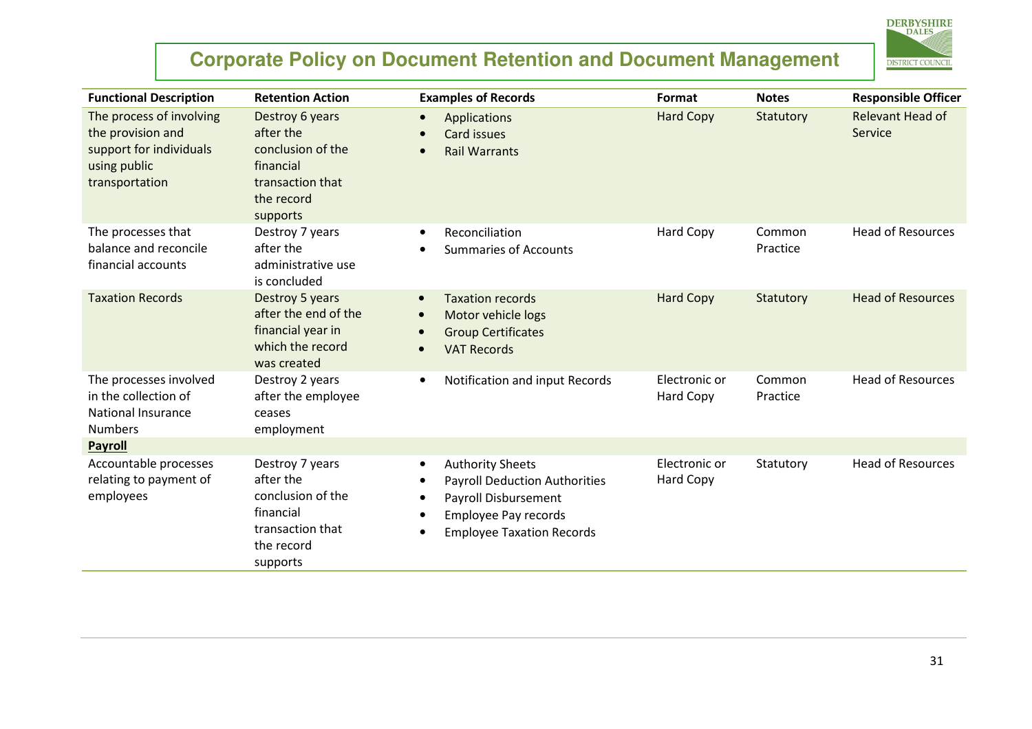

| <b>Functional Description</b>                                                                              | <b>Retention Action</b>                                                                                      | <b>Examples of Records</b>                                                                                                                                                                  | Format                     | <b>Notes</b>       | <b>Responsible Officer</b>         |
|------------------------------------------------------------------------------------------------------------|--------------------------------------------------------------------------------------------------------------|---------------------------------------------------------------------------------------------------------------------------------------------------------------------------------------------|----------------------------|--------------------|------------------------------------|
| The process of involving<br>the provision and<br>support for individuals<br>using public<br>transportation | Destroy 6 years<br>after the<br>conclusion of the<br>financial<br>transaction that<br>the record<br>supports | Applications<br>$\bullet$<br>Card issues<br><b>Rail Warrants</b>                                                                                                                            | <b>Hard Copy</b>           | Statutory          | <b>Relevant Head of</b><br>Service |
| The processes that<br>balance and reconcile<br>financial accounts                                          | Destroy 7 years<br>after the<br>administrative use<br>is concluded                                           | Reconciliation<br>$\bullet$<br><b>Summaries of Accounts</b>                                                                                                                                 | Hard Copy                  | Common<br>Practice | <b>Head of Resources</b>           |
| <b>Taxation Records</b>                                                                                    | Destroy 5 years<br>after the end of the<br>financial year in<br>which the record<br>was created              | <b>Taxation records</b><br>$\bullet$<br>Motor vehicle logs<br><b>Group Certificates</b><br><b>VAT Records</b>                                                                               | <b>Hard Copy</b>           | Statutory          | <b>Head of Resources</b>           |
| The processes involved<br>in the collection of<br><b>National Insurance</b><br><b>Numbers</b>              | Destroy 2 years<br>after the employee<br>ceases<br>employment                                                | Notification and input Records<br>$\bullet$                                                                                                                                                 | Electronic or<br>Hard Copy | Common<br>Practice | <b>Head of Resources</b>           |
| <b>Payroll</b>                                                                                             |                                                                                                              |                                                                                                                                                                                             |                            |                    |                                    |
| Accountable processes<br>relating to payment of<br>employees                                               | Destroy 7 years<br>after the<br>conclusion of the<br>financial<br>transaction that<br>the record<br>supports | <b>Authority Sheets</b><br>$\bullet$<br><b>Payroll Deduction Authorities</b><br><b>Payroll Disbursement</b><br><b>Employee Pay records</b><br><b>Employee Taxation Records</b><br>$\bullet$ | Electronic or<br>Hard Copy | Statutory          | <b>Head of Resources</b>           |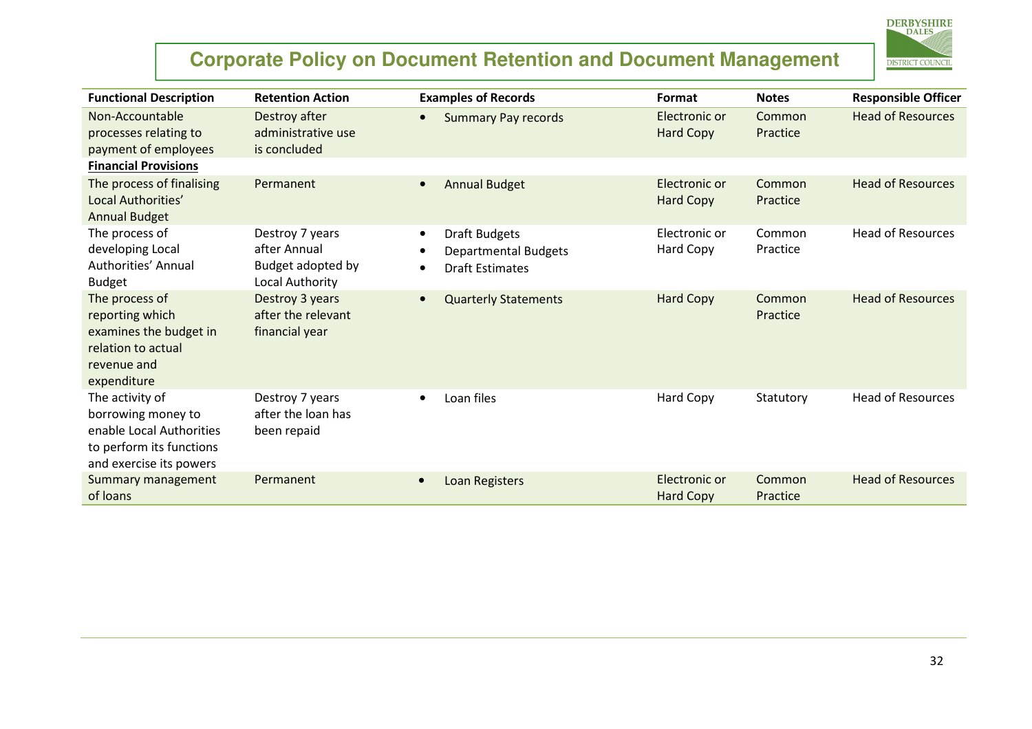

| <b>Functional Description</b>                                                                                            | <b>Retention Action</b>                                                 | <b>Examples of Records</b>                                                                 | Format                            | <b>Notes</b>       | <b>Responsible Officer</b> |
|--------------------------------------------------------------------------------------------------------------------------|-------------------------------------------------------------------------|--------------------------------------------------------------------------------------------|-----------------------------------|--------------------|----------------------------|
| Non-Accountable<br>processes relating to<br>payment of employees                                                         | Destroy after<br>administrative use<br>is concluded                     | <b>Summary Pay records</b>                                                                 | Electronic or<br><b>Hard Copy</b> | Common<br>Practice | <b>Head of Resources</b>   |
| <b>Financial Provisions</b>                                                                                              |                                                                         |                                                                                            |                                   |                    |                            |
| The process of finalising<br>Local Authorities'<br><b>Annual Budget</b>                                                  | Permanent                                                               | <b>Annual Budget</b>                                                                       | Electronic or<br><b>Hard Copy</b> | Common<br>Practice | <b>Head of Resources</b>   |
| The process of<br>developing Local<br>Authorities' Annual<br><b>Budget</b>                                               | Destroy 7 years<br>after Annual<br>Budget adopted by<br>Local Authority | <b>Draft Budgets</b><br>$\bullet$<br><b>Departmental Budgets</b><br><b>Draft Estimates</b> | Electronic or<br>Hard Copy        | Common<br>Practice | <b>Head of Resources</b>   |
| The process of<br>reporting which<br>examines the budget in<br>relation to actual<br>revenue and<br>expenditure          | Destroy 3 years<br>after the relevant<br>financial year                 | <b>Quarterly Statements</b>                                                                | <b>Hard Copy</b>                  | Common<br>Practice | <b>Head of Resources</b>   |
| The activity of<br>borrowing money to<br>enable Local Authorities<br>to perform its functions<br>and exercise its powers | Destroy 7 years<br>after the loan has<br>been repaid                    | Loan files                                                                                 | Hard Copy                         | Statutory          | <b>Head of Resources</b>   |
| Summary management<br>of loans                                                                                           | Permanent                                                               | Loan Registers<br>$\bullet$                                                                | Electronic or<br><b>Hard Copy</b> | Common<br>Practice | <b>Head of Resources</b>   |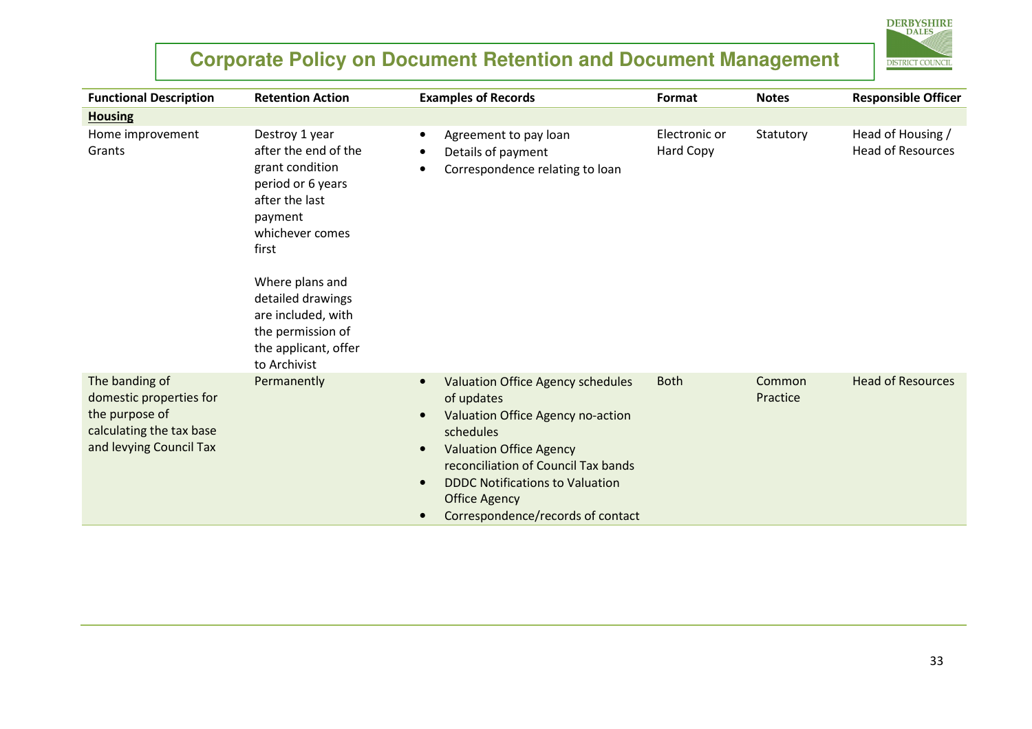#### **Corporate Policy on Document Retention and Document Management DISTRICT COUNCIL** Functional Descriptionn Retention Action **Examples of Records** Format Notes Responsible Officer Housing Home improvement Destroy 1 year Agreement to pay loan Electronic or Statutory Head of Housing / •Grants after the end of the Details of payment Hard Copy Head of Resources •grant condition Correspondence relating to loan •period or 6 years after the last payment whichever comes first Where plans and detailed drawings are included, with the permission of the applicant, offer to Archivist The banding of Permanently **•** Head of Resources Valuation Office Agency schedules Both Common domestic properties for of updates Practice the purpose of Valuation Office Agency no-action •calculating the tax base schedules and levying Council Tax Valuation Office Agency •reconciliation of Council Tax bands DDDC Notifications to Valuation •Office Agency

Correspondence/records of contact

•

**DERBYSHIRE**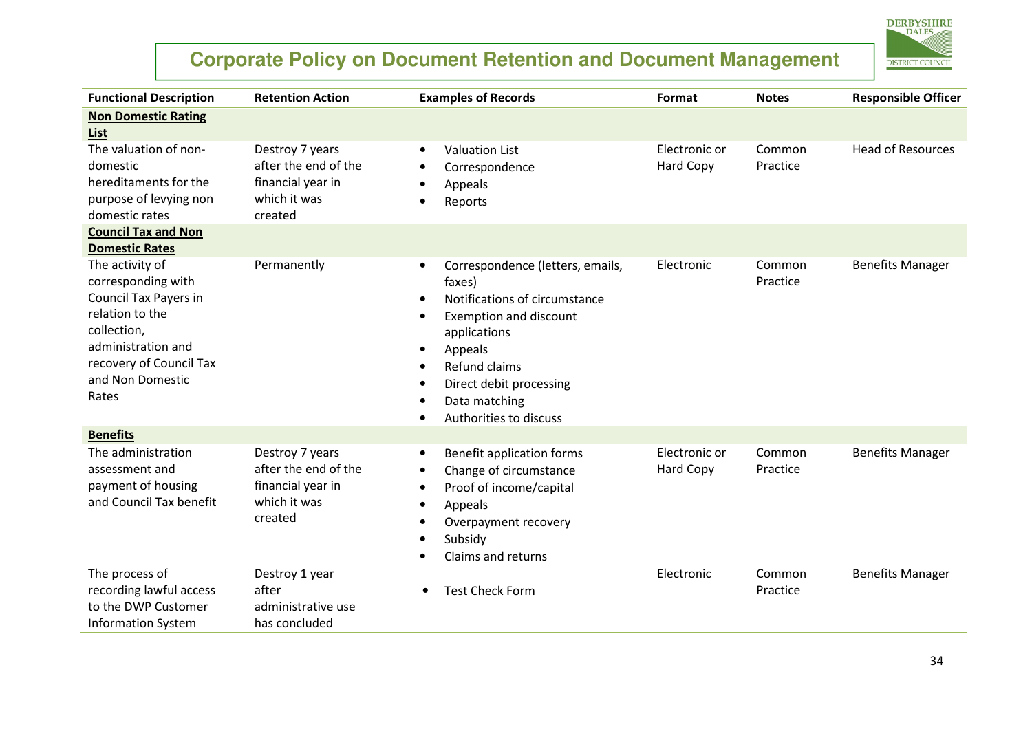

| <b>Functional Description</b>                                                                                                                                                         | <b>Retention Action</b>                                                                 | <b>Examples of Records</b>                                                                                                                                                                                                                                                       | Format                            | <b>Notes</b>       | <b>Responsible Officer</b> |
|---------------------------------------------------------------------------------------------------------------------------------------------------------------------------------------|-----------------------------------------------------------------------------------------|----------------------------------------------------------------------------------------------------------------------------------------------------------------------------------------------------------------------------------------------------------------------------------|-----------------------------------|--------------------|----------------------------|
| <b>Non Domestic Rating</b><br>List                                                                                                                                                    |                                                                                         |                                                                                                                                                                                                                                                                                  |                                   |                    |                            |
| The valuation of non-<br>domestic<br>hereditaments for the<br>purpose of levying non<br>domestic rates                                                                                | Destroy 7 years<br>after the end of the<br>financial year in<br>which it was<br>created | <b>Valuation List</b><br>$\bullet$<br>Correspondence<br>Appeals<br>Reports                                                                                                                                                                                                       | Electronic or<br>Hard Copy        | Common<br>Practice | <b>Head of Resources</b>   |
| <b>Council Tax and Non</b><br><b>Domestic Rates</b>                                                                                                                                   |                                                                                         |                                                                                                                                                                                                                                                                                  |                                   |                    |                            |
| The activity of<br>corresponding with<br><b>Council Tax Payers in</b><br>relation to the<br>collection,<br>administration and<br>recovery of Council Tax<br>and Non Domestic<br>Rates | Permanently                                                                             | Correspondence (letters, emails,<br>$\bullet$<br>faxes)<br>Notifications of circumstance<br>$\bullet$<br>Exemption and discount<br>$\bullet$<br>applications<br>Appeals<br>٠<br>Refund claims<br>$\bullet$<br>Direct debit processing<br>Data matching<br>Authorities to discuss | Electronic                        | Common<br>Practice | <b>Benefits Manager</b>    |
| <b>Benefits</b>                                                                                                                                                                       |                                                                                         |                                                                                                                                                                                                                                                                                  |                                   |                    |                            |
| The administration<br>assessment and<br>payment of housing<br>and Council Tax benefit                                                                                                 | Destroy 7 years<br>after the end of the<br>financial year in<br>which it was<br>created | Benefit application forms<br>$\bullet$<br>Change of circumstance<br>٠<br>Proof of income/capital<br>Appeals<br>٠<br>Overpayment recovery<br>$\bullet$<br>Subsidy<br>Claims and returns                                                                                           | Electronic or<br><b>Hard Copy</b> | Common<br>Practice | <b>Benefits Manager</b>    |
| The process of<br>recording lawful access<br>to the DWP Customer<br><b>Information System</b>                                                                                         | Destroy 1 year<br>after<br>administrative use<br>has concluded                          | <b>Test Check Form</b>                                                                                                                                                                                                                                                           | Electronic                        | Common<br>Practice | <b>Benefits Manager</b>    |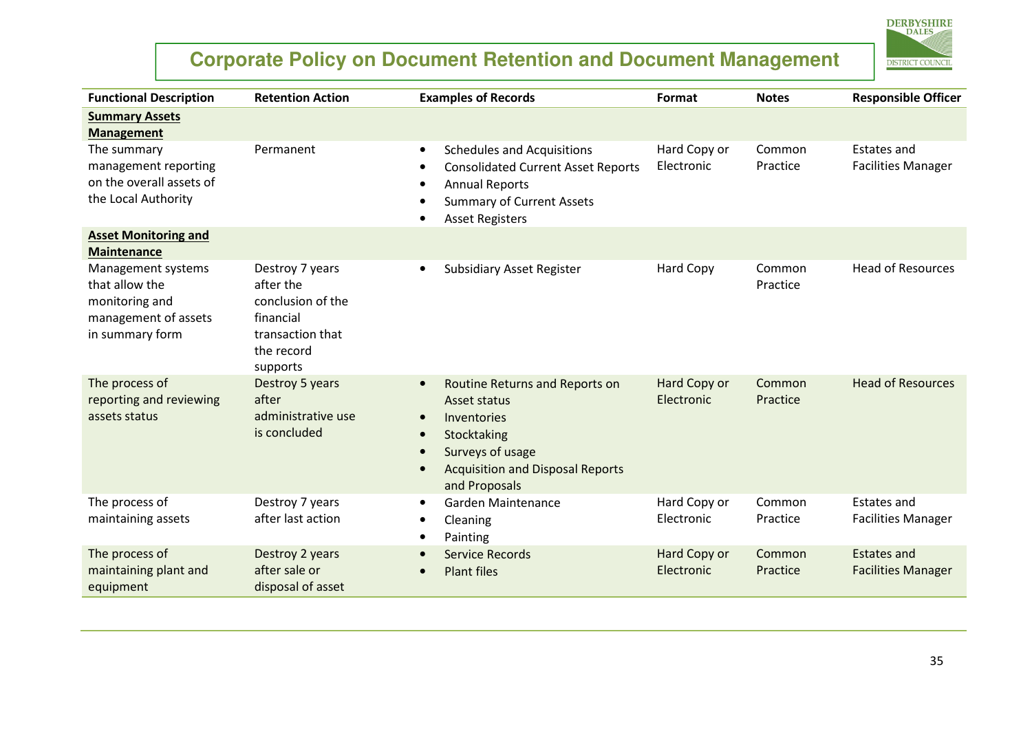

| <b>Functional Description</b>                                                                     | <b>Retention Action</b>                                                                                      | <b>Examples of Records</b>                                                                                                                                                             | Format                     | <b>Notes</b>       | <b>Responsible Officer</b>                      |
|---------------------------------------------------------------------------------------------------|--------------------------------------------------------------------------------------------------------------|----------------------------------------------------------------------------------------------------------------------------------------------------------------------------------------|----------------------------|--------------------|-------------------------------------------------|
| <b>Summary Assets</b><br><b>Management</b>                                                        |                                                                                                              |                                                                                                                                                                                        |                            |                    |                                                 |
| The summary<br>management reporting<br>on the overall assets of<br>the Local Authority            | Permanent                                                                                                    | <b>Schedules and Acquisitions</b><br>$\bullet$<br><b>Consolidated Current Asset Reports</b><br><b>Annual Reports</b><br><b>Summary of Current Assets</b><br><b>Asset Registers</b>     | Hard Copy or<br>Electronic | Common<br>Practice | <b>Estates and</b><br><b>Facilities Manager</b> |
| <b>Asset Monitoring and</b><br><b>Maintenance</b>                                                 |                                                                                                              |                                                                                                                                                                                        |                            |                    |                                                 |
| Management systems<br>that allow the<br>monitoring and<br>management of assets<br>in summary form | Destroy 7 years<br>after the<br>conclusion of the<br>financial<br>transaction that<br>the record<br>supports | <b>Subsidiary Asset Register</b><br>$\bullet$                                                                                                                                          | <b>Hard Copy</b>           | Common<br>Practice | <b>Head of Resources</b>                        |
| The process of<br>reporting and reviewing<br>assets status                                        | Destroy 5 years<br>after<br>administrative use<br>is concluded                                               | Routine Returns and Reports on<br>$\bullet$<br>Asset status<br>Inventories<br>$\bullet$<br>Stocktaking<br>Surveys of usage<br><b>Acquisition and Disposal Reports</b><br>and Proposals | Hard Copy or<br>Electronic | Common<br>Practice | <b>Head of Resources</b>                        |
| The process of<br>maintaining assets                                                              | Destroy 7 years<br>after last action                                                                         | Garden Maintenance<br>$\bullet$<br>Cleaning<br>Painting<br>$\bullet$                                                                                                                   | Hard Copy or<br>Electronic | Common<br>Practice | <b>Estates and</b><br><b>Facilities Manager</b> |
| The process of<br>maintaining plant and<br>equipment                                              | Destroy 2 years<br>after sale or<br>disposal of asset                                                        | <b>Service Records</b><br><b>Plant files</b><br>$\bullet$                                                                                                                              | Hard Copy or<br>Electronic | Common<br>Practice | <b>Estates and</b><br><b>Facilities Manager</b> |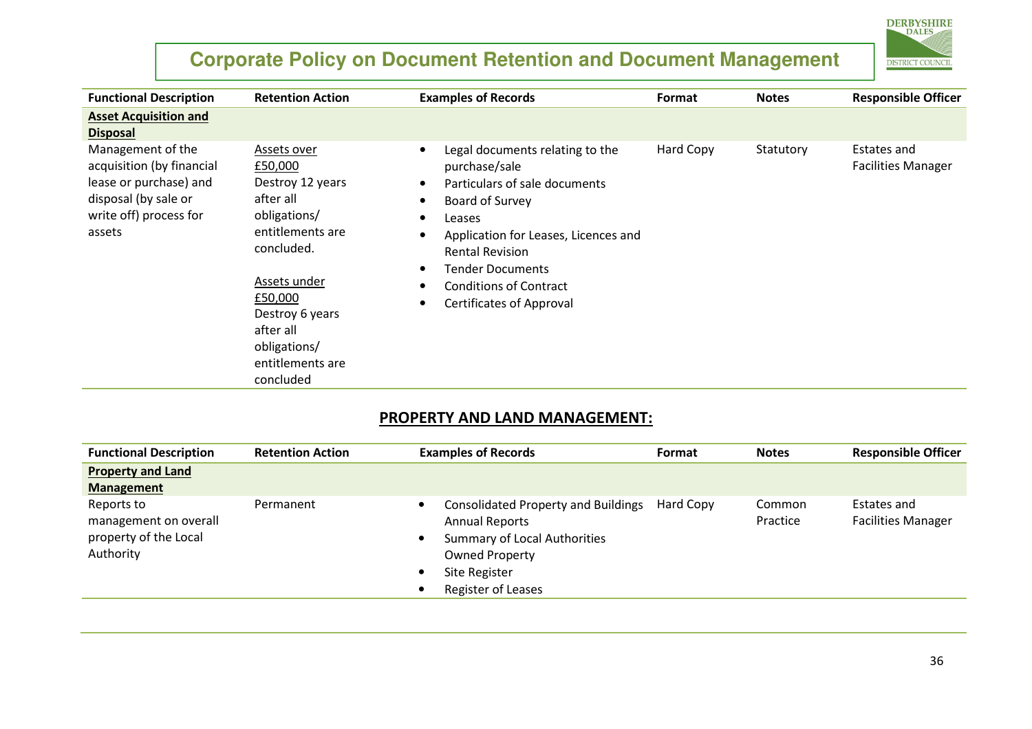

| <b>Functional Description</b>                                                                                                        | <b>Retention Action</b>                                                                                                                                                                                               | <b>Examples of Records</b>                                                                                                                                                                                                                                                                                                                                                       | Format    | <b>Notes</b> | <b>Responsible Officer</b>               |
|--------------------------------------------------------------------------------------------------------------------------------------|-----------------------------------------------------------------------------------------------------------------------------------------------------------------------------------------------------------------------|----------------------------------------------------------------------------------------------------------------------------------------------------------------------------------------------------------------------------------------------------------------------------------------------------------------------------------------------------------------------------------|-----------|--------------|------------------------------------------|
| <b>Asset Acquisition and</b><br><b>Disposal</b>                                                                                      |                                                                                                                                                                                                                       |                                                                                                                                                                                                                                                                                                                                                                                  |           |              |                                          |
| Management of the<br>acquisition (by financial<br>lease or purchase) and<br>disposal (by sale or<br>write off) process for<br>assets | Assets over<br>£50,000<br>Destroy 12 years<br>after all<br>obligations/<br>entitlements are<br>concluded.<br>Assets under<br>£50,000<br>Destroy 6 years<br>after all<br>obligations/<br>entitlements are<br>concluded | Legal documents relating to the<br>$\bullet$<br>purchase/sale<br>Particulars of sale documents<br>$\bullet$<br>Board of Survey<br>$\bullet$<br>Leases<br>$\bullet$<br>Application for Leases, Licences and<br>$\bullet$<br><b>Rental Revision</b><br>Tender Documents<br>$\bullet$<br><b>Conditions of Contract</b><br>$\bullet$<br><b>Certificates of Approval</b><br>$\bullet$ | Hard Copy | Statutory    | Estates and<br><b>Facilities Manager</b> |

#### PROPERTY AND LAND MANAGEMENT:

| <b>Functional Description</b>                                             | <b>Retention Action</b> | <b>Examples of Records</b>                                                                                                                                                                            | Format    | <b>Notes</b>       | <b>Responsible Officer</b>               |
|---------------------------------------------------------------------------|-------------------------|-------------------------------------------------------------------------------------------------------------------------------------------------------------------------------------------------------|-----------|--------------------|------------------------------------------|
| <b>Property and Land</b><br><b>Management</b>                             |                         |                                                                                                                                                                                                       |           |                    |                                          |
| Reports to<br>management on overall<br>property of the Local<br>Authority | Permanent               | <b>Consolidated Property and Buildings</b><br><b>Annual Reports</b><br><b>Summary of Local Authorities</b><br><b>Owned Property</b><br><b>Site Register</b><br>$\bullet$<br>Register of Leases<br>- 0 | Hard Copy | Common<br>Practice | Estates and<br><b>Facilities Manager</b> |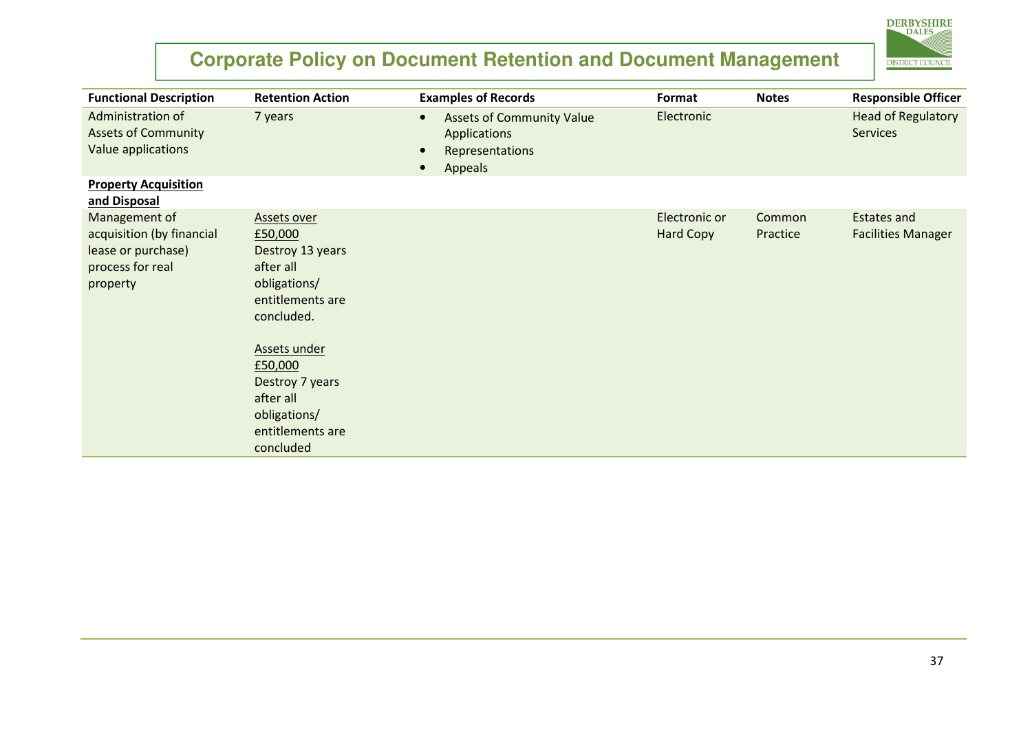# **DERBYSHIRE DISTRICT COUNCIL**

| <b>Functional Description</b>                                                                    | <b>Retention Action</b>                                                                                                                                                                                                      | <b>Examples of Records</b>                                                                  | Format                            | <b>Notes</b>       | <b>Responsible Officer</b>                      |
|--------------------------------------------------------------------------------------------------|------------------------------------------------------------------------------------------------------------------------------------------------------------------------------------------------------------------------------|---------------------------------------------------------------------------------------------|-----------------------------------|--------------------|-------------------------------------------------|
| Administration of<br><b>Assets of Community</b><br>Value applications                            | 7 years                                                                                                                                                                                                                      | <b>Assets of Community Value</b><br>$\bullet$<br>Applications<br>Representations<br>Appeals | Electronic                        |                    | <b>Head of Regulatory</b><br><b>Services</b>    |
| <b>Property Acquisition</b><br>and Disposal                                                      |                                                                                                                                                                                                                              |                                                                                             |                                   |                    |                                                 |
| Management of<br>acquisition (by financial<br>lease or purchase)<br>process for real<br>property | <b>Assets over</b><br>£50,000<br>Destroy 13 years<br>after all<br>obligations/<br>entitlements are<br>concluded.<br>Assets under<br>£50,000<br>Destroy 7 years<br>after all<br>obligations/<br>entitlements are<br>concluded |                                                                                             | Electronic or<br><b>Hard Copy</b> | Common<br>Practice | <b>Estates and</b><br><b>Facilities Manager</b> |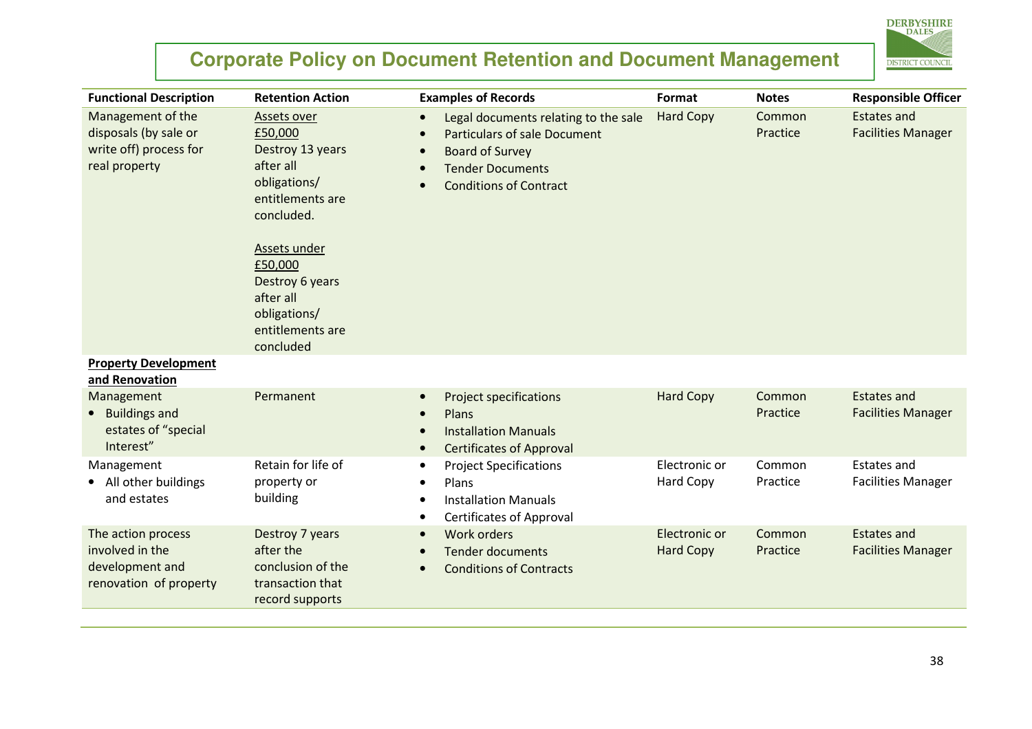

| <b>Functional Description</b>                                                         | <b>Retention Action</b>                                                                                                              | <b>Examples of Records</b>                                                                                                                                                                  | Format                            | <b>Notes</b>       | <b>Responsible Officer</b>                      |
|---------------------------------------------------------------------------------------|--------------------------------------------------------------------------------------------------------------------------------------|---------------------------------------------------------------------------------------------------------------------------------------------------------------------------------------------|-----------------------------------|--------------------|-------------------------------------------------|
| Management of the<br>disposals (by sale or<br>write off) process for<br>real property | Assets over<br>£50,000<br>Destroy 13 years<br>after all<br>obligations/<br>entitlements are<br>concluded.<br>Assets under<br>£50,000 | Legal documents relating to the sale<br>$\bullet$<br><b>Particulars of sale Document</b><br><b>Board of Survey</b><br><b>Tender Documents</b><br><b>Conditions of Contract</b><br>$\bullet$ | <b>Hard Copy</b>                  | Common<br>Practice | <b>Estates and</b><br><b>Facilities Manager</b> |
|                                                                                       | Destroy 6 years<br>after all<br>obligations/<br>entitlements are<br>concluded                                                        |                                                                                                                                                                                             |                                   |                    |                                                 |
| <b>Property Development</b><br>and Renovation                                         |                                                                                                                                      |                                                                                                                                                                                             |                                   |                    |                                                 |
| Management<br><b>Buildings and</b><br>estates of "special<br>Interest"                | Permanent                                                                                                                            | <b>Project specifications</b><br>Plans<br>$\bullet$<br><b>Installation Manuals</b><br><b>Certificates of Approval</b>                                                                       | <b>Hard Copy</b>                  | Common<br>Practice | <b>Estates and</b><br><b>Facilities Manager</b> |
| Management<br>All other buildings<br>and estates                                      | Retain for life of<br>property or<br>building                                                                                        | <b>Project Specifications</b><br>Plans<br><b>Installation Manuals</b><br><b>Certificates of Approval</b><br>$\bullet$                                                                       | Electronic or<br>Hard Copy        | Common<br>Practice | <b>Estates and</b><br><b>Facilities Manager</b> |
| The action process<br>involved in the<br>development and<br>renovation of property    | Destroy 7 years<br>after the<br>conclusion of the<br>transaction that<br>record supports                                             | <b>Work orders</b><br>$\bullet$<br><b>Tender documents</b><br><b>Conditions of Contracts</b>                                                                                                | Electronic or<br><b>Hard Copy</b> | Common<br>Practice | <b>Estates and</b><br><b>Facilities Manager</b> |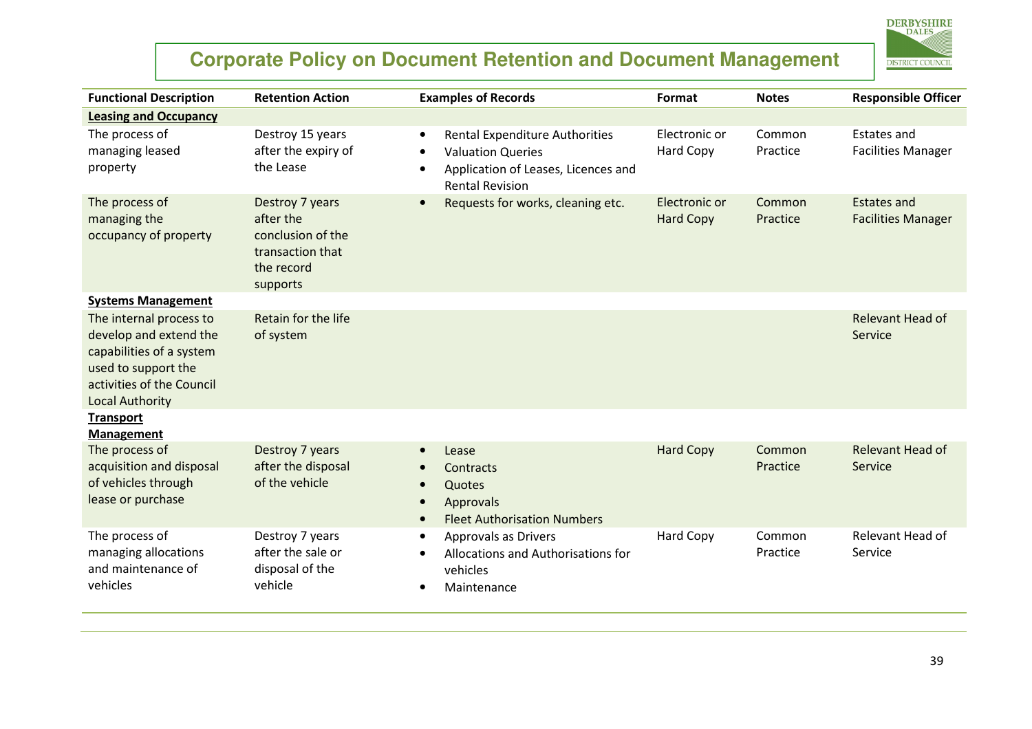

| <b>Functional Description</b>                                                                                                                               | <b>Retention Action</b>                                                                         | <b>Examples of Records</b>                                                                                                                                                | Format                            | <b>Notes</b>       | <b>Responsible Officer</b>                      |
|-------------------------------------------------------------------------------------------------------------------------------------------------------------|-------------------------------------------------------------------------------------------------|---------------------------------------------------------------------------------------------------------------------------------------------------------------------------|-----------------------------------|--------------------|-------------------------------------------------|
| <b>Leasing and Occupancy</b>                                                                                                                                |                                                                                                 |                                                                                                                                                                           |                                   |                    |                                                 |
| The process of<br>managing leased<br>property                                                                                                               | Destroy 15 years<br>after the expiry of<br>the Lease                                            | <b>Rental Expenditure Authorities</b><br>$\bullet$<br><b>Valuation Queries</b><br>$\bullet$<br>Application of Leases, Licences and<br>$\bullet$<br><b>Rental Revision</b> | Electronic or<br>Hard Copy        | Common<br>Practice | <b>Estates and</b><br><b>Facilities Manager</b> |
| The process of<br>managing the<br>occupancy of property                                                                                                     | Destroy 7 years<br>after the<br>conclusion of the<br>transaction that<br>the record<br>supports | Requests for works, cleaning etc.<br>$\bullet$                                                                                                                            | Electronic or<br><b>Hard Copy</b> | Common<br>Practice | <b>Estates and</b><br><b>Facilities Manager</b> |
| <b>Systems Management</b>                                                                                                                                   |                                                                                                 |                                                                                                                                                                           |                                   |                    |                                                 |
| The internal process to<br>develop and extend the<br>capabilities of a system<br>used to support the<br>activities of the Council<br><b>Local Authority</b> | Retain for the life<br>of system                                                                |                                                                                                                                                                           |                                   |                    | Relevant Head of<br>Service                     |
| <b>Transport</b>                                                                                                                                            |                                                                                                 |                                                                                                                                                                           |                                   |                    |                                                 |
| <b>Management</b>                                                                                                                                           |                                                                                                 |                                                                                                                                                                           |                                   |                    |                                                 |
| The process of<br>acquisition and disposal<br>of vehicles through<br>lease or purchase                                                                      | Destroy 7 years<br>after the disposal<br>of the vehicle                                         | Lease<br>Contracts<br>Quotes<br>$\bullet$<br>Approvals<br>$\bullet$<br><b>Fleet Authorisation Numbers</b>                                                                 | <b>Hard Copy</b>                  | Common<br>Practice | Relevant Head of<br>Service                     |
| The process of<br>managing allocations<br>and maintenance of<br>vehicles                                                                                    | Destroy 7 years<br>after the sale or<br>disposal of the<br>vehicle                              | Approvals as Drivers<br>$\bullet$<br>Allocations and Authorisations for<br>$\bullet$<br>vehicles<br>Maintenance                                                           | Hard Copy                         | Common<br>Practice | Relevant Head of<br>Service                     |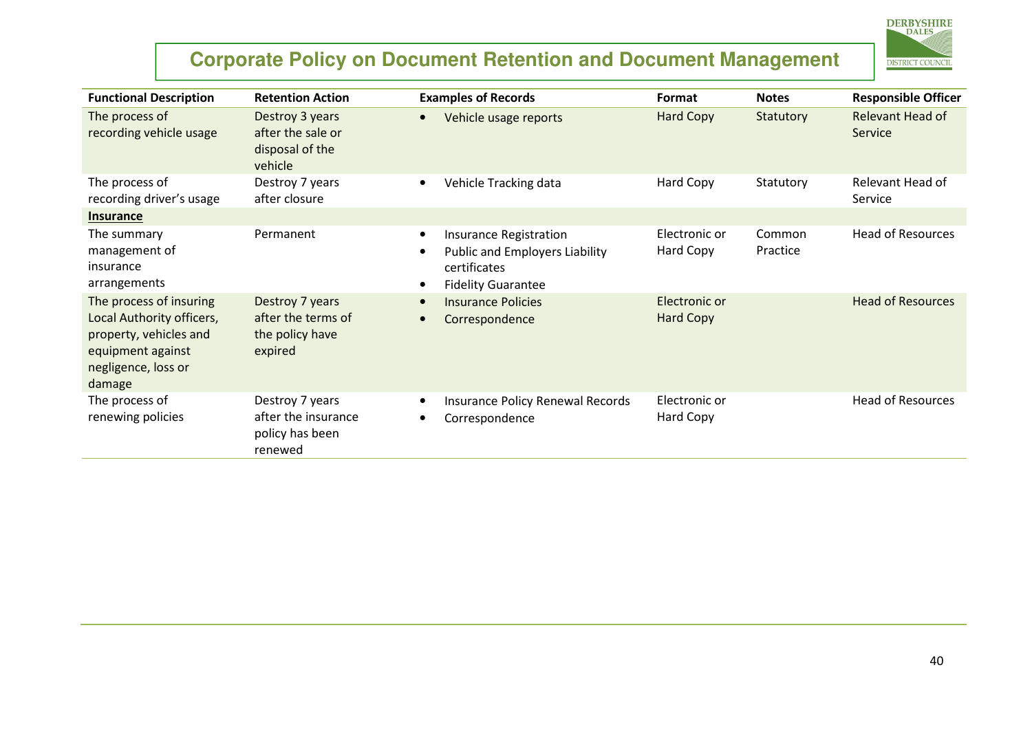

| <b>Functional Description</b>                                                                                                        | <b>Retention Action</b>                                              | <b>Examples of Records</b>                                                                                         | Format                            | <b>Notes</b>       | <b>Responsible Officer</b>  |
|--------------------------------------------------------------------------------------------------------------------------------------|----------------------------------------------------------------------|--------------------------------------------------------------------------------------------------------------------|-----------------------------------|--------------------|-----------------------------|
| The process of<br>recording vehicle usage                                                                                            | Destroy 3 years<br>after the sale or<br>disposal of the<br>vehicle   | Vehicle usage reports                                                                                              | <b>Hard Copy</b>                  | Statutory          | Relevant Head of<br>Service |
| The process of<br>recording driver's usage                                                                                           | Destroy 7 years<br>after closure                                     | Vehicle Tracking data<br>$\bullet$                                                                                 | Hard Copy                         | Statutory          | Relevant Head of<br>Service |
| <b>Insurance</b>                                                                                                                     |                                                                      |                                                                                                                    |                                   |                    |                             |
| The summary<br>management of<br>insurance<br>arrangements                                                                            | Permanent                                                            | Insurance Registration<br>$\bullet$<br>Public and Employers Liability<br>certificates<br><b>Fidelity Guarantee</b> | Electronic or<br>Hard Copy        | Common<br>Practice | <b>Head of Resources</b>    |
| The process of insuring<br>Local Authority officers,<br>property, vehicles and<br>equipment against<br>negligence, loss or<br>damage | Destroy 7 years<br>after the terms of<br>the policy have<br>expired  | <b>Insurance Policies</b><br>Correspondence                                                                        | Electronic or<br><b>Hard Copy</b> |                    | <b>Head of Resources</b>    |
| The process of<br>renewing policies                                                                                                  | Destroy 7 years<br>after the insurance<br>policy has been<br>renewed | Insurance Policy Renewal Records<br>Correspondence                                                                 | Electronic or<br>Hard Copy        |                    | <b>Head of Resources</b>    |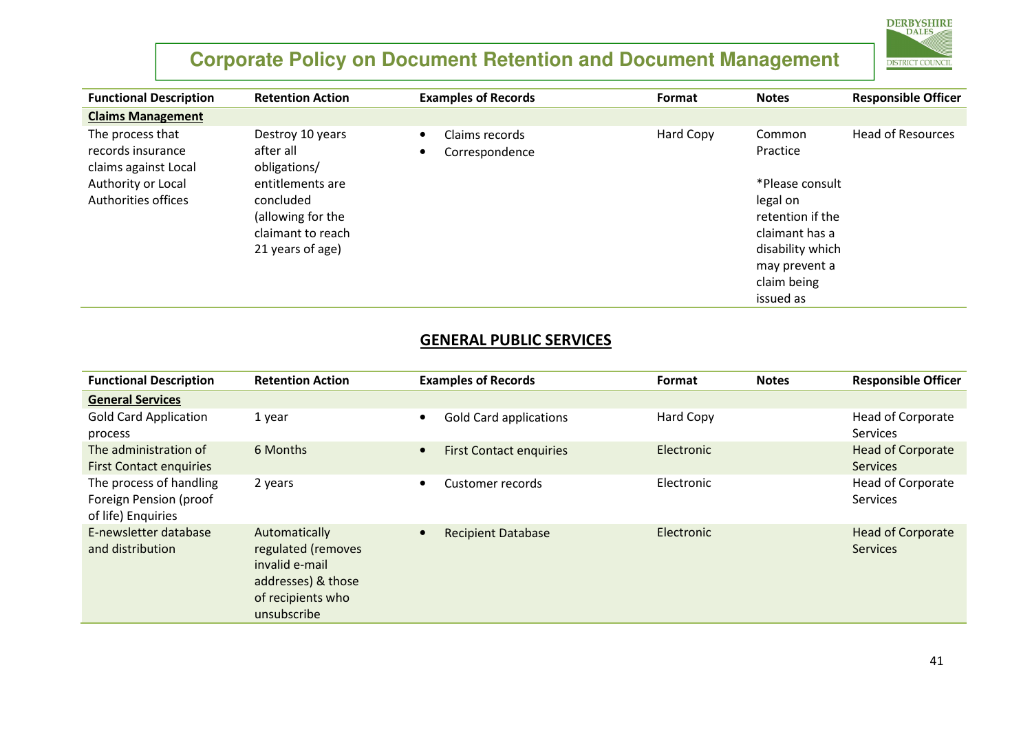

| <b>Functional Description</b>                                 | <b>Retention Action</b>                       | <b>Examples of Records</b>       | Format    | <b>Notes</b>       | <b>Responsible Officer</b> |
|---------------------------------------------------------------|-----------------------------------------------|----------------------------------|-----------|--------------------|----------------------------|
| <b>Claims Management</b>                                      |                                               |                                  |           |                    |                            |
| The process that<br>records insurance<br>claims against Local | Destroy 10 years<br>after all<br>obligations/ | Claims records<br>Correspondence | Hard Copy | Common<br>Practice | <b>Head of Resources</b>   |
| Authority or Local                                            | entitlements are                              |                                  |           | *Please consult    |                            |
| Authorities offices                                           | concluded                                     |                                  |           | legal on           |                            |
|                                                               | (allowing for the                             |                                  |           | retention if the   |                            |
|                                                               | claimant to reach                             |                                  |           | claimant has a     |                            |
|                                                               | 21 years of age)                              |                                  |           | disability which   |                            |
|                                                               |                                               |                                  |           | may prevent a      |                            |
|                                                               |                                               |                                  |           | claim being        |                            |
|                                                               |                                               |                                  |           | issued as          |                            |

#### GENERAL PUBLIC SERVICES

| <b>Functional Description</b>                                           | <b>Retention Action</b>                                                                                         | <b>Examples of Records</b>     | Format     | <b>Notes</b> | <b>Responsible Officer</b>                  |
|-------------------------------------------------------------------------|-----------------------------------------------------------------------------------------------------------------|--------------------------------|------------|--------------|---------------------------------------------|
| <b>General Services</b>                                                 |                                                                                                                 |                                |            |              |                                             |
| <b>Gold Card Application</b><br>process                                 | 1 year                                                                                                          | <b>Gold Card applications</b>  | Hard Copy  |              | <b>Head of Corporate</b><br><b>Services</b> |
| The administration of<br><b>First Contact enquiries</b>                 | 6 Months                                                                                                        | <b>First Contact enquiries</b> | Electronic |              | <b>Head of Corporate</b><br><b>Services</b> |
| The process of handling<br>Foreign Pension (proof<br>of life) Enquiries | 2 years                                                                                                         | Customer records<br>$\bullet$  | Electronic |              | Head of Corporate<br><b>Services</b>        |
| E-newsletter database<br>and distribution                               | Automatically<br>regulated (removes<br>invalid e-mail<br>addresses) & those<br>of recipients who<br>unsubscribe | <b>Recipient Database</b>      | Electronic |              | <b>Head of Corporate</b><br><b>Services</b> |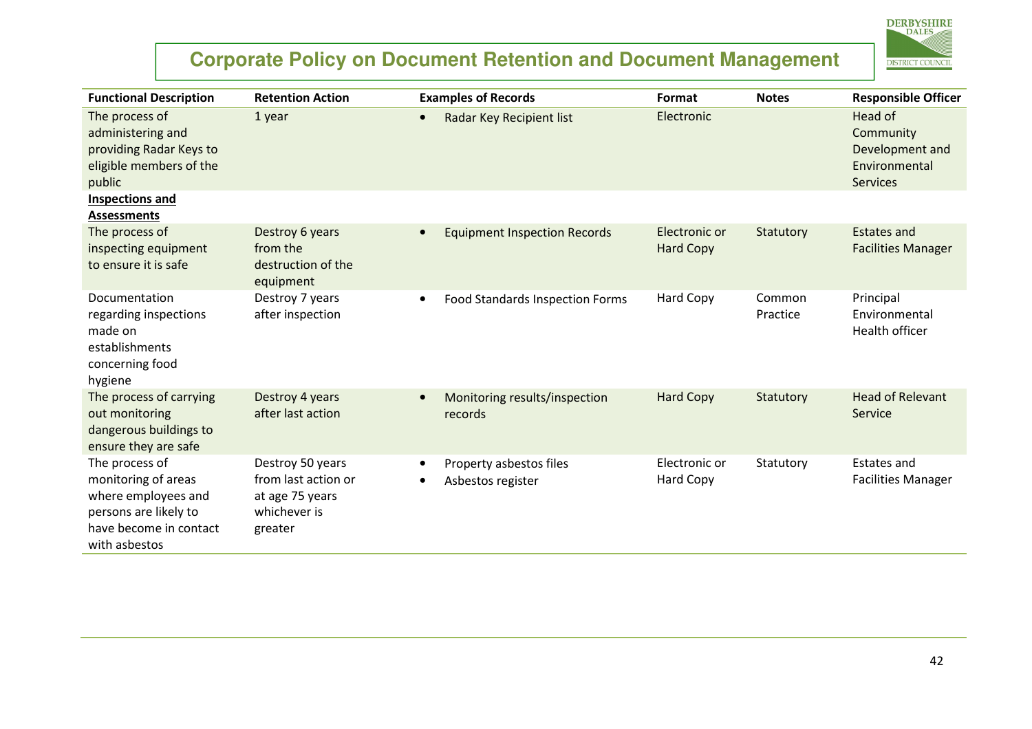

| <b>Functional Description</b>                                                                                                    | <b>Retention Action</b>                                                               | <b>Examples of Records</b>                                | Format                            | <b>Notes</b>       | <b>Responsible Officer</b>                                                  |
|----------------------------------------------------------------------------------------------------------------------------------|---------------------------------------------------------------------------------------|-----------------------------------------------------------|-----------------------------------|--------------------|-----------------------------------------------------------------------------|
| The process of<br>administering and<br>providing Radar Keys to<br>eligible members of the<br>public                              | 1 year                                                                                | Radar Key Recipient list<br>$\bullet$                     | Electronic                        |                    | Head of<br>Community<br>Development and<br>Environmental<br><b>Services</b> |
| Inspections and<br><b>Assessments</b>                                                                                            |                                                                                       |                                                           |                                   |                    |                                                                             |
| The process of<br>inspecting equipment<br>to ensure it is safe                                                                   | Destroy 6 years<br>from the<br>destruction of the<br>equipment                        | <b>Equipment Inspection Records</b><br>$\bullet$          | Electronic or<br><b>Hard Copy</b> | Statutory          | <b>Estates and</b><br><b>Facilities Manager</b>                             |
| Documentation<br>regarding inspections<br>made on<br>establishments<br>concerning food<br>hygiene                                | Destroy 7 years<br>after inspection                                                   | Food Standards Inspection Forms<br>$\bullet$              | <b>Hard Copy</b>                  | Common<br>Practice | Principal<br>Environmental<br>Health officer                                |
| The process of carrying<br>out monitoring<br>dangerous buildings to<br>ensure they are safe                                      | Destroy 4 years<br>after last action                                                  | Monitoring results/inspection<br>$\bullet$<br>records     | <b>Hard Copy</b>                  | Statutory          | <b>Head of Relevant</b><br>Service                                          |
| The process of<br>monitoring of areas<br>where employees and<br>persons are likely to<br>have become in contact<br>with asbestos | Destroy 50 years<br>from last action or<br>at age 75 years<br>whichever is<br>greater | Property asbestos files<br>$\bullet$<br>Asbestos register | Electronic or<br>Hard Copy        | Statutory          | Estates and<br><b>Facilities Manager</b>                                    |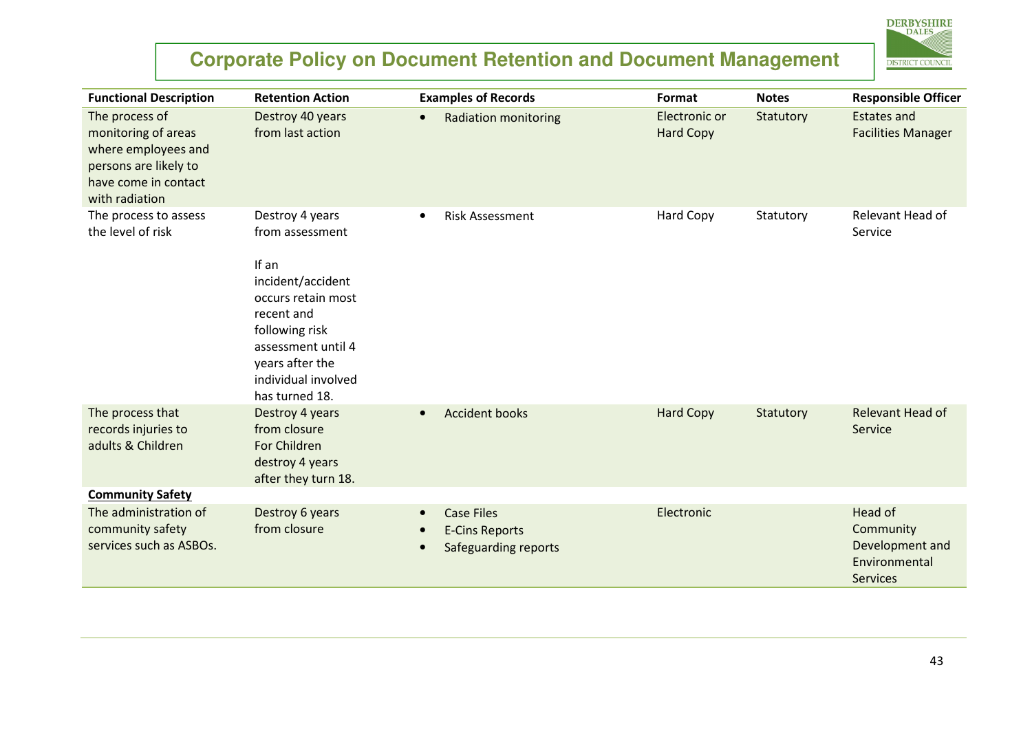

| <b>Functional Description</b>                                                                                                   | <b>Retention Action</b>                                                                                                                                                                                  | <b>Examples of Records</b>                                         | Format                            | <b>Notes</b> | <b>Responsible Officer</b>                                                  |
|---------------------------------------------------------------------------------------------------------------------------------|----------------------------------------------------------------------------------------------------------------------------------------------------------------------------------------------------------|--------------------------------------------------------------------|-----------------------------------|--------------|-----------------------------------------------------------------------------|
| The process of<br>monitoring of areas<br>where employees and<br>persons are likely to<br>have come in contact<br>with radiation | Destroy 40 years<br>from last action                                                                                                                                                                     | <b>Radiation monitoring</b><br>$\bullet$                           | Electronic or<br><b>Hard Copy</b> | Statutory    | <b>Estates and</b><br><b>Facilities Manager</b>                             |
| The process to assess<br>the level of risk                                                                                      | Destroy 4 years<br>from assessment<br>If an<br>incident/accident<br>occurs retain most<br>recent and<br>following risk<br>assessment until 4<br>years after the<br>individual involved<br>has turned 18. | <b>Risk Assessment</b><br>$\bullet$                                | <b>Hard Copy</b>                  | Statutory    | Relevant Head of<br>Service                                                 |
| The process that<br>records injuries to<br>adults & Children                                                                    | Destroy 4 years<br>from closure<br>For Children<br>destroy 4 years<br>after they turn 18.                                                                                                                | <b>Accident books</b><br>$\bullet$                                 | <b>Hard Copy</b>                  | Statutory    | Relevant Head of<br>Service                                                 |
| <b>Community Safety</b>                                                                                                         |                                                                                                                                                                                                          |                                                                    |                                   |              |                                                                             |
| The administration of<br>community safety<br>services such as ASBOs.                                                            | Destroy 6 years<br>from closure                                                                                                                                                                          | <b>Case Files</b><br><b>E-Cins Reports</b><br>Safeguarding reports | Electronic                        |              | Head of<br>Community<br>Development and<br>Environmental<br><b>Services</b> |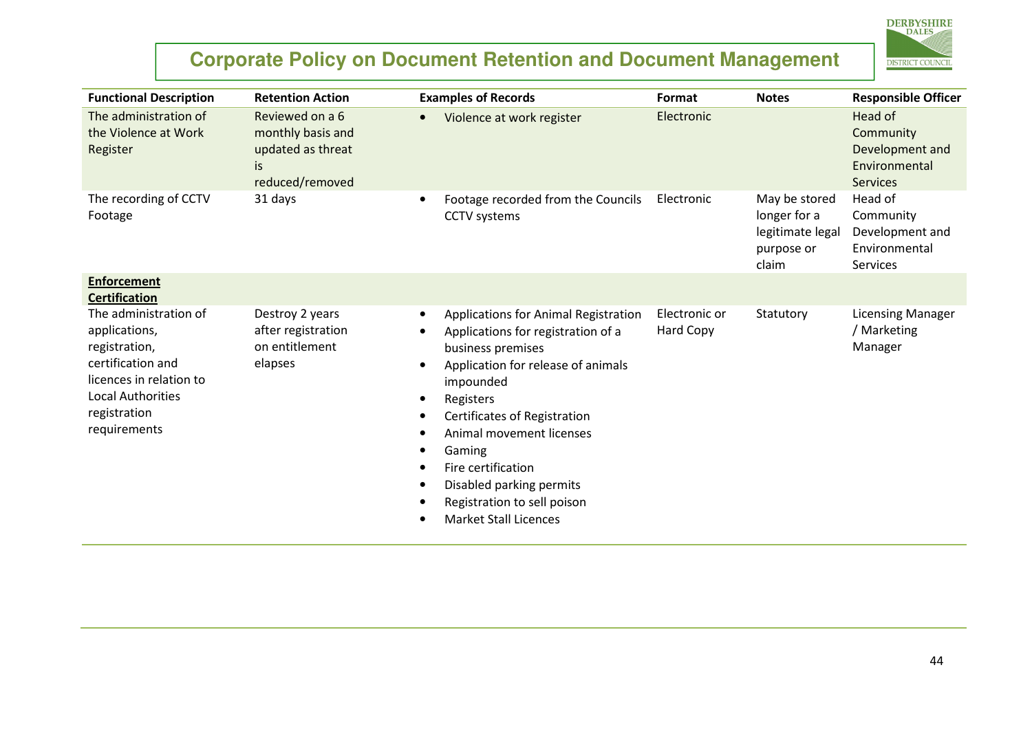

| <b>Functional Description</b>                                                                                                                                       | <b>Retention Action</b>                                                            | <b>Examples of Records</b>                                                                                                                                                                                                                                                                                                                                               | Format                     | <b>Notes</b>                                                             | <b>Responsible Officer</b>                                                  |
|---------------------------------------------------------------------------------------------------------------------------------------------------------------------|------------------------------------------------------------------------------------|--------------------------------------------------------------------------------------------------------------------------------------------------------------------------------------------------------------------------------------------------------------------------------------------------------------------------------------------------------------------------|----------------------------|--------------------------------------------------------------------------|-----------------------------------------------------------------------------|
| The administration of<br>the Violence at Work<br>Register                                                                                                           | Reviewed on a 6<br>monthly basis and<br>updated as threat<br>is<br>reduced/removed | Violence at work register<br>$\bullet$                                                                                                                                                                                                                                                                                                                                   | Electronic                 |                                                                          | Head of<br>Community<br>Development and<br>Environmental<br><b>Services</b> |
| The recording of CCTV<br>Footage                                                                                                                                    | 31 days                                                                            | Footage recorded from the Councils<br><b>CCTV</b> systems                                                                                                                                                                                                                                                                                                                | Electronic                 | May be stored<br>longer for a<br>legitimate legal<br>purpose or<br>claim | Head of<br>Community<br>Development and<br>Environmental<br>Services        |
| <b>Enforcement</b><br><b>Certification</b>                                                                                                                          |                                                                                    |                                                                                                                                                                                                                                                                                                                                                                          |                            |                                                                          |                                                                             |
| The administration of<br>applications,<br>registration,<br>certification and<br>licences in relation to<br><b>Local Authorities</b><br>registration<br>requirements | Destroy 2 years<br>after registration<br>on entitlement<br>elapses                 | Applications for Animal Registration<br>٠<br>Applications for registration of a<br>business premises<br>Application for release of animals<br>impounded<br>Registers<br>Certificates of Registration<br>Animal movement licenses<br>Gaming<br>Fire certification<br>$\bullet$<br>Disabled parking permits<br>Registration to sell poison<br><b>Market Stall Licences</b> | Electronic or<br>Hard Copy | Statutory                                                                | <b>Licensing Manager</b><br>/ Marketing<br>Manager                          |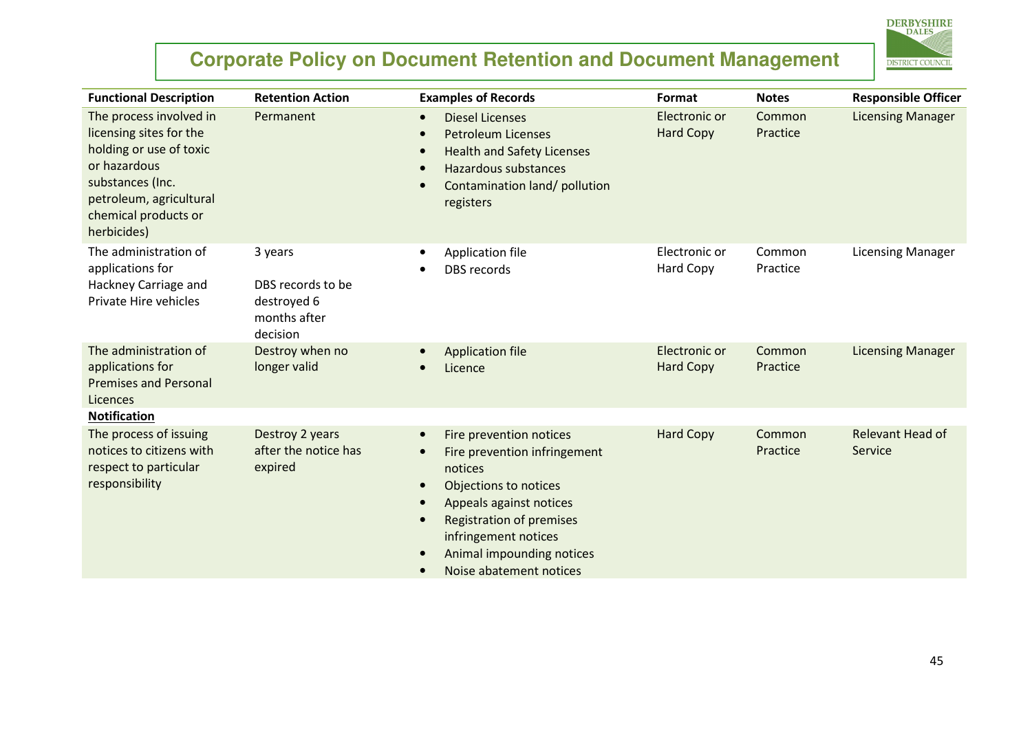

| <b>Functional Description</b>                                                                                                                                                       | <b>Retention Action</b>                                                 | <b>Examples of Records</b>                                                                                                                                                                                                                                                       | Format                            | <b>Notes</b>       | <b>Responsible Officer</b>         |
|-------------------------------------------------------------------------------------------------------------------------------------------------------------------------------------|-------------------------------------------------------------------------|----------------------------------------------------------------------------------------------------------------------------------------------------------------------------------------------------------------------------------------------------------------------------------|-----------------------------------|--------------------|------------------------------------|
| The process involved in<br>licensing sites for the<br>holding or use of toxic<br>or hazardous<br>substances (Inc.<br>petroleum, agricultural<br>chemical products or<br>herbicides) | Permanent                                                               | <b>Diesel Licenses</b><br>$\bullet$<br><b>Petroleum Licenses</b><br><b>Health and Safety Licenses</b><br>Hazardous substances<br>Contamination land/ pollution<br>registers                                                                                                      | Electronic or<br><b>Hard Copy</b> | Common<br>Practice | <b>Licensing Manager</b>           |
| The administration of<br>applications for<br>Hackney Carriage and<br>Private Hire vehicles                                                                                          | 3 years<br>DBS records to be<br>destroyed 6<br>months after<br>decision | Application file<br><b>DBS</b> records                                                                                                                                                                                                                                           | Electronic or<br><b>Hard Copy</b> | Common<br>Practice | <b>Licensing Manager</b>           |
| The administration of<br>applications for<br><b>Premises and Personal</b><br>Licences<br><b>Notification</b>                                                                        | Destroy when no<br>longer valid                                         | <b>Application file</b><br>Licence                                                                                                                                                                                                                                               | Electronic or<br><b>Hard Copy</b> | Common<br>Practice | <b>Licensing Manager</b>           |
| The process of issuing<br>notices to citizens with<br>respect to particular<br>responsibility                                                                                       | Destroy 2 years<br>after the notice has<br>expired                      | Fire prevention notices<br>$\bullet$<br>Fire prevention infringement<br>notices<br>Objections to notices<br>$\bullet$<br>Appeals against notices<br><b>Registration of premises</b><br>infringement notices<br>Animal impounding notices<br>$\bullet$<br>Noise abatement notices | <b>Hard Copy</b>                  | Common<br>Practice | <b>Relevant Head of</b><br>Service |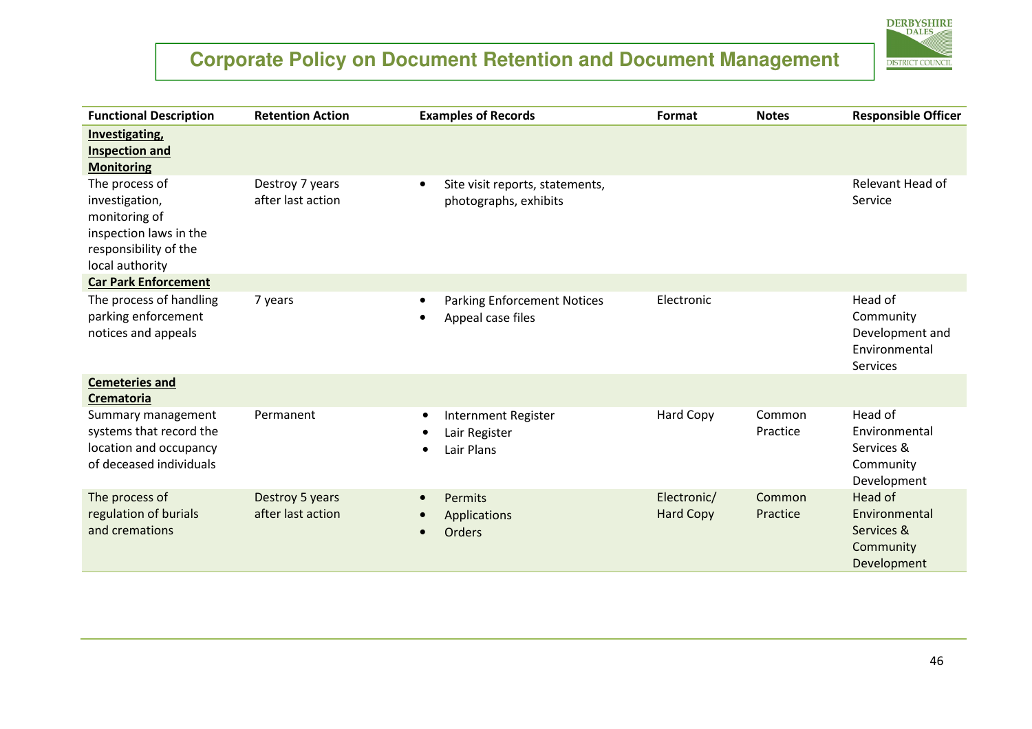

| <b>Functional Description</b>                                                                                           | <b>Retention Action</b>              | <b>Examples of Records</b>                                             | Format                          | <b>Notes</b>       | <b>Responsible Officer</b>                                           |
|-------------------------------------------------------------------------------------------------------------------------|--------------------------------------|------------------------------------------------------------------------|---------------------------------|--------------------|----------------------------------------------------------------------|
| <b>Investigating</b><br><b>Inspection and</b><br><b>Monitoring</b>                                                      |                                      |                                                                        |                                 |                    |                                                                      |
| The process of<br>investigation,<br>monitoring of<br>inspection laws in the<br>responsibility of the<br>local authority | Destroy 7 years<br>after last action | Site visit reports, statements,<br>$\bullet$<br>photographs, exhibits  |                                 |                    | Relevant Head of<br>Service                                          |
| <b>Car Park Enforcement</b>                                                                                             |                                      |                                                                        |                                 |                    |                                                                      |
| The process of handling<br>parking enforcement<br>notices and appeals                                                   | 7 years                              | <b>Parking Enforcement Notices</b><br>$\bullet$<br>Appeal case files   | Electronic                      |                    | Head of<br>Community<br>Development and<br>Environmental<br>Services |
| <b>Cemeteries and</b><br>Crematoria                                                                                     |                                      |                                                                        |                                 |                    |                                                                      |
| Summary management<br>systems that record the<br>location and occupancy<br>of deceased individuals                      | Permanent                            | <b>Internment Register</b><br>$\bullet$<br>Lair Register<br>Lair Plans | Hard Copy                       | Common<br>Practice | Head of<br>Environmental<br>Services &<br>Community<br>Development   |
| The process of<br>regulation of burials<br>and cremations                                                               | Destroy 5 years<br>after last action | Permits<br>$\bullet$<br>Applications<br><b>Orders</b>                  | Electronic/<br><b>Hard Copy</b> | Common<br>Practice | Head of<br>Environmental<br>Services &<br>Community<br>Development   |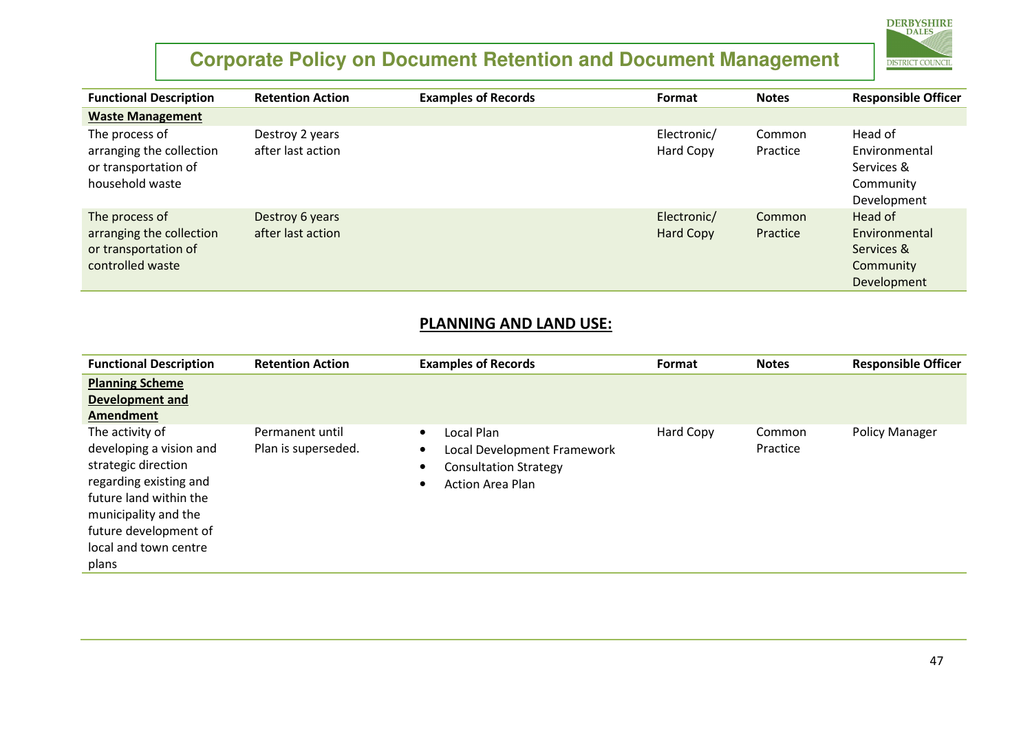

| <b>Functional Description</b>                                                          | <b>Retention Action</b>              | <b>Examples of Records</b> | Format                          | <b>Notes</b>       | <b>Responsible Officer</b>                                         |
|----------------------------------------------------------------------------------------|--------------------------------------|----------------------------|---------------------------------|--------------------|--------------------------------------------------------------------|
| <b>Waste Management</b>                                                                |                                      |                            |                                 |                    |                                                                    |
| The process of<br>arranging the collection<br>or transportation of<br>household waste  | Destroy 2 years<br>after last action |                            | Electronic/<br>Hard Copy        | Common<br>Practice | Head of<br>Environmental<br>Services &<br>Community<br>Development |
| The process of<br>arranging the collection<br>or transportation of<br>controlled waste | Destroy 6 years<br>after last action |                            | Electronic/<br><b>Hard Copy</b> | Common<br>Practice | Head of<br>Environmental<br>Services &<br>Community<br>Development |

#### PLANNING AND LAND USE:

| <b>Functional Description</b>                                                                                                                                                                            | <b>Retention Action</b>                | <b>Examples of Records</b>                                                                                        | Format    | <b>Notes</b>       | <b>Responsible Officer</b> |
|----------------------------------------------------------------------------------------------------------------------------------------------------------------------------------------------------------|----------------------------------------|-------------------------------------------------------------------------------------------------------------------|-----------|--------------------|----------------------------|
| <b>Planning Scheme</b><br><b>Development and</b><br>Amendment                                                                                                                                            |                                        |                                                                                                                   |           |                    |                            |
| The activity of<br>developing a vision and<br>strategic direction<br>regarding existing and<br>future land within the<br>municipality and the<br>future development of<br>local and town centre<br>plans | Permanent until<br>Plan is superseded. | Local Plan<br>$\bullet$<br>Local Development Framework<br><b>Consultation Strategy</b><br><b>Action Area Plan</b> | Hard Copy | Common<br>Practice | <b>Policy Manager</b>      |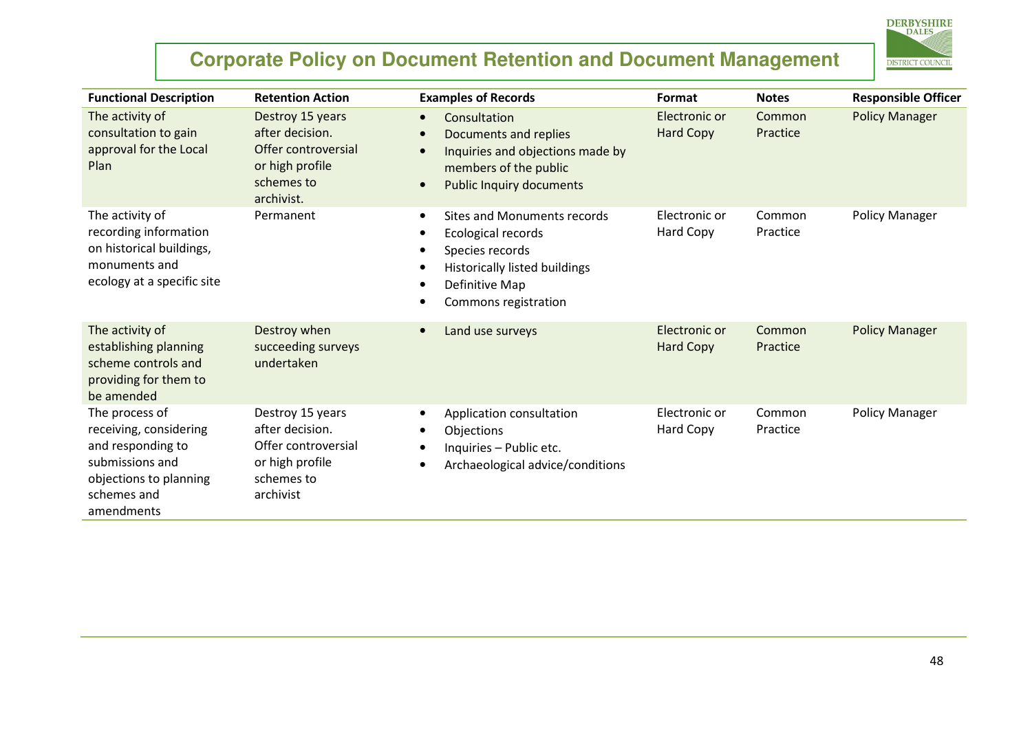

| <b>Functional Description</b>                                                                                                           | <b>Retention Action</b>                                                                                   | <b>Examples of Records</b>                                                                                                                                                 | Format                            | <b>Notes</b>       | <b>Responsible Officer</b> |
|-----------------------------------------------------------------------------------------------------------------------------------------|-----------------------------------------------------------------------------------------------------------|----------------------------------------------------------------------------------------------------------------------------------------------------------------------------|-----------------------------------|--------------------|----------------------------|
| The activity of<br>consultation to gain<br>approval for the Local<br>Plan                                                               | Destroy 15 years<br>after decision.<br>Offer controversial<br>or high profile<br>schemes to<br>archivist. | Consultation<br>$\bullet$<br>Documents and replies<br>Inquiries and objections made by<br>members of the public<br><b>Public Inquiry documents</b>                         | Electronic or<br><b>Hard Copy</b> | Common<br>Practice | <b>Policy Manager</b>      |
| The activity of<br>recording information<br>on historical buildings,<br>monuments and<br>ecology at a specific site                     | Permanent                                                                                                 | <b>Sites and Monuments records</b><br>$\bullet$<br>Ecological records<br>Species records<br><b>Historically listed buildings</b><br>Definitive Map<br>Commons registration | Electronic or<br>Hard Copy        | Common<br>Practice | <b>Policy Manager</b>      |
| The activity of<br>establishing planning<br>scheme controls and<br>providing for them to<br>be amended                                  | Destroy when<br>succeeding surveys<br>undertaken                                                          | Land use surveys                                                                                                                                                           | Electronic or<br><b>Hard Copy</b> | Common<br>Practice | <b>Policy Manager</b>      |
| The process of<br>receiving, considering<br>and responding to<br>submissions and<br>objections to planning<br>schemes and<br>amendments | Destroy 15 years<br>after decision.<br>Offer controversial<br>or high profile<br>schemes to<br>archivist  | Application consultation<br>٠<br>Objections<br>Inquiries - Public etc.<br>Archaeological advice/conditions                                                                 | Electronic or<br>Hard Copy        | Common<br>Practice | <b>Policy Manager</b>      |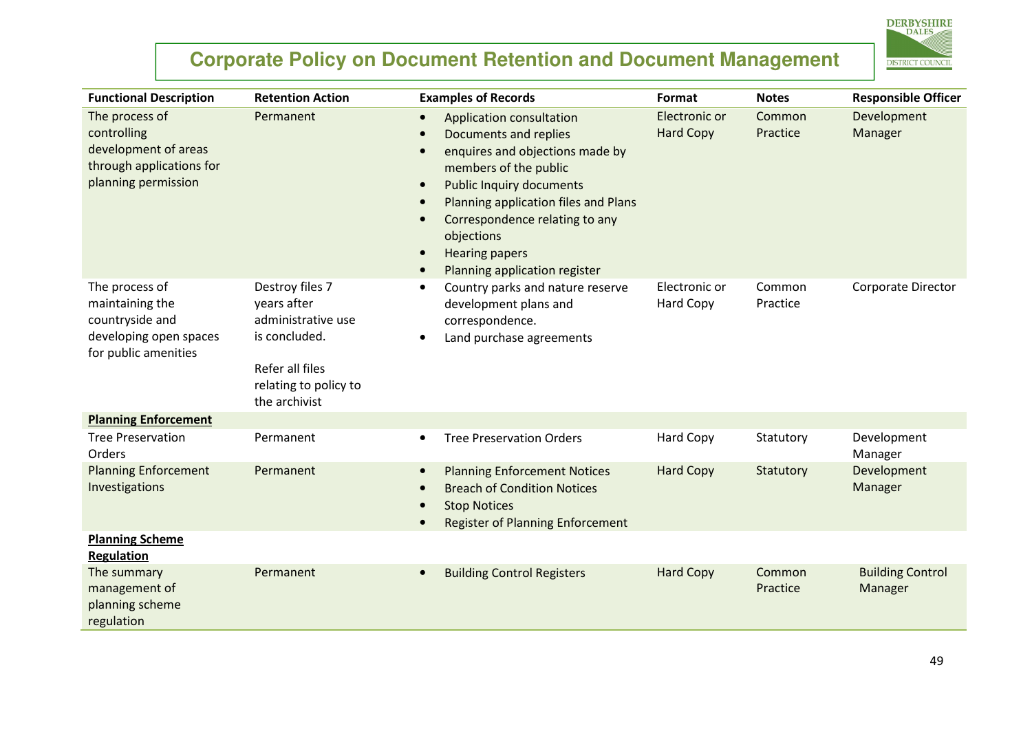

| <b>Functional Description</b>                                                                            | <b>Retention Action</b>                                                                                                            | <b>Examples of Records</b>                                                                                                                                                                                                                                                                                                   | Format                            | <b>Notes</b>       | <b>Responsible Officer</b>         |
|----------------------------------------------------------------------------------------------------------|------------------------------------------------------------------------------------------------------------------------------------|------------------------------------------------------------------------------------------------------------------------------------------------------------------------------------------------------------------------------------------------------------------------------------------------------------------------------|-----------------------------------|--------------------|------------------------------------|
| The process of<br>controlling<br>development of areas<br>through applications for<br>planning permission | Permanent                                                                                                                          | Application consultation<br>$\bullet$<br>Documents and replies<br>enquires and objections made by<br>members of the public<br><b>Public Inquiry documents</b><br>$\bullet$<br>Planning application files and Plans<br>Correspondence relating to any<br>objections<br><b>Hearing papers</b><br>Planning application register | Electronic or<br><b>Hard Copy</b> | Common<br>Practice | Development<br>Manager             |
| The process of<br>maintaining the<br>countryside and<br>developing open spaces<br>for public amenities   | Destroy files 7<br>years after<br>administrative use<br>is concluded.<br>Refer all files<br>relating to policy to<br>the archivist | Country parks and nature reserve<br>$\bullet$<br>development plans and<br>correspondence.<br>Land purchase agreements                                                                                                                                                                                                        | Electronic or<br>Hard Copy        | Common<br>Practice | Corporate Director                 |
| <b>Planning Enforcement</b>                                                                              |                                                                                                                                    |                                                                                                                                                                                                                                                                                                                              |                                   |                    |                                    |
| <b>Tree Preservation</b><br>Orders                                                                       | Permanent                                                                                                                          | <b>Tree Preservation Orders</b>                                                                                                                                                                                                                                                                                              | Hard Copy                         | Statutory          | Development<br>Manager             |
| <b>Planning Enforcement</b><br>Investigations                                                            | Permanent                                                                                                                          | <b>Planning Enforcement Notices</b><br>$\bullet$<br><b>Breach of Condition Notices</b><br><b>Stop Notices</b><br><b>Register of Planning Enforcement</b>                                                                                                                                                                     | <b>Hard Copy</b>                  | Statutory          | Development<br>Manager             |
| <b>Planning Scheme</b><br><b>Regulation</b>                                                              |                                                                                                                                    |                                                                                                                                                                                                                                                                                                                              |                                   |                    |                                    |
| The summary<br>management of<br>planning scheme<br>regulation                                            | Permanent                                                                                                                          | <b>Building Control Registers</b>                                                                                                                                                                                                                                                                                            | <b>Hard Copy</b>                  | Common<br>Practice | <b>Building Control</b><br>Manager |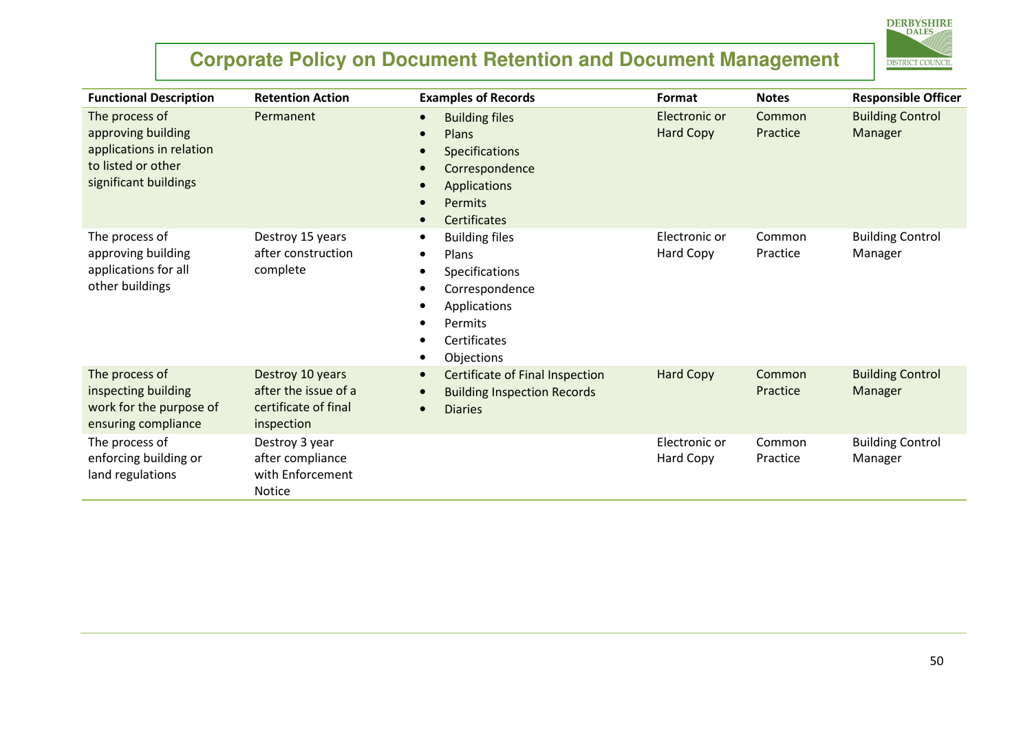

| <b>Functional Description</b>                                                                                   | <b>Retention Action</b>                                                        | <b>Examples of Records</b>                                                                                                                | Format                            | <b>Notes</b>       | <b>Responsible Officer</b>         |
|-----------------------------------------------------------------------------------------------------------------|--------------------------------------------------------------------------------|-------------------------------------------------------------------------------------------------------------------------------------------|-----------------------------------|--------------------|------------------------------------|
| The process of<br>approving building<br>applications in relation<br>to listed or other<br>significant buildings | Permanent                                                                      | <b>Building files</b><br>Plans<br><b>Specifications</b><br>Correspondence<br><b>Applications</b><br><b>Permits</b><br><b>Certificates</b> | Electronic or<br><b>Hard Copy</b> | Common<br>Practice | <b>Building Control</b><br>Manager |
| The process of<br>approving building<br>applications for all<br>other buildings                                 | Destroy 15 years<br>after construction<br>complete                             | <b>Building files</b><br>Plans<br>Specifications<br>Correspondence<br>Applications<br>Permits<br>$\bullet$<br>Certificates<br>Objections  | Electronic or<br>Hard Copy        | Common<br>Practice | <b>Building Control</b><br>Manager |
| The process of<br>inspecting building<br>work for the purpose of<br>ensuring compliance                         | Destroy 10 years<br>after the issue of a<br>certificate of final<br>inspection | Certificate of Final Inspection<br><b>Building Inspection Records</b><br><b>Diaries</b>                                                   | <b>Hard Copy</b>                  | Common<br>Practice | <b>Building Control</b><br>Manager |
| The process of<br>enforcing building or<br>land regulations                                                     | Destroy 3 year<br>after compliance<br>with Enforcement<br><b>Notice</b>        |                                                                                                                                           | Electronic or<br>Hard Copy        | Common<br>Practice | <b>Building Control</b><br>Manager |